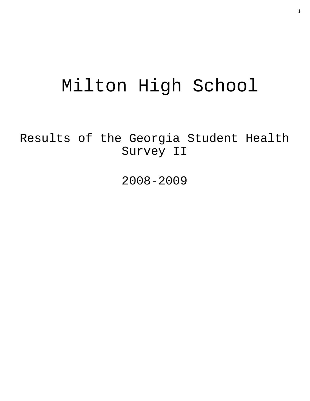# Milton High School

Results of the Georgia Student Health Survey II

2008-2009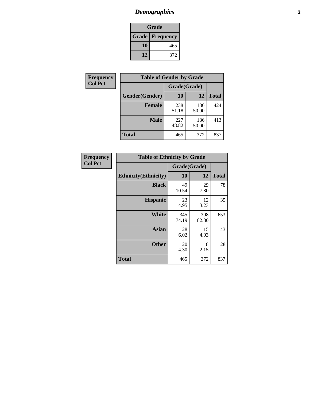## *Demographics* **2**

| Grade                    |     |  |  |  |
|--------------------------|-----|--|--|--|
| <b>Grade   Frequency</b> |     |  |  |  |
| 10                       | 465 |  |  |  |
| 12                       | 372 |  |  |  |

| Frequency      | <b>Table of Gender by Grade</b> |              |              |              |  |  |
|----------------|---------------------------------|--------------|--------------|--------------|--|--|
| <b>Col Pct</b> |                                 | Grade(Grade) |              |              |  |  |
|                | Gender(Gender)                  | 10           | 12           | <b>Total</b> |  |  |
|                | <b>Female</b>                   | 238<br>51.18 | 186<br>50.00 | 424          |  |  |
|                | <b>Male</b>                     | 227<br>48.82 | 186<br>50.00 | 413          |  |  |
|                | <b>Total</b>                    | 465          | 372          | 837          |  |  |

| Frequency<br>Col Pct |
|----------------------|
|                      |

| <b>Table of Ethnicity by Grade</b> |              |              |              |  |  |  |
|------------------------------------|--------------|--------------|--------------|--|--|--|
|                                    | Grade(Grade) |              |              |  |  |  |
| <b>Ethnicity</b> (Ethnicity)       | 10           | 12           | <b>Total</b> |  |  |  |
| <b>Black</b>                       | 49<br>10.54  | 29<br>7.80   | 78           |  |  |  |
| <b>Hispanic</b>                    | 23<br>4.95   | 12<br>3.23   | 35           |  |  |  |
| White                              | 345<br>74.19 | 308<br>82.80 | 653          |  |  |  |
| <b>Asian</b>                       | 28<br>6.02   | 15<br>4.03   | 43           |  |  |  |
| <b>Other</b>                       | 20<br>4.30   | 8<br>2.15    | 28           |  |  |  |
| <b>Total</b>                       | 465          | 372          | 837          |  |  |  |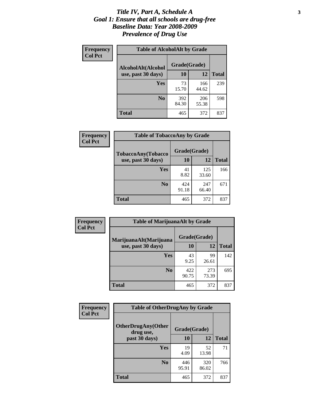#### *Title IV, Part A, Schedule A* **3** *Goal 1: Ensure that all schools are drug-free Baseline Data: Year 2008-2009 Prevalence of Drug Use*

| Frequency<br><b>Col Pct</b> | <b>Table of AlcoholAlt by Grade</b> |              |              |              |  |
|-----------------------------|-------------------------------------|--------------|--------------|--------------|--|
|                             | AlcoholAlt(Alcohol                  | Grade(Grade) |              |              |  |
|                             | use, past 30 days)                  | 10           | 12           | <b>Total</b> |  |
|                             | <b>Yes</b>                          | 73<br>15.70  | 166<br>44.62 | 239          |  |
|                             | N <sub>0</sub>                      | 392<br>84.30 | 206<br>55.38 | 598          |  |
|                             | Total                               | 465          | 372          | 837          |  |

| Frequency      | <b>Table of TobaccoAny by Grade</b> |              |              |              |  |
|----------------|-------------------------------------|--------------|--------------|--------------|--|
| <b>Col Pct</b> | TobaccoAny(Tobacco                  | Grade(Grade) |              |              |  |
|                | use, past 30 days)                  | 10           | 12           | <b>Total</b> |  |
|                | Yes                                 | 41<br>8.82   | 125<br>33.60 | 166          |  |
|                | N <sub>0</sub>                      | 424<br>91.18 | 247<br>66.40 | 671          |  |
|                | Total                               | 465          | 372          | 837          |  |

| Frequency<br><b>Col Pct</b> | <b>Table of MarijuanaAlt by Grade</b> |              |              |              |  |  |
|-----------------------------|---------------------------------------|--------------|--------------|--------------|--|--|
|                             | MarijuanaAlt(Marijuana                | Grade(Grade) |              |              |  |  |
|                             | use, past 30 days)                    | <b>10</b>    | 12           | <b>Total</b> |  |  |
|                             | <b>Yes</b>                            | 43<br>9.25   | 99<br>26.61  | 142          |  |  |
|                             | N <sub>0</sub>                        | 422<br>90.75 | 273<br>73.39 | 695          |  |  |
|                             | <b>Total</b>                          | 465          | 372          | 837          |  |  |

| <b>Frequency</b><br><b>Col Pct</b> | <b>Table of OtherDrugAny by Grade</b>  |              |              |              |  |
|------------------------------------|----------------------------------------|--------------|--------------|--------------|--|
|                                    | <b>OtherDrugAny(Other</b><br>drug use, | Grade(Grade) |              |              |  |
|                                    | past 30 days)                          | 10           | 12           | <b>Total</b> |  |
|                                    | Yes                                    | 19<br>4.09   | 52<br>13.98  | 71           |  |
|                                    | N <sub>0</sub>                         | 446<br>95.91 | 320<br>86.02 | 766          |  |
|                                    | <b>Total</b>                           | 465          | 372          | 837          |  |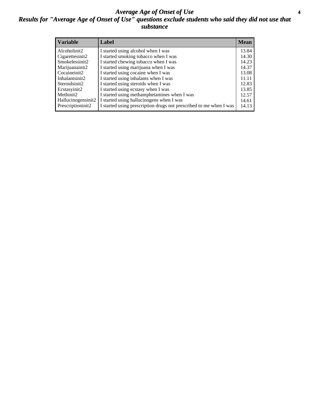#### *Average Age of Onset of Use* **4** *Results for "Average Age of Onset of Use" questions exclude students who said they did not use that substance*

| <b>Variable</b>    | Label                                                              | <b>Mean</b> |
|--------------------|--------------------------------------------------------------------|-------------|
| Alcoholinit2       | I started using alcohol when I was                                 | 13.84       |
| Cigarettesinit2    | I started smoking tobacco when I was                               | 14.30       |
| Smokelessinit2     | I started chewing tobacco when I was                               | 14.23       |
| Marijuanainit2     | I started using marijuana when I was                               | 14.37       |
| Cocaineinit2       | I started using cocaine when I was                                 | 13.08       |
| Inhalantsinit2     | I started using inhalants when I was                               | 11.11       |
| Steroidsinit2      | I started using steroids when I was                                | 12.83       |
| Ecstasyinit2       | I started using ecstasy when I was                                 | 13.85       |
| Methinit2          | I started using methamphetamines when I was                        | 12.57       |
| Hallucinogensinit2 | I started using hallucinogens when I was                           | 14.61       |
| Prescriptioninit2  | I started using prescription drugs not prescribed to me when I was | 14.13       |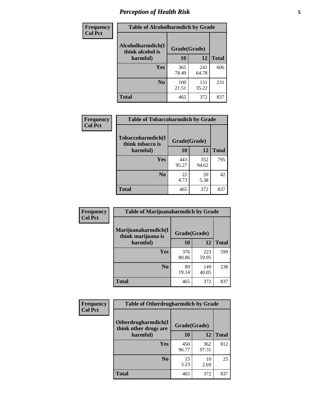## *Perception of Health Risk* **5**

| Frequency      | <b>Table of Alcoholharmdich by Grade</b> |              |              |              |  |
|----------------|------------------------------------------|--------------|--------------|--------------|--|
| <b>Col Pct</b> | Alcoholharmdich(I<br>think alcohol is    | Grade(Grade) |              |              |  |
|                | harmful)                                 | 10           | 12           | <b>Total</b> |  |
|                | Yes                                      | 365<br>78.49 | 241<br>64.78 | 606          |  |
|                | N <sub>0</sub>                           | 100<br>21.51 | 131<br>35.22 | 231          |  |
|                | <b>Total</b>                             | 465          | 372          | 837          |  |

| Frequency | <b>Table of Tobaccoharmdich by Grade</b> |              |              |              |  |
|-----------|------------------------------------------|--------------|--------------|--------------|--|
| Col Pct   | Tobaccoharmdich(I<br>think tobacco is    | Grade(Grade) |              |              |  |
|           | harmful)                                 | 10           | 12           | <b>Total</b> |  |
|           | <b>Yes</b>                               | 443<br>95.27 | 352<br>94.62 | 795          |  |
|           | N <sub>0</sub>                           | 22<br>4.73   | 20<br>5.38   | 42           |  |
|           | <b>Total</b>                             | 465          | 372          | 837          |  |

| Frequency      | <b>Table of Marijuanaharmdich by Grade</b> |              |              |              |  |  |
|----------------|--------------------------------------------|--------------|--------------|--------------|--|--|
| <b>Col Pct</b> | Marijuanaharmdich(I<br>think marijuana is  | Grade(Grade) |              |              |  |  |
|                | harmful)                                   | 10           | 12           | <b>Total</b> |  |  |
|                | Yes                                        | 376<br>80.86 | 223<br>59.95 | 599          |  |  |
|                | N <sub>0</sub>                             | 89<br>19.14  | 149<br>40.05 | 238          |  |  |
|                | <b>Total</b>                               | 465          | 372          | 837          |  |  |

| Frequency      | <b>Table of Otherdrugharmdich by Grade</b>   |              |              |              |  |  |  |  |
|----------------|----------------------------------------------|--------------|--------------|--------------|--|--|--|--|
| <b>Col Pct</b> | Otherdrugharmdich(I<br>think other drugs are | Grade(Grade) |              |              |  |  |  |  |
|                | harmful)                                     | 10           | 12           | <b>Total</b> |  |  |  |  |
|                | <b>Yes</b>                                   | 450<br>96.77 | 362<br>97.31 | 812          |  |  |  |  |
|                | N <sub>0</sub>                               | 15<br>3.23   | 10<br>2.69   | 25           |  |  |  |  |
|                | <b>Total</b>                                 | 465          | 372          | 837          |  |  |  |  |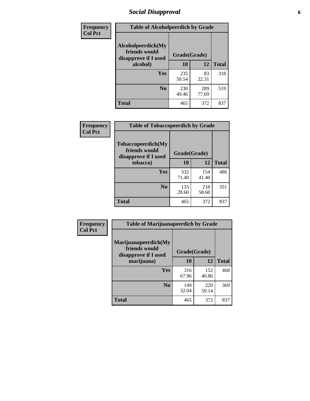### *Social Disapproval* **6**

| Frequency      | <b>Table of Alcoholpeerdich by Grade</b>                    |              |              |              |
|----------------|-------------------------------------------------------------|--------------|--------------|--------------|
| <b>Col Pct</b> | Alcoholpeerdich(My<br>friends would<br>disapprove if I used | Grade(Grade) |              |              |
|                | alcohol)                                                    |              | 12           | <b>Total</b> |
|                | <b>Yes</b>                                                  | 235<br>50.54 | 83<br>22.31  | 318          |
|                | N <sub>0</sub>                                              | 230<br>49.46 | 289<br>77.69 | 519          |
|                | <b>Total</b>                                                | 465          | 372          | 837          |

| <b>Frequency</b> |
|------------------|
| <b>Col Pct</b>   |

| <b>Table of Tobaccopeerdich by Grade</b>                           |              |              |              |  |  |  |  |
|--------------------------------------------------------------------|--------------|--------------|--------------|--|--|--|--|
| <b>Tobaccopeerdich(My</b><br>friends would<br>disapprove if I used | Grade(Grade) |              |              |  |  |  |  |
| tobacco)                                                           | 10           | 12           | <b>Total</b> |  |  |  |  |
| Yes                                                                | 332<br>71.40 | 154<br>41.40 | 486          |  |  |  |  |
| N <sub>0</sub>                                                     | 133<br>28.60 | 218<br>58.60 | 351          |  |  |  |  |
| <b>Total</b>                                                       | 465          | 372          | 837          |  |  |  |  |

| Frequency      | <b>Table of Marijuanapeerdich by Grade</b>                    |              |              |              |  |  |  |  |
|----------------|---------------------------------------------------------------|--------------|--------------|--------------|--|--|--|--|
| <b>Col Pct</b> | Marijuanapeerdich(My<br>friends would<br>disapprove if I used | Grade(Grade) |              |              |  |  |  |  |
|                | marijuana)                                                    | 10           | 12           | <b>Total</b> |  |  |  |  |
|                | <b>Yes</b>                                                    | 316<br>67.96 | 152<br>40.86 | 468          |  |  |  |  |
|                | N <sub>0</sub>                                                | 149<br>32.04 | 220<br>59.14 | 369          |  |  |  |  |
|                | <b>Total</b>                                                  | 465          | 372          | 837          |  |  |  |  |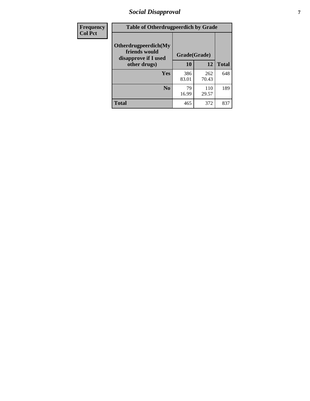### *Social Disapproval* **7**

| Frequency      | <b>Table of Otherdrugpeerdich by Grade</b>                    |              |              |              |  |  |  |  |
|----------------|---------------------------------------------------------------|--------------|--------------|--------------|--|--|--|--|
| <b>Col Pct</b> | Otherdrugpeerdich(My<br>friends would<br>disapprove if I used | Grade(Grade) |              |              |  |  |  |  |
|                | other drugs)                                                  | 10           | 12           | <b>Total</b> |  |  |  |  |
|                | Yes                                                           | 386<br>83.01 | 262<br>70.43 | 648          |  |  |  |  |
|                | N <sub>0</sub>                                                | 79<br>16.99  | 110<br>29.57 | 189          |  |  |  |  |
|                | <b>Total</b>                                                  | 465          | 372          | 837          |  |  |  |  |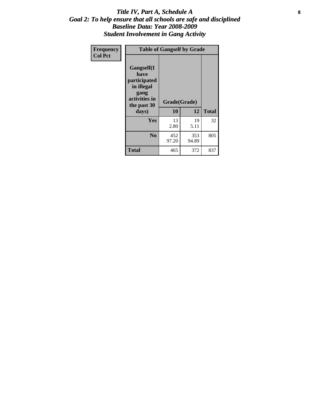#### Title IV, Part A, Schedule A **8** *Goal 2: To help ensure that all schools are safe and disciplined Baseline Data: Year 2008-2009 Student Involvement in Gang Activity*

| Frequency      | <b>Table of Gangself by Grade</b>                                                                         |                    |              |              |
|----------------|-----------------------------------------------------------------------------------------------------------|--------------------|--------------|--------------|
| <b>Col Pct</b> | <b>Gangself</b> (I<br>have<br>participated<br>in illegal<br>gang<br>activities in<br>the past 30<br>days) | Grade(Grade)<br>10 | 12           | <b>Total</b> |
|                | Yes                                                                                                       | 13<br>2.80         | 19<br>5.11   | 32           |
|                | N <sub>0</sub>                                                                                            | 452<br>97.20       | 353<br>94.89 | 805          |
|                | <b>Total</b>                                                                                              | 465                | 372          | 837          |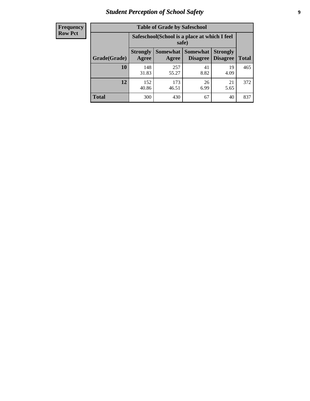### *Student Perception of School Safety* **9**

| <b>Frequency</b><br>Row Pct |
|-----------------------------|
|                             |

| <b>Table of Grade by Safeschool</b> |                                                                                                                           |                                                        |            |            |     |  |  |  |
|-------------------------------------|---------------------------------------------------------------------------------------------------------------------------|--------------------------------------------------------|------------|------------|-----|--|--|--|
|                                     |                                                                                                                           | Safeschool (School is a place at which I feel<br>safe) |            |            |     |  |  |  |
| Grade(Grade)                        | <b>Somewhat</b><br><b>Somewhat</b><br><b>Strongly</b><br><b>Strongly</b><br><b>Disagree</b><br>Agree<br>Disagree<br>Agree |                                                        |            |            |     |  |  |  |
| 10                                  | 148<br>31.83                                                                                                              | 257<br>55.27                                           | 41<br>8.82 | 19<br>4.09 | 465 |  |  |  |
| 12                                  | 152<br>40.86                                                                                                              | 173<br>46.51                                           | 26<br>6.99 | 21<br>5.65 | 372 |  |  |  |
| <b>Total</b>                        | 300                                                                                                                       | 430                                                    | 67         | 40         | 837 |  |  |  |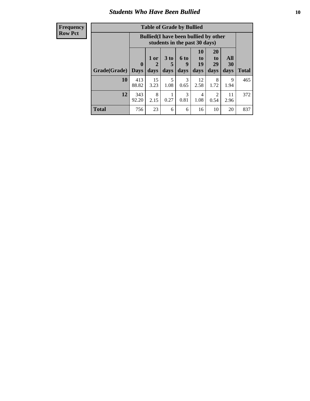#### *Students Who Have Been Bullied* **10**

| <b>Frequency</b> |
|------------------|
| Row Pct          |

| <b>Table of Grade by Bullied</b> |                            |                                                                               |                              |                   |                        |                               |                          |              |
|----------------------------------|----------------------------|-------------------------------------------------------------------------------|------------------------------|-------------------|------------------------|-------------------------------|--------------------------|--------------|
|                                  |                            | <b>Bullied</b> (I have been bullied by other<br>students in the past 30 days) |                              |                   |                        |                               |                          |              |
| Grade(Grade)                     | $\mathbf 0$<br><b>Days</b> | 1 or<br>2<br>days                                                             | 3 <sub>to</sub><br>5<br>days | 6 to<br>9<br>days | 10<br>to<br>19<br>days | <b>20</b><br>to<br>29<br>days | <b>All</b><br>30<br>days | <b>Total</b> |
| 10                               | 413<br>88.82               | 15<br>3.23                                                                    | 5<br>1.08                    | 3<br>0.65         | 12<br>2.58             | 8<br>1.72                     | 9<br>1.94                | 465          |
| 12                               | 343<br>92.20               | 8<br>2.15                                                                     | 0.27                         | 3<br>0.81         | 4<br>1.08              | 2<br>0.54                     | 11<br>2.96               | 372          |
| <b>Total</b>                     | 756                        | 23                                                                            | 6                            | 6                 | 16                     | 10                            | 20                       | 837          |

 $\blacksquare$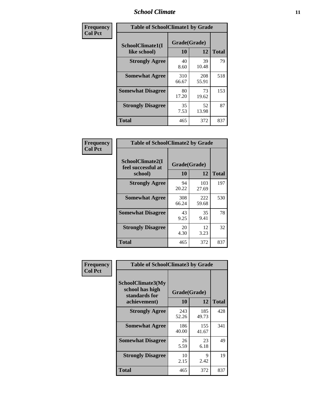### *School Climate* **11**

| Frequency      | <b>Table of SchoolClimate1 by Grade</b> |                    |              |              |  |  |  |  |
|----------------|-----------------------------------------|--------------------|--------------|--------------|--|--|--|--|
| <b>Col Pct</b> | SchoolClimate1(I<br>like school)        | Grade(Grade)<br>10 | 12           | <b>Total</b> |  |  |  |  |
|                | <b>Strongly Agree</b>                   | 40<br>8.60         | 39<br>10.48  | 79           |  |  |  |  |
|                | <b>Somewhat Agree</b>                   | 310<br>66.67       | 208<br>55.91 | 518          |  |  |  |  |
|                | <b>Somewhat Disagree</b>                | 80<br>17.20        | 73<br>19.62  | 153          |  |  |  |  |
|                | <b>Strongly Disagree</b>                | 35<br>7.53         | 52<br>13.98  | 87           |  |  |  |  |
|                | Total                                   | 465                | 372          | 837          |  |  |  |  |

| Frequency      | <b>Table of SchoolClimate2 by Grade</b>           |                    |              |              |
|----------------|---------------------------------------------------|--------------------|--------------|--------------|
| <b>Col Pct</b> | SchoolClimate2(I<br>feel successful at<br>school) | Grade(Grade)<br>10 | 12           | <b>Total</b> |
|                | <b>Strongly Agree</b>                             | 94<br>20.22        | 103<br>27.69 | 197          |
|                | <b>Somewhat Agree</b>                             | 308<br>66.24       | 222<br>59.68 | 530          |
|                | <b>Somewhat Disagree</b>                          | 43<br>9.25         | 35<br>9.41   | 78           |
|                | <b>Strongly Disagree</b>                          | 20<br>4.30         | 12<br>3.23   | 32           |
|                | <b>Total</b>                                      | 465                | 372          | 837          |

| Frequency | <b>Table of SchoolClimate3 by Grade</b>                      |              |              |              |  |
|-----------|--------------------------------------------------------------|--------------|--------------|--------------|--|
| Col Pct   | <b>SchoolClimate3(My</b><br>school has high<br>standards for | Grade(Grade) |              |              |  |
|           | achievement)                                                 | 10           | 12           | <b>Total</b> |  |
|           | <b>Strongly Agree</b>                                        | 243<br>52.26 | 185<br>49.73 | 428          |  |
|           | <b>Somewhat Agree</b>                                        | 186<br>40.00 | 155<br>41.67 | 341          |  |
|           | <b>Somewhat Disagree</b>                                     | 26<br>5.59   | 23<br>6.18   | 49           |  |
|           | <b>Strongly Disagree</b>                                     | 10<br>2.15   | 9<br>2.42    | 19           |  |
|           | Total                                                        | 465          | 372          | 837          |  |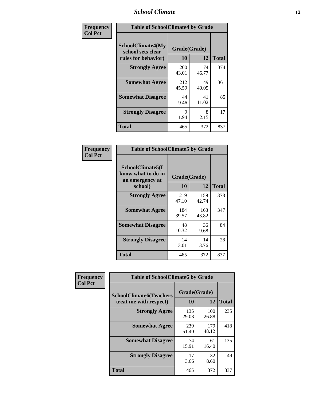### *School Climate* **12**

| Frequency      | <b>Table of SchoolClimate4 by Grade</b>                       |                    |              |              |
|----------------|---------------------------------------------------------------|--------------------|--------------|--------------|
| <b>Col Pct</b> | SchoolClimate4(My<br>school sets clear<br>rules for behavior) | Grade(Grade)<br>10 | 12           | <b>Total</b> |
|                | <b>Strongly Agree</b>                                         | 200<br>43.01       | 174<br>46.77 | 374          |
|                | <b>Somewhat Agree</b>                                         | 212<br>45.59       | 149<br>40.05 | 361          |
|                | <b>Somewhat Disagree</b>                                      | 44<br>9.46         | 41<br>11.02  | 85           |
|                | <b>Strongly Disagree</b>                                      | 9<br>1.94          | 8<br>2.15    | 17           |
|                | <b>Total</b>                                                  | 465                | 372          | 837          |

| <b>Table of SchoolClimate5 by Grade</b>                   |              |              |              |  |  |
|-----------------------------------------------------------|--------------|--------------|--------------|--|--|
| SchoolClimate5(I<br>know what to do in<br>an emergency at | Grade(Grade) |              |              |  |  |
| school)                                                   | 10           | 12           | <b>Total</b> |  |  |
| <b>Strongly Agree</b>                                     | 219<br>47.10 | 159<br>42.74 | 378          |  |  |
| <b>Somewhat Agree</b>                                     | 184<br>39.57 | 163<br>43.82 | 347          |  |  |
| <b>Somewhat Disagree</b>                                  | 48<br>10.32  | 36<br>9.68   | 84           |  |  |
| <b>Strongly Disagree</b>                                  | 14<br>3.01   | 14<br>3.76   | 28           |  |  |
| <b>Total</b>                                              | 465          | 372          | 837          |  |  |

| Frequency      | <b>Table of SchoolClimate6 by Grade</b>                  |                    |              |              |
|----------------|----------------------------------------------------------|--------------------|--------------|--------------|
| <b>Col Pct</b> | <b>SchoolClimate6(Teachers</b><br>treat me with respect) | Grade(Grade)<br>10 | 12           | <b>Total</b> |
|                | <b>Strongly Agree</b>                                    | 135<br>29.03       | 100<br>26.88 | 235          |
|                | <b>Somewhat Agree</b>                                    | 239<br>51.40       | 179<br>48.12 | 418          |
|                | <b>Somewhat Disagree</b>                                 | 74<br>15.91        | 61<br>16.40  | 135          |
|                | <b>Strongly Disagree</b>                                 | 17<br>3.66         | 32<br>8.60   | 49           |
|                | <b>Total</b>                                             | 465                | 372          | 837          |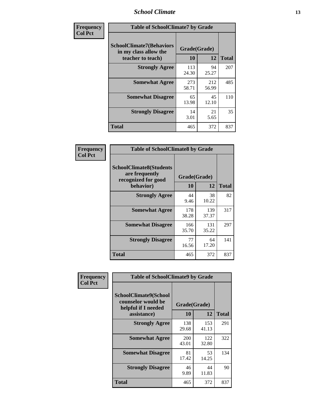### *School Climate* **13**

| Frequency      | <b>Table of SchoolClimate7 by Grade</b>                                       |                    |              |              |
|----------------|-------------------------------------------------------------------------------|--------------------|--------------|--------------|
| <b>Col Pct</b> | <b>SchoolClimate7(Behaviors</b><br>in my class allow the<br>teacher to teach) | Grade(Grade)<br>10 | 12           | <b>Total</b> |
|                | <b>Strongly Agree</b>                                                         | 113<br>24.30       | 94<br>25.27  | 207          |
|                | <b>Somewhat Agree</b>                                                         | 273<br>58.71       | 212<br>56.99 | 485          |
|                | <b>Somewhat Disagree</b>                                                      | 65<br>13.98        | 45<br>12.10  | 110          |
|                | <b>Strongly Disagree</b>                                                      | 14<br>3.01         | 21<br>5.65   | 35           |
|                | <b>Total</b>                                                                  | 465                | 372          | 837          |

| Frequency      | <b>Table of SchoolClimate8 by Grade</b>                                              |                    |              |              |
|----------------|--------------------------------------------------------------------------------------|--------------------|--------------|--------------|
| <b>Col Pct</b> | <b>SchoolClimate8(Students</b><br>are frequently<br>recognized for good<br>behavior) | Grade(Grade)<br>10 | 12           | <b>Total</b> |
|                | <b>Strongly Agree</b>                                                                | 44<br>9.46         | 38<br>10.22  | 82           |
|                | <b>Somewhat Agree</b>                                                                | 178<br>38.28       | 139<br>37.37 | 317          |
|                | <b>Somewhat Disagree</b>                                                             | 166<br>35.70       | 131<br>35.22 | 297          |
|                | <b>Strongly Disagree</b>                                                             | 77<br>16.56        | 64<br>17.20  | 141          |
|                | Total                                                                                | 465                | 372          | 837          |

| Frequency      | <b>Table of SchoolClimate9 by Grade</b>                                           |                     |              |              |
|----------------|-----------------------------------------------------------------------------------|---------------------|--------------|--------------|
| <b>Col Pct</b> | SchoolClimate9(School<br>counselor would be<br>helpful if I needed<br>assistance) | Grade(Grade)<br>10  | 12           | <b>Total</b> |
|                | <b>Strongly Agree</b>                                                             | 138<br>29.68        | 153<br>41.13 | 291          |
|                | <b>Somewhat Agree</b>                                                             | <b>200</b><br>43.01 | 122<br>32.80 | 322          |
|                | <b>Somewhat Disagree</b>                                                          | 81<br>17.42         | 53<br>14.25  | 134          |
|                | <b>Strongly Disagree</b>                                                          | 46<br>9.89          | 44<br>11.83  | 90           |
|                | Total                                                                             | 465                 | 372          | 837          |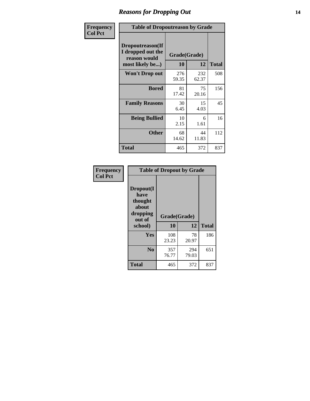### *Reasons for Dropping Out* **14**

| Frequency      | <b>Table of Dropoutreason by Grade</b>                                   |                    |              |              |
|----------------|--------------------------------------------------------------------------|--------------------|--------------|--------------|
| <b>Col Pct</b> | Dropoutreason(If<br>I dropped out the<br>reason would<br>most likely be) | Grade(Grade)<br>10 | 12           | <b>Total</b> |
|                | Won't Drop out                                                           | 276<br>59.35       | 232<br>62.37 | 508          |
|                | <b>Bored</b>                                                             | 81<br>17.42        | 75<br>20.16  | 156          |
|                | <b>Family Reasons</b>                                                    | 30<br>6.45         | 15<br>4.03   | 45           |
|                | <b>Being Bullied</b>                                                     | 10<br>2.15         | 6<br>1.61    | 16           |
|                | <b>Other</b>                                                             | 68<br>14.62        | 44<br>11.83  | 112          |
|                | Total                                                                    | 465                | 372          | 837          |

| Frequency<br><b>Col Pct</b> | <b>Table of Dropout by Grade</b>                            |              |              |              |  |
|-----------------------------|-------------------------------------------------------------|--------------|--------------|--------------|--|
|                             | Dropout(I<br>have<br>thought<br>about<br>dropping<br>out of | Grade(Grade) |              |              |  |
|                             | school)                                                     | 10           | 12           | <b>Total</b> |  |
|                             | Yes                                                         | 108<br>23.23 | 78<br>20.97  | 186          |  |
|                             | N <sub>0</sub>                                              | 357<br>76.77 | 294<br>79.03 | 651          |  |
|                             | <b>Total</b>                                                | 465          | 372          | 837          |  |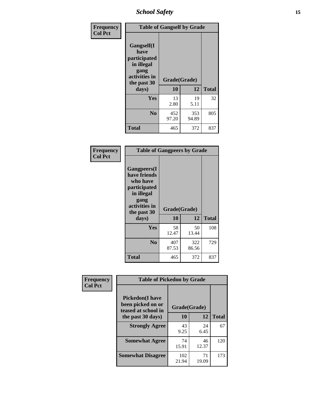*School Safety* **15**

| Frequency      | <b>Table of Gangself by Grade</b>                                                                         |                    |              |              |
|----------------|-----------------------------------------------------------------------------------------------------------|--------------------|--------------|--------------|
| <b>Col Pct</b> | <b>Gangself</b> (I<br>have<br>participated<br>in illegal<br>gang<br>activities in<br>the past 30<br>days) | Grade(Grade)<br>10 | 12           | <b>Total</b> |
|                | Yes                                                                                                       | 13<br>2.80         | 19<br>5.11   | 32           |
|                | N <sub>0</sub>                                                                                            | 452<br>97.20       | 353<br>94.89 | 805          |
|                | <b>Total</b>                                                                                              | 465                | 372          | 837          |

| Frequency<br><b>Col Pct</b> | <b>Table of Gangpeers by Grade</b>                                                                                             |                    |              |              |
|-----------------------------|--------------------------------------------------------------------------------------------------------------------------------|--------------------|--------------|--------------|
|                             | <b>Gangpeers</b> (I<br>have friends<br>who have<br>participated<br>in illegal<br>gang<br>activities in<br>the past 30<br>days) | Grade(Grade)<br>10 | 12           | <b>Total</b> |
|                             | <b>Yes</b>                                                                                                                     | 58<br>12.47        | 50<br>13.44  | 108          |
|                             | N <sub>0</sub>                                                                                                                 | 407<br>87.53       | 322<br>86.56 | 729          |
|                             | <b>Total</b>                                                                                                                   | 465                | 372          | 837          |

| <b>Table of Pickedon by Grade</b>                                  |                   |             |                    |  |  |  |  |
|--------------------------------------------------------------------|-------------------|-------------|--------------------|--|--|--|--|
| <b>Pickedon(I have</b><br>been picked on or<br>teased at school in |                   |             |                    |  |  |  |  |
|                                                                    | 10                |             | <b>Total</b>       |  |  |  |  |
| <b>Strongly Agree</b>                                              | 43                | 24          | 67                 |  |  |  |  |
|                                                                    | 9.25              | 6.45        |                    |  |  |  |  |
| <b>Somewhat Agree</b>                                              | 74                | 46          | 120                |  |  |  |  |
|                                                                    | 15.91             | 12.37       |                    |  |  |  |  |
| <b>Somewhat Disagree</b>                                           | 102<br>21.94      | 71<br>19.09 | 173                |  |  |  |  |
|                                                                    | the past 30 days) |             | Grade(Grade)<br>12 |  |  |  |  |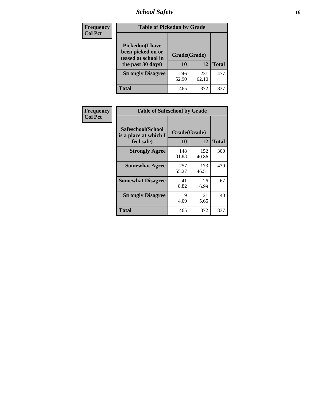### *School Safety* **16**

| <b>Frequency</b> | <b>Table of Pickedon by Grade</b>                                                        |                    |              |              |
|------------------|------------------------------------------------------------------------------------------|--------------------|--------------|--------------|
| <b>Col Pct</b>   | <b>Pickedon</b> (I have<br>been picked on or<br>teased at school in<br>the past 30 days) | Grade(Grade)<br>10 | 12           | <b>Total</b> |
|                  | <b>Strongly Disagree</b>                                                                 | 246<br>52.90       | 231<br>62.10 | 477          |
|                  | Total                                                                                    | 465                | 372          | 83′          |

| Frequency      | <b>Table of Safeschool by Grade</b>                      |                    |              |              |  |  |  |  |  |
|----------------|----------------------------------------------------------|--------------------|--------------|--------------|--|--|--|--|--|
| <b>Col Pct</b> | Safeschool(School<br>is a place at which I<br>feel safe) | Grade(Grade)<br>10 | 12           | <b>Total</b> |  |  |  |  |  |
|                | <b>Strongly Agree</b>                                    | 148<br>31.83       | 152<br>40.86 | 300          |  |  |  |  |  |
|                | <b>Somewhat Agree</b>                                    | 257<br>55.27       | 173<br>46.51 | 430          |  |  |  |  |  |
|                | <b>Somewhat Disagree</b>                                 | 41<br>8.82         | 26<br>6.99   | 67           |  |  |  |  |  |
|                | <b>Strongly Disagree</b>                                 | 19<br>4.09         | 21<br>5.65   | 40           |  |  |  |  |  |
|                | <b>Total</b>                                             | 465                | 372          | 837          |  |  |  |  |  |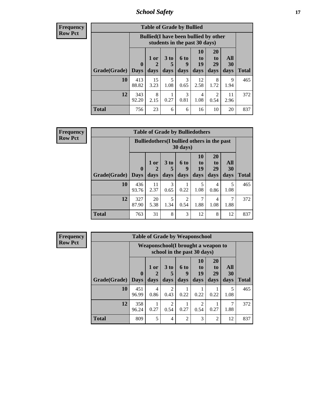*School Safety* **17**

| <b>Frequency</b> |  |
|------------------|--|
| Row Pct          |  |

|                             | <b>Table of Grade by Bullied</b> |                                                                               |                              |                       |                         |                        |                          |              |  |  |  |
|-----------------------------|----------------------------------|-------------------------------------------------------------------------------|------------------------------|-----------------------|-------------------------|------------------------|--------------------------|--------------|--|--|--|
|                             |                                  | <b>Bullied</b> (I have been bullied by other<br>students in the past 30 days) |                              |                       |                         |                        |                          |              |  |  |  |
| <b>Grade</b> (Grade)   Days | $\mathbf{0}$                     | $1$ or<br>days                                                                | 3 <sub>to</sub><br>5<br>days | 6 to<br>9<br>days     | 10<br>to.<br>19<br>days | 20<br>to<br>29<br>days | <b>All</b><br>30<br>days | <b>Total</b> |  |  |  |
| 10                          | 413<br>88.82                     | 15<br>3.23                                                                    | 5<br>1.08                    | $\mathcal{R}$<br>0.65 | 12<br>2.58              | 8<br>1.72              | 9<br>1.94                | 465          |  |  |  |
| 12                          | 343<br>92.20                     | 8<br>2.15                                                                     | 0.27                         | 3<br>0.81             | 4<br>1.08               | 2<br>0.54              | 11<br>2.96               | 372          |  |  |  |
| <b>Total</b>                | 756                              | 23                                                                            | 6                            | 6                     | 16                      | 10                     | 20                       | 837          |  |  |  |

| Frequency      | <b>Table of Grade by Bulliedothers</b> |                             |              |                                                    |                        |                        |                               |                   |              |  |
|----------------|----------------------------------------|-----------------------------|--------------|----------------------------------------------------|------------------------|------------------------|-------------------------------|-------------------|--------------|--|
| <b>Row Pct</b> |                                        |                             |              | <b>Bulliedothers</b> (I bullied others in the past | $30 \text{ days}$      |                        |                               |                   |              |  |
|                | Grade(Grade)                           | $\mathbf{0}$<br><b>Days</b> | 1 or<br>days | 3 to<br>5<br>days                                  | 6 to<br>9<br>days      | 10<br>to<br>19<br>days | <b>20</b><br>to<br>29<br>days | All<br>30<br>days | <b>Total</b> |  |
|                | 10                                     | 436                         | 11           | 3                                                  |                        | 5                      | 4                             | 5                 | 465          |  |
|                |                                        | 93.76                       | 2.37         | 0.65                                               | 0.22                   | 1.08                   | 0.86                          | 1.08              |              |  |
|                | 12                                     | 327<br>87.90                | 20<br>5.38   | 5<br>1.34                                          | $\mathfrak{D}$<br>0.54 | 7<br>1.88              | 4<br>1.08                     | 7<br>1.88         | 372          |  |
|                | <b>Total</b>                           | 763                         | 31           | 8                                                  | 3                      | 12                     | 8                             | 12                | 837          |  |

| Frequency      | <b>Table of Grade by Weaponschool</b> |              |                                                                   |                        |                |                       |                             |                  |              |  |
|----------------|---------------------------------------|--------------|-------------------------------------------------------------------|------------------------|----------------|-----------------------|-----------------------------|------------------|--------------|--|
| <b>Row Pct</b> |                                       |              | Weaponschool(I brought a weapon to<br>school in the past 30 days) |                        |                |                       |                             |                  |              |  |
|                |                                       | $\mathbf{0}$ | $1$ or                                                            | 3 <sub>to</sub>        | 6 to<br>9      | <b>10</b><br>to<br>19 | <b>20</b><br>to<br>29       | <b>All</b><br>30 |              |  |
|                | Grade(Grade)   Days                   |              | days                                                              | days                   | days           | days                  | days                        | days             | <b>Total</b> |  |
|                | 10                                    | 451<br>96.99 | 4<br>0.86                                                         | $\overline{2}$<br>0.43 | 0.22           | 0.22                  | 0.22                        | 5<br>1.08        | 465          |  |
|                | 12                                    | 358<br>96.24 | 0.27                                                              | $\overline{c}$<br>0.54 | 0.27           | 2<br>0.54             | 0.27                        | 7<br>1.88        | 372          |  |
|                | <b>Total</b>                          | 809          | 5                                                                 | $\overline{4}$         | $\mathfrak{D}$ | 3                     | $\mathcal{D}_{\mathcal{L}}$ | 12               | 837          |  |

Ŧ.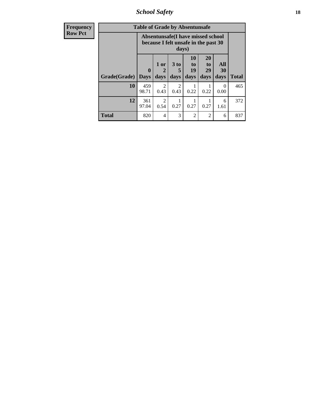*School Safety* **18**

| <b>Frequency</b> | <b>Table of Grade by Absentunsafe</b> |                            |                                                                                    |                              |                        |                                           |                   |              |  |  |
|------------------|---------------------------------------|----------------------------|------------------------------------------------------------------------------------|------------------------------|------------------------|-------------------------------------------|-------------------|--------------|--|--|
| <b>Row Pct</b>   |                                       |                            | Absentunsafe(I have missed school<br>because I felt unsafe in the past 30<br>days) |                              |                        |                                           |                   |              |  |  |
|                  | Grade(Grade)                          | $\mathbf 0$<br><b>Days</b> | 1 or<br>2<br>days                                                                  | 3 <sub>to</sub><br>5<br>days | 10<br>to<br>19<br>days | <b>20</b><br>t <sub>0</sub><br>29<br>days | All<br>30<br>days | <b>Total</b> |  |  |
|                  | 10                                    | 459<br>98.71               | $\mathfrak{D}$<br>0.43                                                             | 2<br>0.43                    | 0.22                   | 0.22                                      | 0<br>0.00         | 465          |  |  |
|                  | 12                                    | 361<br>97.04               | $\mathcal{D}_{\mathcal{L}}$<br>0.54                                                | 0.27                         | 0.27                   | 0.27                                      | 6<br>1.61         | 372          |  |  |
|                  | <b>Total</b>                          | 820                        | $\overline{4}$                                                                     | 3                            | $\mathfrak{D}$         | 2                                         | 6                 | 837          |  |  |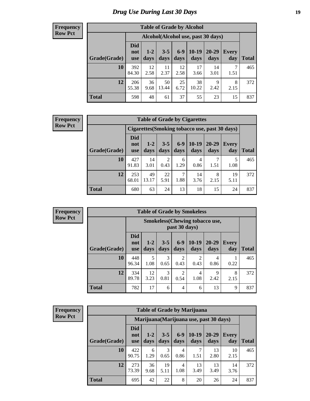### *Drug Use During Last 30 Days* **19**

#### **Frequency Row Pct**

| <b>Table of Grade by Alcohol</b> |                                 |                                     |                 |               |                 |               |              |       |  |  |
|----------------------------------|---------------------------------|-------------------------------------|-----------------|---------------|-----------------|---------------|--------------|-------|--|--|
|                                  |                                 | Alcohol (Alcohol use, past 30 days) |                 |               |                 |               |              |       |  |  |
| Grade(Grade)                     | <b>Did</b><br>not<br><b>use</b> | $1 - 2$<br>days                     | $3 - 5$<br>days | $6-9$<br>days | $10-19$<br>days | 20-29<br>days | Every<br>day | Total |  |  |
| 10                               | 392<br>84.30                    | 12<br>2.58                          | 11<br>2.37      | 12<br>2.58    | 17<br>3.66      | 14<br>3.01    | 7<br>1.51    | 465   |  |  |
| 12                               | 206<br>55.38                    | 36<br>9.68                          | 50<br>13.44     | 25<br>6.72    | 38<br>10.22     | 9<br>2.42     | 8<br>2.15    | 372   |  |  |
| <b>Total</b>                     | 598                             | 48                                  | 61              | 37            | 55              | 23            | 15           | 837   |  |  |

#### **Frequency Row Pct**

| <b>Table of Grade by Cigarettes</b> |                                 |                                                       |                 |                 |               |               |              |              |  |  |  |
|-------------------------------------|---------------------------------|-------------------------------------------------------|-----------------|-----------------|---------------|---------------|--------------|--------------|--|--|--|
|                                     |                                 | <b>Cigarettes (Smoking tobacco use, past 30 days)</b> |                 |                 |               |               |              |              |  |  |  |
| Grade(Grade)                        | <b>Did</b><br>not<br><b>use</b> | $1 - 2$<br>days                                       | $3 - 5$<br>days | $6 - 9$<br>days | 10-19<br>days | 20-29<br>days | Every<br>day | <b>Total</b> |  |  |  |
| <b>10</b>                           | 427<br>91.83                    | 14<br>3.01                                            | 2<br>0.43       | 6<br>1.29       | 4<br>0.86     | 1.51          | 5<br>1.08    | 465          |  |  |  |
| 12                                  | 253<br>68.01                    | 49<br>13.17                                           | 22<br>5.91      | 7<br>1.88       | 14<br>3.76    | 8<br>2.15     | 19<br>5.11   | 372          |  |  |  |
| <b>Total</b>                        | 680                             | 63                                                    | 24              | 13              | 18            | 15            | 24           | 837          |  |  |  |

| <b>Frequency</b> |
|------------------|
| <b>Row Pct</b>   |

| <b>Table of Grade by Smokeless</b> |              |                                 |                                                         |                 |                        |                        |               |                     |       |  |  |  |
|------------------------------------|--------------|---------------------------------|---------------------------------------------------------|-----------------|------------------------|------------------------|---------------|---------------------|-------|--|--|--|
|                                    |              |                                 | <b>Smokeless</b> (Chewing tobacco use,<br>past 30 days) |                 |                        |                        |               |                     |       |  |  |  |
|                                    | Grade(Grade) | <b>Did</b><br>not<br><b>use</b> | $1 - 2$<br>days                                         | $3 - 5$<br>days | $6-9$<br>days          | $10-19$<br>days        | 20-29<br>days | <b>Every</b><br>day | Total |  |  |  |
|                                    | 10           | 448<br>96.34                    | 5<br>1.08                                               | 3<br>0.65       | $\mathcal{D}$<br>0.43  | $\overline{c}$<br>0.43 | 4<br>0.86     | 0.22                | 465   |  |  |  |
|                                    | 12           | 334<br>89.78                    | 12<br>3.23                                              | 3<br>0.81       | $\overline{c}$<br>0.54 | $\overline{4}$<br>1.08 | 9<br>2.42     | 8<br>2.15           | 372   |  |  |  |
|                                    | <b>Total</b> | 782                             | 17                                                      | 6               | 4                      | 6                      | 13            | 9                   | 837   |  |  |  |

| <b>Frequency</b> |
|------------------|
| <b>Row Pct</b>   |

| <b>Table of Grade by Marijuana</b> |                                 |                                         |                 |                        |                 |               |              |       |  |  |  |
|------------------------------------|---------------------------------|-----------------------------------------|-----------------|------------------------|-----------------|---------------|--------------|-------|--|--|--|
|                                    |                                 | Marijuana (Marijuana use, past 30 days) |                 |                        |                 |               |              |       |  |  |  |
| Grade(Grade)                       | <b>Did</b><br>not<br><b>use</b> | $1 - 2$<br>days                         | $3 - 5$<br>days | $6-9$<br>days          | $10-19$<br>days | 20-29<br>days | Every<br>day | Total |  |  |  |
| 10                                 | 422<br>90.75                    | 6<br>1.29                               | 3<br>0.65       | 4<br>0.86              | 7<br>1.51       | 13<br>2.80    | 10<br>2.15   | 465   |  |  |  |
| 12                                 | 273<br>73.39                    | 36<br>9.68                              | 19<br>5.11      | $\overline{4}$<br>1.08 | 13<br>3.49      | 13<br>3.49    | 14<br>3.76   | 372   |  |  |  |
| <b>Total</b>                       | 695                             | 42                                      | 22              | 8                      | 20              | 26            | 24           | 837   |  |  |  |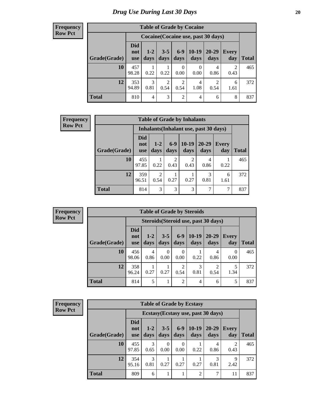#### **Frequency Row Pct**

Г

|              |                          |                 |                 |                        | <b>Table of Grade by Cocaine</b> |                                     |                        |              |
|--------------|--------------------------|-----------------|-----------------|------------------------|----------------------------------|-------------------------------------|------------------------|--------------|
|              |                          |                 |                 |                        |                                  | Cocaine (Cocaine use, past 30 days) |                        |              |
| Grade(Grade) | Did<br>not<br><b>use</b> | $1 - 2$<br>days | $3 - 5$<br>days | $6 - 9$<br>days        | $10-19$<br>days                  | 20-29<br>days                       | Every<br>day           | <b>Total</b> |
| 10           | 457<br>98.28             | 0.22            | 0.22            | $\theta$<br>0.00       | 0<br>0.00                        | 4<br>0.86                           | $\overline{2}$<br>0.43 | 465          |
| 12           | 353<br>94.89             | 3<br>0.81       | 2<br>0.54       | $\overline{c}$<br>0.54 | 4<br>1.08                        | $\mathcal{D}$<br>0.54               | 6<br>1.61              | 372          |
| <b>Total</b> | 810                      | $\overline{4}$  | 3               | $\overline{2}$         | 4                                | 6                                   | 8                      | 837          |

| <b>Frequency</b> |              | <b>Table of Grade by Inhalants</b> |                        |                                        |                        |                   |                     |              |  |  |
|------------------|--------------|------------------------------------|------------------------|----------------------------------------|------------------------|-------------------|---------------------|--------------|--|--|
| <b>Row Pct</b>   |              |                                    |                        | Inhalants (Inhalant use, past 30 days) |                        |                   |                     |              |  |  |
|                  | Grade(Grade) | <b>Did</b><br>not<br>use           | $1-2$<br>days          | $6-9$<br>days                          | $10-19$<br>days        | $20 - 29$<br>days | <b>Every</b><br>day | <b>Total</b> |  |  |
|                  | 10           | 455<br>97.85                       | 0.22                   | $\mathfrak{D}$<br>0.43                 | $\overline{2}$<br>0.43 | 4<br>0.86         | 0.22                | 465          |  |  |
|                  | 12           | 359<br>96.51                       | $\overline{2}$<br>0.54 | 0.27                                   | 0.27                   | 3<br>0.81         | 6<br>1.61           | 372          |  |  |
|                  | <b>Total</b> | 814                                | 3                      | 3                                      | 3                      | $\mathcal{I}$     | 7                   | 837          |  |  |

| <b>Frequency</b> |
|------------------|
| <b>Row Pct</b>   |

r

| <b>Table of Grade by Steroids</b> |                                      |                 |                  |                  |                 |                   |                     |              |  |  |  |
|-----------------------------------|--------------------------------------|-----------------|------------------|------------------|-----------------|-------------------|---------------------|--------------|--|--|--|
|                                   | Steroids (Steroid use, past 30 days) |                 |                  |                  |                 |                   |                     |              |  |  |  |
| Grade(Grade)                      | <b>Did</b><br>not<br><b>use</b>      | $1 - 2$<br>days | $3 - 5$<br>days  | $6 - 9$<br>days  | $10-19$<br>days | $20 - 29$<br>days | <b>Every</b><br>day | <b>Total</b> |  |  |  |
| 10                                | 456<br>98.06                         | 4<br>0.86       | $\Omega$<br>0.00 | $\theta$<br>0.00 | 0.22            | 4<br>0.86         | $\Omega$<br>0.00    | 465          |  |  |  |
| 12                                | 358<br>96.24                         | 0.27            | 0.27             | 2<br>0.54        | 3<br>0.81       | 0.54              | 1.34                | 372          |  |  |  |
| <b>Total</b>                      | 814                                  | 5               |                  | $\overline{2}$   | 4               | 6                 | 5                   | 837          |  |  |  |

| <b>Frequency</b> |  |
|------------------|--|
| <b>Row Pct</b>   |  |

| <b>Table of Grade by Ecstasy</b> |                                 |                                     |                 |                  |                 |                   |              |              |  |  |  |
|----------------------------------|---------------------------------|-------------------------------------|-----------------|------------------|-----------------|-------------------|--------------|--------------|--|--|--|
|                                  |                                 | Ecstasy (Ecstasy use, past 30 days) |                 |                  |                 |                   |              |              |  |  |  |
| Grade(Grade)                     | <b>Did</b><br>not<br><b>use</b> | $1-2$<br>days                       | $3 - 5$<br>days | $6-9$<br>days    | $10-19$<br>days | $20 - 29$<br>days | Every<br>day | <b>Total</b> |  |  |  |
| 10                               | 455<br>97.85                    | 3<br>0.65                           | 0<br>0.00       | $\Omega$<br>0.00 | 0.22            | 4<br>0.86         | 2<br>0.43    | 465          |  |  |  |
| 12                               | 354<br>95.16                    | 3<br>0.81                           | 0.27            | 0.27             | 0.27            | 3<br>0.81         | 9<br>2.42    | 372          |  |  |  |
| <b>Total</b>                     | 809                             | 6                                   | 1               |                  | $\overline{2}$  | 7                 | 11           | 837          |  |  |  |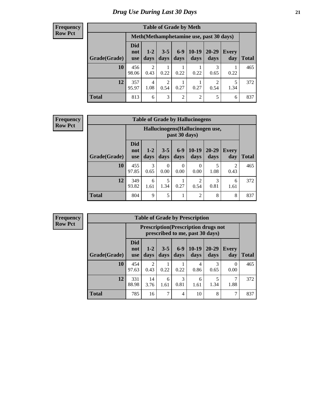#### **Frequency Row Pct**

|              |                                 |                        | <b>Table of Grade by Meth</b> |                |                                         |                        |              |              |
|--------------|---------------------------------|------------------------|-------------------------------|----------------|-----------------------------------------|------------------------|--------------|--------------|
|              |                                 |                        |                               |                | Meth(Methamphetamine use, past 30 days) |                        |              |              |
| Grade(Grade) | <b>Did</b><br>not<br><b>use</b> | $1 - 2$<br>days        | $3 - 5$<br>days               | $6-9$<br>days  | $10-19$<br>days                         | 20-29<br>days          | Every<br>day | <b>Total</b> |
| 10           | 456<br>98.06                    | 2<br>0.43              | 0.22                          | 0.22           | 0.22                                    | 3<br>0.65              | 0.22         | 465          |
| 12           | 357<br>95.97                    | $\overline{4}$<br>1.08 | $\overline{c}$<br>0.54        | 1<br>0.27      | 0.27                                    | $\overline{2}$<br>0.54 | 5<br>1.34    | 372          |
| <b>Total</b> | 813                             | 6                      | 3                             | $\overline{2}$ | $\overline{2}$                          | 5                      | 6            | 837          |

#### **Frequency Row Pct**

| <b>Table of Grade by Hallucinogens</b> |                                 |                                                   |                 |                 |                 |               |                        |              |  |  |  |
|----------------------------------------|---------------------------------|---------------------------------------------------|-----------------|-----------------|-----------------|---------------|------------------------|--------------|--|--|--|
|                                        |                                 | Hallucinogens (Hallucinogen use,<br>past 30 days) |                 |                 |                 |               |                        |              |  |  |  |
| Grade(Grade)                           | <b>Did</b><br>not<br><b>use</b> | $1 - 2$<br>days                                   | $3 - 5$<br>days | $6 - 9$<br>days | $10-19$<br>days | 20-29<br>days | Every<br>day           | <b>Total</b> |  |  |  |
| 10                                     | 455<br>97.85                    | 3<br>0.65                                         | 0<br>0.00       | 0<br>0.00       | 0<br>0.00       | 5<br>1.08     | $\mathfrak{D}$<br>0.43 | 465          |  |  |  |
| 12                                     | 349<br>93.82                    | 6<br>1.61                                         | 5<br>1.34       | 0.27            | 2<br>0.54       | 3<br>0.81     | 6<br>1.61              | 372          |  |  |  |
| <b>Total</b>                           | 804                             | 9                                                 | 5               | $\mathbf{1}$    | 2               | 8             | 8                      | 837          |  |  |  |

**Frequency Row Pct**

| <b>Table of Grade by Prescription</b> |                                 |                                                                                |                 |               |                 |               |              |              |  |  |  |  |
|---------------------------------------|---------------------------------|--------------------------------------------------------------------------------|-----------------|---------------|-----------------|---------------|--------------|--------------|--|--|--|--|
|                                       |                                 | <b>Prescription</b> (Prescription drugs not<br>prescribed to me, past 30 days) |                 |               |                 |               |              |              |  |  |  |  |
| Grade(Grade)                          | <b>Did</b><br>not<br><b>use</b> | $1 - 2$<br>days                                                                | $3 - 5$<br>days | $6-9$<br>days | $10-19$<br>days | 20-29<br>days | Every<br>day | <b>Total</b> |  |  |  |  |
| 10                                    | 454<br>97.63                    | 2<br>0.43                                                                      | 0.22            | 0.22          | 4<br>0.86       | 0.65          | 0<br>0.00    | 465          |  |  |  |  |
| 12                                    | 331<br>88.98                    | 14<br>3.76                                                                     | 6<br>1.61       | 3<br>0.81     | 6<br>1.61       | 1.34          | 1.88         | 372          |  |  |  |  |
| <b>Total</b>                          | 785                             | 16                                                                             | 7               | 4             | 10              | 8             | 7            | 837          |  |  |  |  |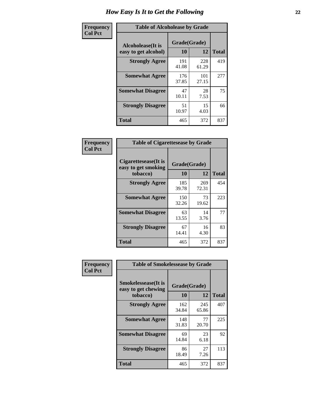| Frequency      | <b>Table of Alcoholease by Grade</b>              |                    |              |     |  |  |  |  |  |  |
|----------------|---------------------------------------------------|--------------------|--------------|-----|--|--|--|--|--|--|
| <b>Col Pct</b> | <b>Alcoholease</b> (It is<br>easy to get alcohol) | Grade(Grade)<br>10 | <b>Total</b> |     |  |  |  |  |  |  |
|                | <b>Strongly Agree</b>                             | 191<br>41.08       | 228<br>61.29 | 419 |  |  |  |  |  |  |
|                | <b>Somewhat Agree</b>                             | 176<br>37.85       | 101<br>27.15 | 277 |  |  |  |  |  |  |
|                | <b>Somewhat Disagree</b>                          | 47<br>10.11        | 28<br>7.53   | 75  |  |  |  |  |  |  |
|                | <b>Strongly Disagree</b>                          | 51<br>10.97        | 15<br>4.03   | 66  |  |  |  |  |  |  |
|                | <b>Total</b>                                      | 465                | 372          | 837 |  |  |  |  |  |  |

| Frequency      | <b>Table of Cigarettesease by Grade</b>                  |                    |              |     |  |  |  |  |  |
|----------------|----------------------------------------------------------|--------------------|--------------|-----|--|--|--|--|--|
| <b>Col Pct</b> | Cigarettesease (It is<br>easy to get smoking<br>tobacco) | Grade(Grade)<br>10 | <b>Total</b> |     |  |  |  |  |  |
|                | <b>Strongly Agree</b>                                    | 185<br>39.78       | 269<br>72.31 | 454 |  |  |  |  |  |
|                | <b>Somewhat Agree</b>                                    | 150<br>32.26       | 73<br>19.62  | 223 |  |  |  |  |  |
|                | <b>Somewhat Disagree</b>                                 | 63<br>13.55        | 14<br>3.76   | 77  |  |  |  |  |  |
|                | <b>Strongly Disagree</b>                                 | 67<br>14.41        | 16<br>4.30   | 83  |  |  |  |  |  |
|                | Total                                                    | 465                | 372          | 837 |  |  |  |  |  |

| Frequency      | <b>Table of Smokelessease by Grade</b>                         |                    |              |     |  |  |  |  |  |  |
|----------------|----------------------------------------------------------------|--------------------|--------------|-----|--|--|--|--|--|--|
| <b>Col Pct</b> | <b>Smokelessease</b> (It is<br>easy to get chewing<br>tobacco) | Grade(Grade)<br>10 | <b>Total</b> |     |  |  |  |  |  |  |
|                |                                                                |                    | 12           |     |  |  |  |  |  |  |
|                | <b>Strongly Agree</b>                                          | 162<br>34.84       | 245<br>65.86 | 407 |  |  |  |  |  |  |
|                | <b>Somewhat Agree</b>                                          | 148<br>31.83       | 77<br>20.70  | 225 |  |  |  |  |  |  |
|                | <b>Somewhat Disagree</b>                                       | 69<br>14.84        | 23<br>6.18   | 92  |  |  |  |  |  |  |
|                | <b>Strongly Disagree</b>                                       | 86<br>18.49        | 27<br>7.26   | 113 |  |  |  |  |  |  |
|                | Total                                                          | 465                | 372          | 837 |  |  |  |  |  |  |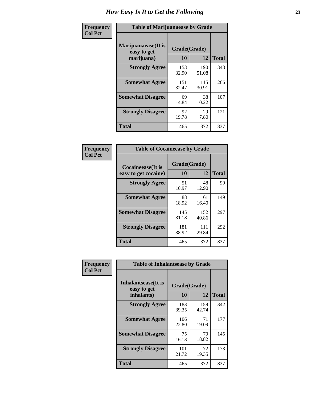| Frequency      | <b>Table of Marijuanaease by Grade</b>           |                    |              |     |  |  |  |  |
|----------------|--------------------------------------------------|--------------------|--------------|-----|--|--|--|--|
| <b>Col Pct</b> | Marijuanaease(It is<br>easy to get<br>marijuana) | Grade(Grade)<br>10 | <b>Total</b> |     |  |  |  |  |
|                | <b>Strongly Agree</b>                            | 153<br>32.90       | 190<br>51.08 | 343 |  |  |  |  |
|                | <b>Somewhat Agree</b>                            | 151<br>32.47       | 115<br>30.91 | 266 |  |  |  |  |
|                | <b>Somewhat Disagree</b>                         | 69<br>14.84        | 38<br>10.22  | 107 |  |  |  |  |
|                | <b>Strongly Disagree</b>                         | 92<br>19.78        | 29<br>7.80   | 121 |  |  |  |  |
|                | Total                                            | 465                | 372          | 837 |  |  |  |  |

| <b>Table of Cocaineease by Grade</b>      |                    |              |     |  |  |  |  |  |
|-------------------------------------------|--------------------|--------------|-----|--|--|--|--|--|
| Cocaineease(It is<br>easy to get cocaine) | Grade(Grade)<br>10 | <b>Total</b> |     |  |  |  |  |  |
| <b>Strongly Agree</b>                     | 51<br>10.97        | 48<br>12.90  | 99  |  |  |  |  |  |
| <b>Somewhat Agree</b>                     | 88<br>18.92        | 61<br>16.40  | 149 |  |  |  |  |  |
| <b>Somewhat Disagree</b>                  | 145<br>31.18       | 152<br>40.86 | 297 |  |  |  |  |  |
| <b>Strongly Disagree</b>                  | 181<br>38.92       | 111<br>29.84 | 292 |  |  |  |  |  |
| <b>Total</b>                              | 465                | 372          | 837 |  |  |  |  |  |

| Frequency      | <b>Table of Inhalantsease by Grade</b>     |              |              |              |  |  |  |  |  |  |
|----------------|--------------------------------------------|--------------|--------------|--------------|--|--|--|--|--|--|
| <b>Col Pct</b> | <b>Inhalantsease</b> (It is<br>easy to get | Grade(Grade) |              |              |  |  |  |  |  |  |
|                | inhalants)                                 | 10           | 12           | <b>Total</b> |  |  |  |  |  |  |
|                | <b>Strongly Agree</b>                      | 183<br>39.35 | 159<br>42.74 | 342          |  |  |  |  |  |  |
|                | <b>Somewhat Agree</b>                      | 106<br>22.80 | 71<br>19.09  | 177          |  |  |  |  |  |  |
|                | <b>Somewhat Disagree</b>                   | 75<br>16.13  | 70<br>18.82  | 145          |  |  |  |  |  |  |
|                | <b>Strongly Disagree</b>                   | 101<br>21.72 | 72<br>19.35  | 173          |  |  |  |  |  |  |
|                | <b>Total</b>                               | 465          | 372          | 837          |  |  |  |  |  |  |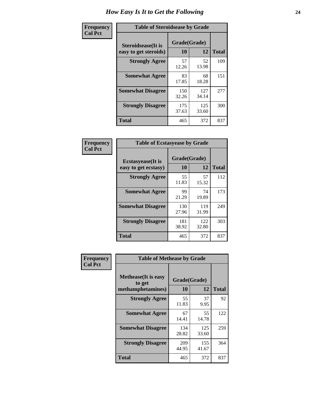| Frequency      | <b>Table of Steroidsease by Grade</b>               |                    |              |     |  |  |  |  |
|----------------|-----------------------------------------------------|--------------------|--------------|-----|--|--|--|--|
| <b>Col Pct</b> | <b>Steroidsease</b> (It is<br>easy to get steroids) | Grade(Grade)<br>10 | <b>Total</b> |     |  |  |  |  |
|                | <b>Strongly Agree</b>                               | 57<br>12.26        | 52<br>13.98  | 109 |  |  |  |  |
|                | <b>Somewhat Agree</b>                               | 83<br>17.85        | 68<br>18.28  | 151 |  |  |  |  |
|                | <b>Somewhat Disagree</b>                            | 150<br>32.26       | 127<br>34.14 | 277 |  |  |  |  |
|                | <b>Strongly Disagree</b>                            | 175<br>37.63       | 125<br>33.60 | 300 |  |  |  |  |
|                | <b>Total</b>                                        | 465                | 372          | 837 |  |  |  |  |

| Frequency      | <b>Table of Ecstasyease by Grade</b>              |                    |              |     |  |  |  |  |
|----------------|---------------------------------------------------|--------------------|--------------|-----|--|--|--|--|
| <b>Col Pct</b> | <b>Ecstasyease</b> (It is<br>easy to get ecstasy) | Grade(Grade)<br>10 | <b>Total</b> |     |  |  |  |  |
|                | <b>Strongly Agree</b>                             | 55<br>11.83        | 57<br>15.32  | 112 |  |  |  |  |
|                | <b>Somewhat Agree</b>                             | 99<br>21.29        | 74<br>19.89  | 173 |  |  |  |  |
|                | <b>Somewhat Disagree</b>                          | 130<br>27.96       | 119<br>31.99 | 249 |  |  |  |  |
|                | <b>Strongly Disagree</b>                          | 181<br>38.92       | 122<br>32.80 | 303 |  |  |  |  |
|                | <b>Total</b>                                      | 465                | 372          | 837 |  |  |  |  |

| Frequency      | <b>Table of Methease by Grade</b>                          |                    |              |     |  |  |  |  |
|----------------|------------------------------------------------------------|--------------------|--------------|-----|--|--|--|--|
| <b>Col Pct</b> | <b>Methease</b> (It is easy<br>to get<br>methamphetamines) | Grade(Grade)<br>10 | <b>Total</b> |     |  |  |  |  |
|                | <b>Strongly Agree</b>                                      | 55<br>11.83        | 37<br>9.95   | 92  |  |  |  |  |
|                | <b>Somewhat Agree</b>                                      | 67<br>14.41        | 55<br>14.78  | 122 |  |  |  |  |
|                | <b>Somewhat Disagree</b>                                   | 134<br>28.82       | 125<br>33.60 | 259 |  |  |  |  |
|                | <b>Strongly Disagree</b>                                   | 209<br>44.95       | 155<br>41.67 | 364 |  |  |  |  |
|                | Total                                                      | 465                | 372          | 837 |  |  |  |  |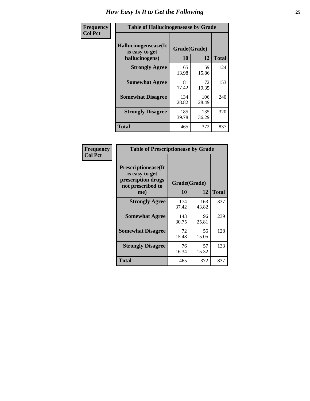| <b>Frequency</b> | <b>Table of Hallucinogensease by Grade</b>                |                    |              |     |  |  |  |  |  |
|------------------|-----------------------------------------------------------|--------------------|--------------|-----|--|--|--|--|--|
| <b>Col Pct</b>   | Hallucinogensease(It)<br>is easy to get<br>hallucinogens) | Grade(Grade)<br>10 | <b>Total</b> |     |  |  |  |  |  |
|                  | <b>Strongly Agree</b>                                     | 65<br>13.98        | 59<br>15.86  | 124 |  |  |  |  |  |
|                  | <b>Somewhat Agree</b>                                     | 81<br>17.42        | 72<br>19.35  | 153 |  |  |  |  |  |
|                  | <b>Somewhat Disagree</b>                                  | 134<br>28.82       | 106<br>28.49 | 240 |  |  |  |  |  |
|                  | <b>Strongly Disagree</b>                                  | 185<br>39.78       | 135<br>36.29 | 320 |  |  |  |  |  |
|                  | <b>Total</b>                                              | 465                | 372          | 837 |  |  |  |  |  |

| Frequency<br>Col Pct |
|----------------------|
|                      |

| <b>Table of Prescriptionease by Grade</b>                                               |              |              |              |  |  |  |  |
|-----------------------------------------------------------------------------------------|--------------|--------------|--------------|--|--|--|--|
| <b>Prescriptionease(It</b><br>is easy to get<br>prescription drugs<br>not prescribed to |              | Grade(Grade) |              |  |  |  |  |
| me)                                                                                     | 10           | 12           | <b>Total</b> |  |  |  |  |
| <b>Strongly Agree</b>                                                                   | 174<br>37.42 | 163<br>43.82 | 337          |  |  |  |  |
| <b>Somewhat Agree</b>                                                                   | 143<br>30.75 | 96<br>25.81  | 239          |  |  |  |  |
| <b>Somewhat Disagree</b>                                                                | 72<br>15.48  | 56<br>15.05  | 128          |  |  |  |  |
| <b>Strongly Disagree</b>                                                                | 76<br>16.34  | 57<br>15.32  | 133          |  |  |  |  |
| <b>Total</b>                                                                            | 465          | 372          | 837          |  |  |  |  |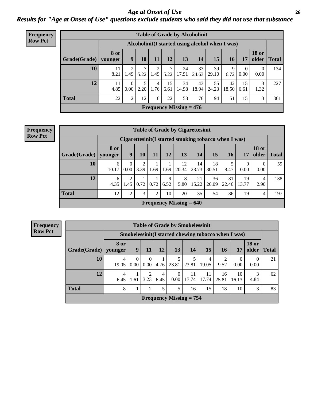*Age at Onset of Use* **26** *Results for "Age at Onset of Use" questions exclude students who said they did not use that substance*

| Frequency      | <b>Table of Grade by Alcoholinit</b> |                        |                                                  |           |                        |                         |                           |             |             |             |                  |                       |              |
|----------------|--------------------------------------|------------------------|--------------------------------------------------|-----------|------------------------|-------------------------|---------------------------|-------------|-------------|-------------|------------------|-----------------------|--------------|
| <b>Row Pct</b> |                                      |                        | Alcoholinit (I started using alcohol when I was) |           |                        |                         |                           |             |             |             |                  |                       |              |
|                | Grade(Grade)                         | <b>8 or</b><br>younger | 9                                                | 10        | 11                     | 12                      | 13                        | 14          | 15          | 16          | 17               | <b>18 or</b><br>older | <b>Total</b> |
|                | 10                                   | 11<br>8.21             | 2<br>1.49                                        | 7<br>5.22 | 2<br>1.49              |                         | 24<br>$5.22$   17.91      | 33<br>24.63 | 39<br>29.10 | 9<br>6.72   | $\Omega$<br>0.00 | $\theta$<br>0.00      | 134          |
|                | 12                                   | 11<br>4.85             | $\Omega$<br>0.00                                 | 5<br>2.20 | $\overline{4}$<br>1.76 | 15 <sup>1</sup><br>6.61 | 34<br>14.98               | 43<br>18.94 | 55<br>24.23 | 42<br>18.50 | 15<br>6.61       | 3<br>1.32             | 227          |
|                | <b>Total</b>                         | 22                     | $\overline{2}$                                   | 12        | 6                      | 22                      | 58                        | 76          | 94          | 51          | 15               | 3                     | 361          |
|                |                                      |                        |                                                  |           |                        |                         | Frequency Missing $= 476$ |             |             |             |                  |                       |              |

| Frequency<br>Row Pct |  |
|----------------------|--|
|                      |  |

|                                                                                         |                 |                  |                        |      |           | <b>Table of Grade by Cigarettesinit</b> |             |                                                       |             |                  |                        |              |  |
|-----------------------------------------------------------------------------------------|-----------------|------------------|------------------------|------|-----------|-----------------------------------------|-------------|-------------------------------------------------------|-------------|------------------|------------------------|--------------|--|
|                                                                                         |                 |                  |                        |      |           |                                         |             | Cigarettesinit (I started smoking tobacco when I was) |             |                  |                        |              |  |
| Grade(Grade)                                                                            | 8 or<br>younger | 9                | 10                     | 11   | 12        | 13                                      | 14          | 15                                                    | 16          | 17               | <b>18 or</b><br>older  | <b>Total</b> |  |
| 10                                                                                      | 6<br>10.17      | $\Omega$<br>0.00 | $\overline{2}$<br>3.39 | 1.69 | 1.69      | 12<br>20.34                             | 14<br>23.73 | 18<br>30.51                                           | 8.47        | $\theta$<br>0.00 | $\left($<br>0.00       | 59           |  |
| 12                                                                                      | 6<br>4.35       | 2<br>1.45        | 0.72                   | 0.72 | 9<br>6.52 | 8<br>5.80                               | 21<br>15.22 | 36<br>26.09                                           | 31<br>22.46 | 19<br>13.77      | $\overline{4}$<br>2.90 | 138          |  |
| Total<br>3<br>36<br>12<br>2<br>$\overline{2}$<br>20<br>35<br>54<br>19<br>10<br>197<br>4 |                 |                  |                        |      |           |                                         |             |                                                       |             |                  |                        |              |  |
|                                                                                         |                 |                  |                        |      |           | Frequency Missing $= 640$               |             |                                                       |             |                  |                        |              |  |

**Frequency Row Pct**

|              | <b>Table of Grade by Smokelessinit</b> |                               |                      |           |                           |             |                                                     |                        |                          |                       |              |  |  |  |  |
|--------------|----------------------------------------|-------------------------------|----------------------|-----------|---------------------------|-------------|-----------------------------------------------------|------------------------|--------------------------|-----------------------|--------------|--|--|--|--|
|              |                                        |                               |                      |           |                           |             | Smokelessinit(I started chewing tobacco when I was) |                        |                          |                       |              |  |  |  |  |
| Grade(Grade) | <b>8 or</b><br>younger                 | 9                             | 11                   | 12        | 13                        | 14          | 15                                                  | <b>16</b>              | 17                       | <b>18 or</b><br>older | <b>Total</b> |  |  |  |  |
| 10           | 4<br>19.05                             | $\Omega$<br>0.00 <sub>1</sub> | $\Omega$<br>$0.00\,$ | 4.76      | 5<br>23.81                | 23.81       | $\overline{4}$<br>19.05                             | $\mathfrak{D}$<br>9.52 | $\left( \right)$<br>0.00 | $\theta$<br>0.00      | 21           |  |  |  |  |
| 12           | 4<br>6.45                              | 1.61                          | 2<br>3.23            | 4<br>6.45 | $\Omega$<br>0.00          | 11<br>17.74 | 11<br>17.74                                         | 16<br>25.81            | 10<br>16.13              | 4.84                  | 62           |  |  |  |  |
| <b>Total</b> | 8                                      |                               | $\overline{2}$       | 5         | 5                         | 16          | 15                                                  | 18                     | 10                       | 3                     | 83           |  |  |  |  |
|              |                                        |                               |                      |           | Frequency Missing $= 754$ |             |                                                     |                        |                          |                       |              |  |  |  |  |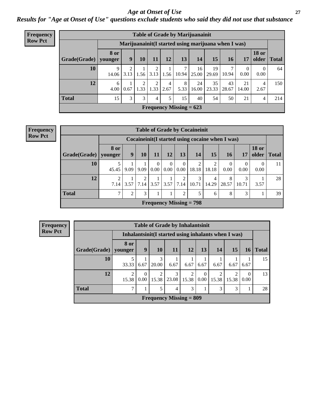#### *Age at Onset of Use* **27**

*Results for "Age at Onset of Use" questions exclude students who said they did not use that substance*

| <b>Frequency</b> | <b>Table of Grade by Marijuanainit</b> |                        |                                                                         |      |           |           |                                             |                                                      |                  |             |                      |                           |              |  |
|------------------|----------------------------------------|------------------------|-------------------------------------------------------------------------|------|-----------|-----------|---------------------------------------------|------------------------------------------------------|------------------|-------------|----------------------|---------------------------|--------------|--|
| <b>Row Pct</b>   |                                        |                        |                                                                         |      |           |           |                                             | Marijuanainit (I started using marijuana when I was) |                  |             |                      |                           |              |  |
|                  | Grade(Grade)                           | <b>8 or</b><br>younger | 9                                                                       | 10   | 11        | 12        | 13 <sup>1</sup>                             | 14                                                   | 15 <sup>15</sup> | 16          | 17                   | <b>18 or</b><br>older $ $ | <b>Total</b> |  |
|                  | 10                                     | 9<br>14.06             | 2<br>3.13                                                               | 1.56 | 3.13      | 1.56      | 10.94                                       | 16<br>25.00                                          | 19<br>29.69      | 10.94       | $\theta$<br>$0.00\,$ | $\theta$<br>0.00          | 64           |  |
|                  | 12                                     | 6<br>4.00              | 0.67                                                                    | 1.33 | റ<br>1.33 | 4<br>2.67 | 8<br>5.33                                   | 24<br>16.00                                          | 35<br> 23.33     | 43<br>28.67 | 21<br>14.00          | 4<br>2.67                 | 150          |  |
|                  | <b>Total</b>                           | 15                     | 3<br>3 <sub>1</sub><br>15<br>50<br>5<br>40<br>54<br>21<br>214<br>4<br>4 |      |           |           |                                             |                                                      |                  |             |                      |                           |              |  |
|                  |                                        |                        |                                                                         |      |           |           | <b>Frequency Missing = <math>623</math></b> |                                                      |                  |             |                      |                           |              |  |

| <b>Frequency</b> |
|------------------|
| Row Pct          |

|                        |                                                   |      |           |                  |                  |                        | <b>Table of Grade by Cocaineinit</b>               |            |                  |                  |                       |              |  |  |
|------------------------|---------------------------------------------------|------|-----------|------------------|------------------|------------------------|----------------------------------------------------|------------|------------------|------------------|-----------------------|--------------|--|--|
|                        |                                                   |      |           |                  |                  |                        | Cocaine in it (I started using cocaine when I was) |            |                  |                  |                       |              |  |  |
| Grade(Grade)   younger | <b>8 or</b>                                       | 9    | <b>10</b> | <b>11</b>        | 12               | 13                     | <b>14</b>                                          | 15         | <b>16</b>        | <b>17</b>        | <b>18 or</b><br>older | <b>Total</b> |  |  |
| 10                     | 45.45                                             | 9.09 | 9.09      | $\theta$<br>0.00 | $\theta$<br>0.00 | $\theta$<br>0.00       | 2<br>18.18                                         | 18.18      | $\theta$<br>0.00 | $\Omega$<br>0.00 | 0.00                  | 11           |  |  |
| 12                     | $\mathfrak{D}$<br>7.14                            | 3.57 | 2<br>7.14 | 3.57             | 3.57             | $\overline{2}$<br>7.14 | 3<br>10.71                                         | 4<br>14.29 | 8<br>28.57       | 3<br>10.71       | 3.57                  | 28           |  |  |
| <b>Total</b>           | 3<br>3<br>7<br>$\overline{2}$<br>5<br>8<br>2<br>6 |      |           |                  |                  |                        |                                                    |            |                  |                  |                       |              |  |  |
|                        |                                                   |      |           |                  |                  |                        | Frequency Missing $= 798$                          |            |                  |                  |                       |              |  |  |

| <b>Frequency</b> |              |
|------------------|--------------|
| <b>Row Pct</b>   |              |
|                  |              |
|                  | <b>Grade</b> |
|                  |              |
|                  |              |

|                      |                                         |                  |                         | <b>Table of Grade by Inhalantsinit</b>               |            |                  |       |           |                  |              |  |  |  |  |
|----------------------|-----------------------------------------|------------------|-------------------------|------------------------------------------------------|------------|------------------|-------|-----------|------------------|--------------|--|--|--|--|
|                      |                                         |                  |                         | Inhalantsinit (I started using inhalants when I was) |            |                  |       |           |                  |              |  |  |  |  |
| <b>Grade</b> (Grade) | 8 or<br>vounger                         | 9                | <b>10</b>               | <b>11</b>                                            | <b>12</b>  | 13               | 14    | <b>15</b> | <b>16</b>        | <b>Total</b> |  |  |  |  |
| 10                   | 5<br>33.33                              | 6.67             | 3<br>20.00              | 6.67                                                 | 6.67       | 6.67             | 6.67  | 6.67      | 6.67             | 15           |  |  |  |  |
| 12                   | $\overline{c}$<br>15.38                 | $\Omega$<br>0.00 | $\overline{2}$<br>15.38 | 3<br>23.08                                           | 2<br>15.38 | $\Omega$<br>0.00 | 15.38 | 15.38     | $\Omega$<br>0.00 | 13           |  |  |  |  |
| <b>Total</b>         | 7<br>5<br>3<br>3<br>$\overline{4}$<br>3 |                  |                         |                                                      |            |                  |       |           |                  |              |  |  |  |  |
|                      |                                         |                  |                         | Frequency Missing $= 809$                            |            |                  |       |           |                  |              |  |  |  |  |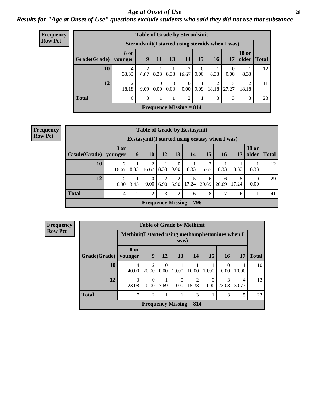#### *Age at Onset of Use* **28**

*Results for "Age at Onset of Use" questions exclude students who said they did not use that substance*

| <b>Frequency</b> |                                |                        | <b>Table of Grade by Steroidsinit</b> |                  |                  |                         |                  |            |                                                   |                         |              |  |  |  |
|------------------|--------------------------------|------------------------|---------------------------------------|------------------|------------------|-------------------------|------------------|------------|---------------------------------------------------|-------------------------|--------------|--|--|--|
| <b>Row Pct</b>   |                                |                        |                                       |                  |                  |                         |                  |            | Steroidsinit(I started using steroids when I was) |                         |              |  |  |  |
|                  | Grade(Grade)                   | <b>8 or</b><br>younger | 9                                     | 11               | 13               | 14                      | 15               | 16         | <b>17</b>                                         | <b>18 or</b><br>older   | <b>Total</b> |  |  |  |
|                  | 10                             | 4<br>33.33             | $\overline{2}$<br>16.67               | 8.33             | 8.33             | $\overline{c}$<br>16.67 | $\Omega$<br>0.00 | 8.33       | 0<br>0.00                                         | 8.33                    | 12           |  |  |  |
|                  | 12                             | 2<br>18.18             | 9.09                                  | $\Omega$<br>0.00 | $\Omega$<br>0.00 | $\Omega$<br>0.00        | 9.09             | ◠<br>18.18 | 3<br>27.27                                        | $\mathfrak{D}$<br>18.18 | 11           |  |  |  |
|                  | <b>Total</b>                   | 6                      | 3                                     |                  |                  | $\overline{c}$          |                  | 3          | 3                                                 | 3                       | 23           |  |  |  |
|                  | <b>Frequency Missing = 814</b> |                        |                                       |                  |                  |                         |                  |            |                                                   |                         |              |  |  |  |

**Frequency Row Pct**

|                      |                                                                                                                                                |                                                                                                    | <b>Table of Grade by Ecstasyinit</b>             |      |                  |                                |       |      |      |      |    |  |  |  |  |  |
|----------------------|------------------------------------------------------------------------------------------------------------------------------------------------|----------------------------------------------------------------------------------------------------|--------------------------------------------------|------|------------------|--------------------------------|-------|------|------|------|----|--|--|--|--|--|
|                      |                                                                                                                                                |                                                                                                    | Ecstasyinit (I started using ecstasy when I was) |      |                  |                                |       |      |      |      |    |  |  |  |  |  |
| <b>Grade</b> (Grade) | 8 or<br>vounger                                                                                                                                | <b>18 or</b><br>15<br>older<br>9<br>13<br>14<br><b>10</b><br>12<br><b>16</b><br><b>Total</b><br>17 |                                                  |      |                  |                                |       |      |      |      |    |  |  |  |  |  |
| 10                   | 2<br>16.67                                                                                                                                     | 8.33                                                                                               | $\mathfrak{D}$<br>16.67                          | 8.33 | $\theta$<br>0.00 | 8.33                           | 16.67 | 8.33 | 8.33 | 8.33 | 12 |  |  |  |  |  |
| 12                   | $\overline{2}$<br>2<br>$\Omega$<br>5<br>6<br>6<br>$\left($<br>6.90<br>0.00<br>6.90<br>6.90<br>17.24<br>20.69<br>3.45<br>20.69<br>17.24<br>0.00 |                                                                                                    |                                                  |      |                  |                                |       |      |      |      |    |  |  |  |  |  |
| <b>Total</b>         | 7<br>$\overline{2}$<br>2<br>3<br>2<br>8<br>$\overline{4}$<br>41<br>6<br>6                                                                      |                                                                                                    |                                                  |      |                  |                                |       |      |      |      |    |  |  |  |  |  |
|                      |                                                                                                                                                |                                                                                                    |                                                  |      |                  | <b>Frequency Missing = 796</b> |       |      |      |      |    |  |  |  |  |  |

| <b>Frequency</b> | <b>Table of Grade by Methinit</b> |                                                   |                         |                  |                  |                           |                  |                  |            |              |  |  |  |  |
|------------------|-----------------------------------|---------------------------------------------------|-------------------------|------------------|------------------|---------------------------|------------------|------------------|------------|--------------|--|--|--|--|
| <b>Row Pct</b>   |                                   | Methinit (I started using methamphetamines when I |                         |                  | was)             |                           |                  |                  |            |              |  |  |  |  |
|                  | Grade(Grade)                      | 8 or<br>younger                                   | 9                       | 12               | 13               | 14                        | 15               | <b>16</b>        | 17         | <b>Total</b> |  |  |  |  |
|                  | 10                                | 4<br>40.00                                        | $\mathfrak{D}$<br>20.00 | $\Omega$<br>0.00 | 10.00            | 10.00                     | 10.00            | $\Omega$<br>0.00 | 10.00      | 10           |  |  |  |  |
|                  | 12                                | 3<br>23.08                                        | 0<br>0.00               | 7.69             | $\theta$<br>0.00 | $\mathfrak{D}$<br>15.38   | 0<br>$0.00\vert$ | 3<br>23.08       | 4<br>30.77 | 13           |  |  |  |  |
|                  | <b>Total</b>                      | 2<br>3<br>3<br>5                                  |                         |                  |                  |                           |                  |                  |            |              |  |  |  |  |
|                  |                                   |                                                   |                         |                  |                  | Frequency Missing $= 814$ |                  |                  |            |              |  |  |  |  |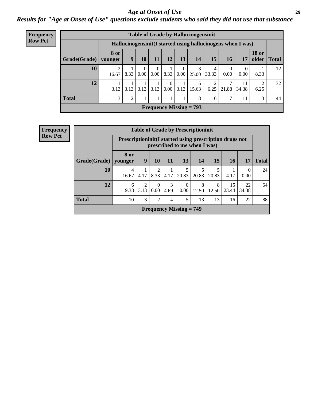#### *Age at Onset of Use* **29**

*Results for "Age at Onset of Use" questions exclude students who said they did not use that substance*

| Frequency      | <b>Table of Grade by Hallucinogensinit</b> |                        |                |                  |                  |                              |               |                                                             |                        |           |             |                                |              |  |
|----------------|--------------------------------------------|------------------------|----------------|------------------|------------------|------------------------------|---------------|-------------------------------------------------------------|------------------------|-----------|-------------|--------------------------------|--------------|--|
| <b>Row Pct</b> |                                            |                        |                |                  |                  |                              |               | Hallucinogensinit(I started using hallucinogens when I was) |                        |           |             |                                |              |  |
|                | Grade(Grade)                               | <b>8 or</b><br>younger | 9 <sup>°</sup> | 10               | 11               | <b>12</b>                    | 13            | 14                                                          | 15                     | <b>16</b> | 17          | <b>18 or</b><br>$\Omega$ older | <b>Total</b> |  |
|                | 10                                         | 2<br>16.67             | 8.33           | $\theta$<br>0.00 | $\Omega$<br>0.00 | 8.33                         | 0<br>$0.00\,$ | 3<br>25.00                                                  | 4<br>33.33             | 0.00      | 0.00        | 8.33                           | 12           |  |
|                | 12                                         | 3.13                   | 3.13           | 3.13             | 3.13             | $\theta$<br>$0.00 \mid 3.13$ |               | 5<br>15.63                                                  | $\overline{2}$<br>6.25 | 21.88     | 11<br>34.38 | 2<br>6.25                      | 32           |  |
|                | <b>Total</b>                               | 3                      | 2              |                  |                  |                              |               | 8                                                           | 6                      | ⇁         | 11          | 3                              | 44           |  |
|                |                                            |                        |                |                  |                  |                              |               | <b>Frequency Missing = 793</b>                              |                        |           |             |                                |              |  |

| <b>Frequency</b> | <b>Table of Grade by Prescriptioninit</b> |                                                                                            |                        |                  |           |                           |            |            |             |                  |              |
|------------------|-------------------------------------------|--------------------------------------------------------------------------------------------|------------------------|------------------|-----------|---------------------------|------------|------------|-------------|------------------|--------------|
| <b>Row Pct</b>   |                                           | Prescription in it (I started using prescription drugs not<br>prescribed to me when I was) |                        |                  |           |                           |            |            |             |                  |              |
|                  | Grade(Grade)                              | 8 or<br>younger                                                                            | 9                      | 10               | 11        | 13                        | <b>14</b>  | 15         | 16          | 17               | <b>Total</b> |
|                  | 10                                        | $\overline{4}$<br>16.67                                                                    | 4.17                   | 2<br>8.33        | 4.17      | 20.83                     | 5<br>20.83 | 5<br>20.83 | 4.17        | $\Omega$<br>0.00 | 24           |
|                  | 12                                        | 6<br>9.38                                                                                  | $\overline{2}$<br>3.13 | $\theta$<br>0.00 | 3<br>4.69 | $\Omega$<br>0.00          | 8<br>12.50 | 8<br>12.50 | 15<br>23.44 | 22<br>34.38      | 64           |
|                  | <b>Total</b>                              | 10                                                                                         | 3                      | $\overline{2}$   | 4         | 5                         | 13         | 13         | 16          | 22               | 88           |
|                  |                                           |                                                                                            |                        |                  |           | Frequency Missing $= 749$ |            |            |             |                  |              |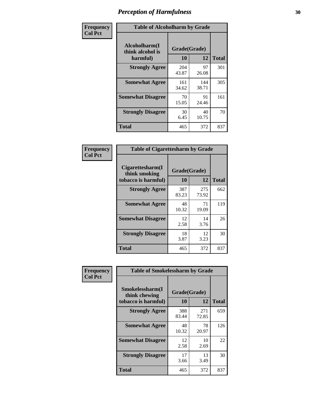| Frequency      | <b>Table of Alcoholharm by Grade</b>          |                    |              |              |
|----------------|-----------------------------------------------|--------------------|--------------|--------------|
| <b>Col Pct</b> | Alcoholharm(I<br>think alcohol is<br>harmful) | Grade(Grade)<br>10 | 12           | <b>Total</b> |
|                | <b>Strongly Agree</b>                         | 204<br>43.87       | 97<br>26.08  | 301          |
|                | <b>Somewhat Agree</b>                         | 161<br>34.62       | 144<br>38.71 | 305          |
|                | <b>Somewhat Disagree</b>                      | 70<br>15.05        | 91<br>24.46  | 161          |
|                | <b>Strongly Disagree</b>                      | 30<br>6.45         | 40<br>10.75  | 70           |
|                | <b>Total</b>                                  | 465                | 372          | 837          |

| <b>Table of Cigarettesharm by Grade</b>                  |                    |              |              |  |  |
|----------------------------------------------------------|--------------------|--------------|--------------|--|--|
| Cigarettesharm(I<br>think smoking<br>tobacco is harmful) | Grade(Grade)<br>10 | 12           | <b>Total</b> |  |  |
| <b>Strongly Agree</b>                                    | 387<br>83.23       | 275<br>73.92 | 662          |  |  |
| <b>Somewhat Agree</b>                                    | 48<br>10.32        | 71<br>19.09  | 119          |  |  |
| <b>Somewhat Disagree</b>                                 | 12<br>2.58         | 14<br>3.76   | 26           |  |  |
| <b>Strongly Disagree</b>                                 | 18<br>3.87         | 12<br>3.23   | 30           |  |  |
| <b>Total</b>                                             | 465                | 372          | 837          |  |  |

| Frequency      | <b>Table of Smokelessharm by Grade</b>                  |                           |              |              |
|----------------|---------------------------------------------------------|---------------------------|--------------|--------------|
| <b>Col Pct</b> | Smokelessharm(I<br>think chewing<br>tobacco is harmful) | Grade(Grade)<br><b>10</b> | 12           | <b>Total</b> |
|                | <b>Strongly Agree</b>                                   | 388<br>83.44              | 271<br>72.85 | 659          |
|                | <b>Somewhat Agree</b>                                   | 48<br>10.32               | 78<br>20.97  | 126          |
|                | <b>Somewhat Disagree</b>                                | 12<br>2.58                | 10<br>2.69   | 22           |
|                | <b>Strongly Disagree</b>                                | 17<br>3.66                | 13<br>3.49   | 30           |
|                | Total                                                   | 465                       | 372          | 837          |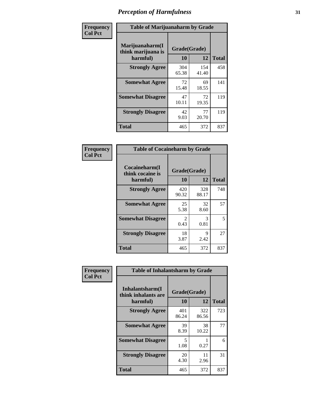| Frequency      | <b>Table of Marijuanaharm by Grade</b>            |                    |              |              |
|----------------|---------------------------------------------------|--------------------|--------------|--------------|
| <b>Col Pct</b> | Marijuanaharm(I<br>think marijuana is<br>harmful) | Grade(Grade)<br>10 | 12           | <b>Total</b> |
|                | <b>Strongly Agree</b>                             | 304<br>65.38       | 154<br>41.40 | 458          |
|                | <b>Somewhat Agree</b>                             | 72<br>15.48        | 69<br>18.55  | 141          |
|                | <b>Somewhat Disagree</b>                          | 47<br>10.11        | 72<br>19.35  | 119          |
|                | <b>Strongly Disagree</b>                          | 42<br>9.03         | 77<br>20.70  | 119          |
|                | <b>Total</b>                                      | 465                | 372          | 837          |

| <b>Table of Cocaineharm by Grade</b>          |                        |              |              |  |  |
|-----------------------------------------------|------------------------|--------------|--------------|--|--|
| Cocaineharm(I<br>think cocaine is<br>harmful) | Grade(Grade)<br>10     | 12           | <b>Total</b> |  |  |
| <b>Strongly Agree</b>                         | 420<br>90.32           | 328<br>88.17 | 748          |  |  |
| <b>Somewhat Agree</b>                         | 25<br>5.38             | 32<br>8.60   | 57           |  |  |
| <b>Somewhat Disagree</b>                      | $\mathfrak{D}$<br>0.43 | 3<br>0.81    | 5            |  |  |
| <b>Strongly Disagree</b>                      | 18<br>3.87             | 9<br>2.42    | 27           |  |  |
| Total                                         | 465                    | 372          | 837          |  |  |

| Frequency      | <b>Table of Inhalantsharm by Grade</b>             |                    |              |              |
|----------------|----------------------------------------------------|--------------------|--------------|--------------|
| <b>Col Pct</b> | Inhalantsharm(I<br>think inhalants are<br>harmful) | Grade(Grade)<br>10 | 12           | <b>Total</b> |
|                | <b>Strongly Agree</b>                              | 401<br>86.24       | 322<br>86.56 | 723          |
|                | <b>Somewhat Agree</b>                              | 39<br>8.39         | 38<br>10.22  | 77           |
|                | <b>Somewhat Disagree</b>                           | 5<br>1.08          | 0.27         | 6            |
|                | <b>Strongly Disagree</b>                           | 20<br>4.30         | 11<br>2.96   | 31           |
|                | <b>Total</b>                                       | 465                | 372          | 837          |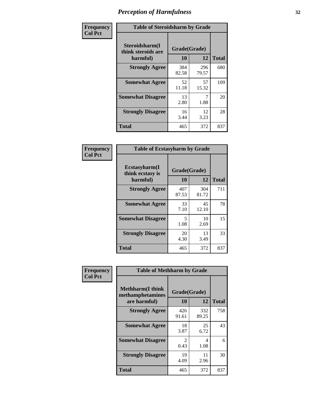| Frequency      | <b>Table of Steroidsharm by Grade</b>            |                    |              |              |
|----------------|--------------------------------------------------|--------------------|--------------|--------------|
| <b>Col Pct</b> | Steroidsharm(I<br>think steroids are<br>harmful) | Grade(Grade)<br>10 | 12           | <b>Total</b> |
|                | <b>Strongly Agree</b>                            | 384<br>82.58       | 296<br>79.57 | 680          |
|                | <b>Somewhat Agree</b>                            | 52<br>11.18        | 57<br>15.32  | 109          |
|                | <b>Somewhat Disagree</b>                         | 13<br>2.80         | 7<br>1.88    | 20           |
|                | <b>Strongly Disagree</b>                         | 16<br>3.44         | 12<br>3.23   | 28           |
|                | <b>Total</b>                                     | 465                | 372          | 837          |

| <b>Table of Ecstasyharm by Grade</b>                |                    |              |              |  |  |
|-----------------------------------------------------|--------------------|--------------|--------------|--|--|
| $E$ cstasyharm $(I$<br>think ecstasy is<br>harmful) | Grade(Grade)<br>10 | 12           | <b>Total</b> |  |  |
| <b>Strongly Agree</b>                               | 407<br>87.53       | 304<br>81.72 | 711          |  |  |
| <b>Somewhat Agree</b>                               | 33<br>7.10         | 45<br>12.10  | 78           |  |  |
| <b>Somewhat Disagree</b>                            | 5<br>1.08          | 10<br>2.69   | 15           |  |  |
| <b>Strongly Disagree</b>                            | 20<br>4.30         | 13<br>3.49   | 33           |  |  |
| <b>Total</b>                                        | 465                | 372          | 837          |  |  |

| Frequency      | <b>Table of Methharm by Grade</b>                            |                    |              |              |
|----------------|--------------------------------------------------------------|--------------------|--------------|--------------|
| <b>Col Pct</b> | <b>Methharm</b> (I think<br>methamphetamines<br>are harmful) | Grade(Grade)<br>10 | 12           | <b>Total</b> |
|                | <b>Strongly Agree</b>                                        | 426<br>91.61       | 332<br>89.25 | 758          |
|                | <b>Somewhat Agree</b>                                        | 18<br>3.87         | 25<br>6.72   | 43           |
|                | <b>Somewhat Disagree</b>                                     | 2<br>0.43          | 4<br>1.08    | 6            |
|                | <b>Strongly Disagree</b>                                     | 19<br>4.09         | 11<br>2.96   | 30           |
|                | <b>Total</b>                                                 | 465                | 372          | 837          |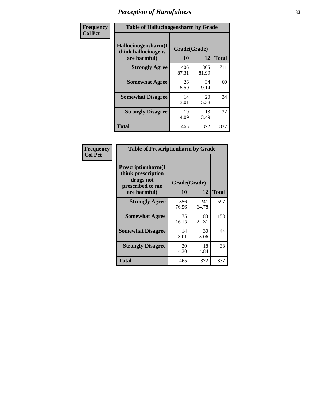| Frequency      | <b>Table of Hallucinogensharm by Grade</b>                 |                    |              |              |
|----------------|------------------------------------------------------------|--------------------|--------------|--------------|
| <b>Col Pct</b> | Hallucinogensharm(I<br>think hallucinogens<br>are harmful) | Grade(Grade)<br>10 | 12           | <b>Total</b> |
|                | <b>Strongly Agree</b>                                      | 406<br>87.31       | 305<br>81.99 | 711          |
|                | <b>Somewhat Agree</b>                                      | 26<br>5.59         | 34<br>9.14   | 60           |
|                | <b>Somewhat Disagree</b>                                   | 14<br>3.01         | 20<br>5.38   | 34           |
|                | <b>Strongly Disagree</b>                                   | 19<br>4.09         | 13<br>3.49   | 32           |
|                | <b>Total</b>                                               | 465                | 372          | 837          |

| <b>Table of Prescriptionharm by Grade</b>                                 |              |              |              |  |
|---------------------------------------------------------------------------|--------------|--------------|--------------|--|
| Prescriptionharm(I<br>think prescription<br>drugs not<br>prescribed to me |              | Grade(Grade) |              |  |
| are harmful)                                                              | 10           | 12           | <b>Total</b> |  |
| <b>Strongly Agree</b>                                                     | 356<br>76.56 | 241<br>64.78 | 597          |  |
| <b>Somewhat Agree</b>                                                     | 75<br>16.13  | 83<br>22.31  | 158          |  |
| <b>Somewhat Disagree</b>                                                  | 14<br>3.01   | 30<br>8.06   | 44           |  |
| <b>Strongly Disagree</b>                                                  | 20<br>4.30   | 18<br>4.84   | 38           |  |
| Total                                                                     | 465          | 372          | 837          |  |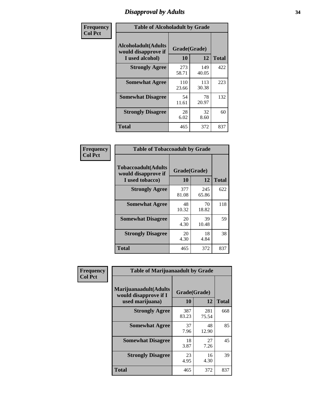### *Disapproval by Adults* **34**

| Frequency      | <b>Table of Alcoholadult by Grade</b>                                 |                    |              |              |
|----------------|-----------------------------------------------------------------------|--------------------|--------------|--------------|
| <b>Col Pct</b> | <b>Alcoholadult</b> (Adults<br>would disapprove if<br>I used alcohol) | Grade(Grade)<br>10 | 12           | <b>Total</b> |
|                | <b>Strongly Agree</b>                                                 | 273<br>58.71       | 149<br>40.05 | 422          |
|                | <b>Somewhat Agree</b>                                                 | 110<br>23.66       | 113<br>30.38 | 223          |
|                | <b>Somewhat Disagree</b>                                              | 54<br>11.61        | 78<br>20.97  | 132          |
|                | <b>Strongly Disagree</b>                                              | 28<br>6.02         | 32<br>8.60   | 60           |
|                | <b>Total</b>                                                          | 465                | 372          | 837          |

| <b>Table of Tobaccoadult by Grade</b>                                |                          |              |     |  |  |  |
|----------------------------------------------------------------------|--------------------------|--------------|-----|--|--|--|
| <b>Tobaccoadult(Adults</b><br>would disapprove if<br>I used tobacco) | Grade(Grade)<br>10<br>12 |              |     |  |  |  |
| <b>Strongly Agree</b>                                                | 377<br>81.08             | 245<br>65.86 | 622 |  |  |  |
| <b>Somewhat Agree</b>                                                | 48<br>10.32              | 70<br>18.82  | 118 |  |  |  |
| <b>Somewhat Disagree</b>                                             | 20<br>4.30               | 39<br>10.48  | 59  |  |  |  |
| <b>Strongly Disagree</b>                                             | 20<br>4.30               | 18<br>4.84   | 38  |  |  |  |
| <b>Total</b>                                                         | 465                      | 372          | 837 |  |  |  |

| Frequency      | <b>Table of Marijuanaadult by Grade</b>                           |                    |              |              |
|----------------|-------------------------------------------------------------------|--------------------|--------------|--------------|
| <b>Col Pct</b> | Marijuanaadult(Adults<br>would disapprove if I<br>used marijuana) | Grade(Grade)<br>10 | 12           | <b>Total</b> |
|                | <b>Strongly Agree</b>                                             | 387<br>83.23       | 281<br>75.54 | 668          |
|                | <b>Somewhat Agree</b>                                             | 37<br>7.96         | 48<br>12.90  | 85           |
|                | <b>Somewhat Disagree</b>                                          | 18<br>3.87         | 27<br>7.26   | 45           |
|                | <b>Strongly Disagree</b>                                          | 23<br>4.95         | 16<br>4.30   | 39           |
|                | Total                                                             | 465                | 372          | 837          |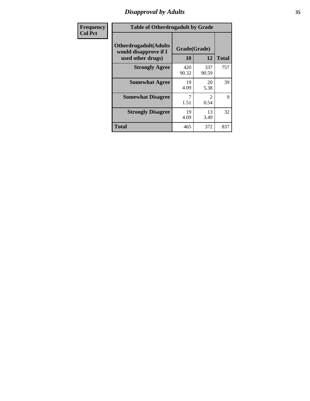### *Disapproval by Adults* **35**

| Frequency      | <b>Table of Otherdrugadult by Grade</b>                |                    |                                     |              |
|----------------|--------------------------------------------------------|--------------------|-------------------------------------|--------------|
| <b>Col Pct</b> | <b>Otherdrugadult</b> (Adults<br>would disapprove if I | Grade(Grade)<br>10 | 12                                  | <b>Total</b> |
|                | used other drugs)<br><b>Strongly Agree</b>             | 420                | 337                                 | 757          |
|                |                                                        | 90.32              | 90.59                               |              |
|                | <b>Somewhat Agree</b>                                  | 19<br>4.09         | 20<br>5.38                          | 39           |
|                | <b>Somewhat Disagree</b>                               | 1.51               | $\mathcal{D}_{\mathcal{L}}$<br>0.54 | 9            |
|                | <b>Strongly Disagree</b>                               | 19<br>4.09         | 13<br>3.49                          | 32           |
|                | <b>Total</b>                                           | 465                | 372                                 | 837          |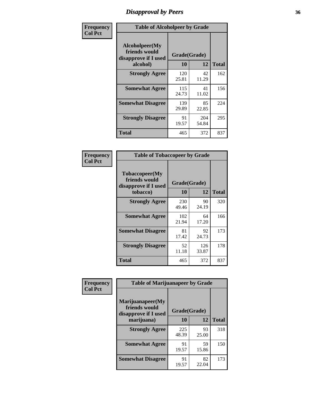### *Disapproval by Peers* **36**

| Frequency      | <b>Table of Alcoholpeer by Grade</b>                    |              |              |              |
|----------------|---------------------------------------------------------|--------------|--------------|--------------|
| <b>Col Pct</b> | Alcoholpeer(My<br>friends would<br>disapprove if I used | Grade(Grade) |              |              |
|                | alcohol)                                                | 10           | 12           | <b>Total</b> |
|                | <b>Strongly Agree</b>                                   | 120<br>25.81 | 42<br>11.29  | 162          |
|                | <b>Somewhat Agree</b>                                   | 115<br>24.73 | 41<br>11.02  | 156          |
|                | <b>Somewhat Disagree</b>                                | 139<br>29.89 | 85<br>22.85  | 224          |
|                | <b>Strongly Disagree</b>                                | 91<br>19.57  | 204<br>54.84 | 295          |
|                | Total                                                   | 465          | 372          | 837          |

| Frequency      | <b>Table of Tobaccopeer by Grade</b>                                |                           |              |              |
|----------------|---------------------------------------------------------------------|---------------------------|--------------|--------------|
| <b>Col Pct</b> | Tobaccopeer(My<br>friends would<br>disapprove if I used<br>tobacco) | Grade(Grade)<br><b>10</b> | 12           | <b>Total</b> |
|                | <b>Strongly Agree</b>                                               | 230<br>49.46              | 90<br>24.19  | 320          |
|                | <b>Somewhat Agree</b>                                               | 102<br>21.94              | 64<br>17.20  | 166          |
|                | <b>Somewhat Disagree</b>                                            | 81<br>17.42               | 92<br>24.73  | 173          |
|                | <b>Strongly Disagree</b>                                            | 52<br>11.18               | 126<br>33.87 | 178          |
|                | Total                                                               | 465                       | 372          | 837          |

| Frequency      | <b>Table of Marijuanapeer by Grade</b>                    |              |             |              |
|----------------|-----------------------------------------------------------|--------------|-------------|--------------|
| <b>Col Pct</b> | Marijuanapeer(My<br>friends would<br>disapprove if I used | Grade(Grade) |             |              |
|                | marijuana)                                                | <b>10</b>    | 12          | <b>Total</b> |
|                | <b>Strongly Agree</b>                                     | 225<br>48.39 | 93<br>25.00 | 318          |
|                | <b>Somewhat Agree</b>                                     | 91<br>19.57  | 59<br>15.86 | 150          |
|                | <b>Somewhat Disagree</b>                                  | 91<br>19.57  | 82<br>22.04 | 173          |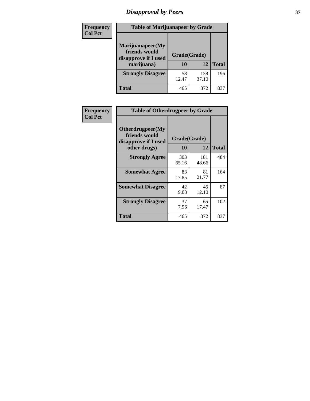# *Disapproval by Peers* **37**

| <b>Frequency</b> | <b>Table of Marijuanapeer by Grade</b>                                  |                    |              |              |  |
|------------------|-------------------------------------------------------------------------|--------------------|--------------|--------------|--|
| <b>Col Pct</b>   | Marijuanapeer(My<br>friends would<br>disapprove if I used<br>marijuana) | Grade(Grade)<br>10 | 12           | <b>Total</b> |  |
|                  | <b>Strongly Disagree</b>                                                | 58<br>12.47        | 138<br>37.10 | 196          |  |
|                  | <b>Total</b>                                                            | 465                | 372          | 837          |  |

| Frequency      | <b>Table of Otherdrugpeer by Grade</b>                                    |                    |              |              |
|----------------|---------------------------------------------------------------------------|--------------------|--------------|--------------|
| <b>Col Pct</b> | Otherdrugpeer(My<br>friends would<br>disapprove if I used<br>other drugs) | Grade(Grade)<br>10 | 12           | <b>Total</b> |
|                | <b>Strongly Agree</b>                                                     | 303<br>65.16       | 181<br>48.66 | 484          |
|                | <b>Somewhat Agree</b>                                                     | 83<br>17.85        | 81<br>21.77  | 164          |
|                | <b>Somewhat Disagree</b>                                                  | 42<br>9.03         | 45<br>12.10  | 87           |
|                | <b>Strongly Disagree</b>                                                  | 37<br>7.96         | 65<br>17.47  | 102          |
|                | <b>Total</b>                                                              | 465                | 372          | 837          |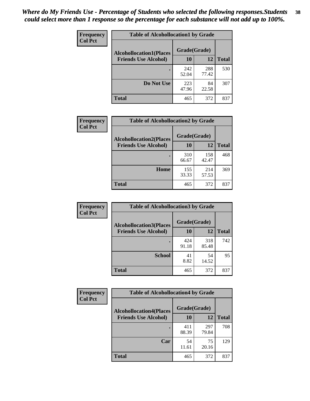| Frequency      | <b>Table of Alcohollocation1 by Grade</b> |              |              |              |  |
|----------------|-------------------------------------------|--------------|--------------|--------------|--|
| <b>Col Pct</b> | <b>Alcohollocation1(Places</b>            | Grade(Grade) |              |              |  |
|                | <b>Friends Use Alcohol)</b>               | 10           | 12           | <b>Total</b> |  |
|                |                                           | 242<br>52.04 | 288<br>77.42 | 530          |  |
|                | Do Not Use                                | 223<br>47.96 | 84<br>22.58  | 307          |  |
|                | <b>Total</b>                              | 465          | 372          | 837          |  |

| Frequency      | <b>Table of Alcohollocation2 by Grade</b>                     |                    |              |              |
|----------------|---------------------------------------------------------------|--------------------|--------------|--------------|
| <b>Col Pct</b> | <b>Alcohollocation2(Places</b><br><b>Friends Use Alcohol)</b> | Grade(Grade)<br>10 | <b>12</b>    | <b>Total</b> |
|                |                                                               | 310<br>66.67       | 158<br>42.47 | 468          |
|                | Home                                                          | 155<br>33.33       | 214<br>57.53 | 369          |
|                | <b>Total</b>                                                  | 465                | 372          | 837          |

| Frequency<br><b>Col Pct</b> | <b>Table of Alcohollocation 3 by Grade</b>                    |                    |              |              |  |
|-----------------------------|---------------------------------------------------------------|--------------------|--------------|--------------|--|
|                             | <b>Alcohollocation3(Places</b><br><b>Friends Use Alcohol)</b> | Grade(Grade)<br>10 | 12           | <b>Total</b> |  |
|                             |                                                               | 424<br>91.18       | 318<br>85.48 | 742          |  |
|                             | <b>School</b>                                                 | 41<br>8.82         | 54<br>14.52  | 95           |  |
|                             | Total                                                         | 465                | 372          | 837          |  |

| <b>Frequency</b> | <b>Table of Alcohollocation4 by Grade</b> |              |              |              |
|------------------|-------------------------------------------|--------------|--------------|--------------|
| <b>Col Pct</b>   | <b>Alcohollocation4(Places</b>            | Grade(Grade) |              |              |
|                  | <b>Friends Use Alcohol)</b>               | 10           | 12           | <b>Total</b> |
|                  |                                           | 411<br>88.39 | 297<br>79.84 | 708          |
|                  | Car                                       | 54<br>11.61  | 75<br>20.16  | 129          |
|                  | <b>Total</b>                              | 465          | 372          | 837          |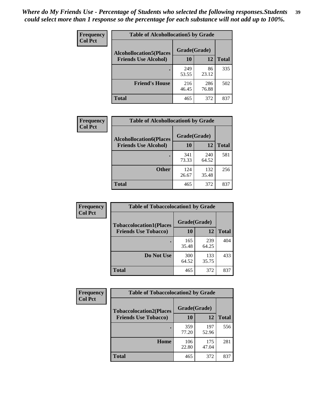| Frequency      | <b>Table of Alcohollocation5 by Grade</b> |              |              |              |  |
|----------------|-------------------------------------------|--------------|--------------|--------------|--|
| <b>Col Pct</b> | <b>Alcohollocation5</b> (Places           | Grade(Grade) |              |              |  |
|                | <b>Friends Use Alcohol)</b>               | 10           | 12           | <b>Total</b> |  |
|                |                                           | 249<br>53.55 | 86<br>23.12  | 335          |  |
|                | <b>Friend's House</b>                     | 216<br>46.45 | 286<br>76.88 | 502          |  |
|                | <b>Total</b>                              | 465          | 372          | 837          |  |

| <b>Frequency</b> | <b>Table of Alcohollocation6 by Grade</b> |              |              |              |
|------------------|-------------------------------------------|--------------|--------------|--------------|
| <b>Col Pct</b>   | <b>Alcohollocation6(Places</b>            | Grade(Grade) |              |              |
|                  | <b>Friends Use Alcohol)</b>               | 10           | 12           | <b>Total</b> |
|                  |                                           | 341<br>73.33 | 240<br>64.52 | 581          |
|                  | <b>Other</b>                              | 124<br>26.67 | 132<br>35.48 | 256          |
|                  | <b>Total</b>                              | 465          | 372          | 837          |

| <b>Frequency</b> | <b>Table of Tobaccolocation1 by Grade</b> |              |              |              |
|------------------|-------------------------------------------|--------------|--------------|--------------|
| <b>Col Pct</b>   | <b>Tobaccolocation1(Places</b>            | Grade(Grade) |              |              |
|                  | <b>Friends Use Tobacco)</b>               | 10           | 12           | <b>Total</b> |
|                  |                                           | 165<br>35.48 | 239<br>64.25 | 404          |
|                  | Do Not Use                                | 300<br>64.52 | 133<br>35.75 | 433          |
|                  | <b>Total</b>                              | 465          | 372          | 837          |

| <b>Frequency</b> | <b>Table of Tobaccolocation2 by Grade</b> |              |              |              |  |
|------------------|-------------------------------------------|--------------|--------------|--------------|--|
| <b>Col Pct</b>   | <b>Tobaccolocation2(Places</b>            | Grade(Grade) |              |              |  |
|                  | <b>Friends Use Tobacco)</b>               | 10           | 12           | <b>Total</b> |  |
|                  |                                           | 359<br>77.20 | 197<br>52.96 | 556          |  |
|                  | Home                                      | 106<br>22.80 | 175<br>47.04 | 281          |  |
|                  | <b>Total</b>                              | 465          | 372          | 837          |  |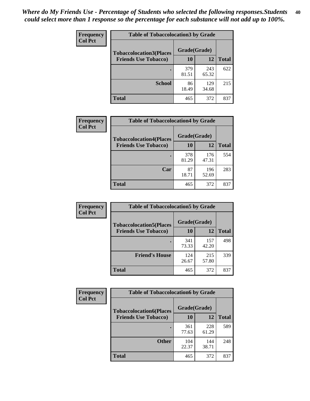| Frequency<br><b>Col Pct</b> | <b>Table of Tobaccolocation 3 by Grade</b> |              |              |              |
|-----------------------------|--------------------------------------------|--------------|--------------|--------------|
|                             | <b>Tobaccolocation3(Places</b>             | Grade(Grade) |              |              |
|                             | <b>Friends Use Tobacco)</b>                | 10           | 12           | <b>Total</b> |
|                             |                                            | 379<br>81.51 | 243<br>65.32 | 622          |
|                             | <b>School</b>                              | 86<br>18.49  | 129<br>34.68 | 215          |
|                             | <b>Total</b>                               | 465          | 372          | 837          |

| Frequency      | <b>Table of Tobaccolocation4 by Grade</b> |              |              |              |
|----------------|-------------------------------------------|--------------|--------------|--------------|
| <b>Col Pct</b> | <b>Tobaccolocation4(Places</b>            | Grade(Grade) |              |              |
|                | <b>Friends Use Tobacco)</b>               | 10           | 12           | <b>Total</b> |
|                |                                           | 378<br>81.29 | 176<br>47.31 | 554          |
|                | Car                                       | 87<br>18.71  | 196<br>52.69 | 283          |
|                | <b>Total</b>                              | 465          | 372          | 837          |

| <b>Frequency</b> | <b>Table of Tobaccolocation5 by Grade</b> |              |              |              |
|------------------|-------------------------------------------|--------------|--------------|--------------|
| <b>Col Pct</b>   | <b>Tobaccolocation5(Places</b>            | Grade(Grade) |              |              |
|                  | <b>Friends Use Tobacco)</b>               | 10           | 12           | <b>Total</b> |
|                  |                                           | 341<br>73.33 | 157<br>42.20 | 498          |
|                  | <b>Friend's House</b>                     | 124<br>26.67 | 215<br>57.80 | 339          |
|                  | Total                                     | 465          | 372          | 837          |

| Frequency      | <b>Table of Tobaccolocation6 by Grade</b> |              |              |              |  |
|----------------|-------------------------------------------|--------------|--------------|--------------|--|
| <b>Col Pct</b> | <b>Tobaccolocation6(Places</b>            | Grade(Grade) |              |              |  |
|                | <b>Friends Use Tobacco)</b>               | 10           | 12           | <b>Total</b> |  |
|                |                                           | 361<br>77.63 | 228<br>61.29 | 589          |  |
|                | <b>Other</b>                              | 104<br>22.37 | 144<br>38.71 | 248          |  |
|                | <b>Total</b>                              | 465          | 372          | 837          |  |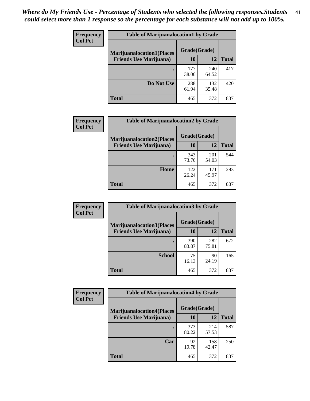| <b>Frequency</b> | <b>Table of Marijuanalocation1 by Grade</b> |              |              |              |
|------------------|---------------------------------------------|--------------|--------------|--------------|
| <b>Col Pct</b>   | <b>Marijuanalocation1(Places</b>            | Grade(Grade) |              |              |
|                  | <b>Friends Use Marijuana</b> )              | <b>10</b>    | 12           | <b>Total</b> |
|                  |                                             | 177<br>38.06 | 240<br>64.52 | 417          |
|                  | Do Not Use                                  | 288<br>61.94 | 132<br>35.48 | 420          |
|                  | <b>Total</b>                                | 465          | 372          | 837          |

| <b>Frequency</b><br><b>Col Pct</b> | <b>Table of Marijuanalocation2 by Grade</b>                        |                    |              |              |
|------------------------------------|--------------------------------------------------------------------|--------------------|--------------|--------------|
|                                    | <b>Marijuanalocation2(Places</b><br><b>Friends Use Marijuana</b> ) | Grade(Grade)<br>10 | 12           | <b>Total</b> |
|                                    |                                                                    | 343<br>73.76       | 201<br>54.03 | 544          |
|                                    | <b>Home</b>                                                        | 122<br>26.24       | 171<br>45.97 | 293          |
|                                    | <b>Total</b>                                                       | 465                | 372          | 837          |

| <b>Frequency</b><br><b>Col Pct</b> | <b>Table of Marijuanalocation3 by Grade</b> |              |              |              |
|------------------------------------|---------------------------------------------|--------------|--------------|--------------|
|                                    | <b>Marijuanalocation3</b> (Places           | Grade(Grade) |              |              |
|                                    | <b>Friends Use Marijuana</b> )              | <b>10</b>    | 12           | <b>Total</b> |
|                                    |                                             | 390<br>83.87 | 282<br>75.81 | 672          |
|                                    | <b>School</b>                               | 75<br>16.13  | 90<br>24.19  | 165          |
|                                    | <b>Total</b>                                | 465          | 372          | 837          |

| <b>Frequency</b> | <b>Table of Marijuanalocation4 by Grade</b> |              |              |              |  |
|------------------|---------------------------------------------|--------------|--------------|--------------|--|
| <b>Col Pct</b>   | <b>Marijuanalocation4(Places</b>            | Grade(Grade) |              |              |  |
|                  | <b>Friends Use Marijuana</b> )              | <b>10</b>    | 12           | <b>Total</b> |  |
|                  |                                             | 373<br>80.22 | 214<br>57.53 | 587          |  |
|                  | Car                                         | 92<br>19.78  | 158<br>42.47 | 250          |  |
|                  | <b>Total</b>                                | 465          | 372          | 837          |  |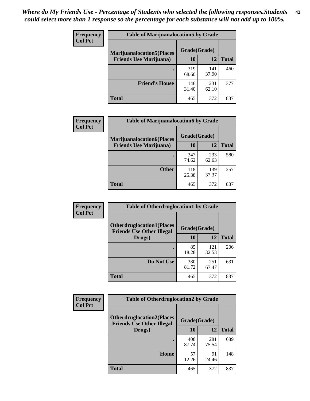| <b>Frequency</b> | <b>Table of Marijuanalocation5 by Grade</b>                         |              |              |              |
|------------------|---------------------------------------------------------------------|--------------|--------------|--------------|
| <b>Col Pct</b>   | <b>Marijuanalocation5</b> (Places<br><b>Friends Use Marijuana</b> ) | Grade(Grade) |              |              |
|                  |                                                                     | 10           | 12           | <b>Total</b> |
|                  |                                                                     | 319<br>68.60 | 141<br>37.90 | 460          |
|                  | <b>Friend's House</b>                                               | 146<br>31.40 | 231<br>62.10 | 377          |
|                  | <b>Total</b>                                                        | 465          | 372          | 837          |

| <b>Frequency</b> | <b>Table of Marijuanalocation6 by Grade</b>                        |                    |              |              |
|------------------|--------------------------------------------------------------------|--------------------|--------------|--------------|
| <b>Col Pct</b>   | <b>Marijuanalocation6(Places</b><br><b>Friends Use Marijuana</b> ) | Grade(Grade)<br>10 | 12           | <b>Total</b> |
|                  |                                                                    | 347<br>74.62       | 233<br>62.63 | 580          |
|                  | <b>Other</b>                                                       | 118<br>25.38       | 139<br>37.37 | 257          |
|                  | <b>Total</b>                                                       | 465                | 372          | 837          |

| Frequency      | <b>Table of Otherdruglocation1 by Grade</b>                          |              |              |              |  |
|----------------|----------------------------------------------------------------------|--------------|--------------|--------------|--|
| <b>Col Pct</b> | <b>Otherdruglocation1(Places</b><br><b>Friends Use Other Illegal</b> |              | Grade(Grade) |              |  |
|                | Drugs)                                                               | 10           | 12           | <b>Total</b> |  |
|                |                                                                      | 85<br>18.28  | 121<br>32.53 | 206          |  |
|                | Do Not Use                                                           | 380<br>81.72 | 251<br>67.47 | 631          |  |
|                | <b>Total</b>                                                         | 465          | 372          | 837          |  |

| <b>Frequency</b> | <b>Table of Otherdruglocation2 by Grade</b>                                          |              |              |              |
|------------------|--------------------------------------------------------------------------------------|--------------|--------------|--------------|
| <b>Col Pct</b>   | <b>Otherdruglocation2(Places</b><br>Grade(Grade)<br><b>Friends Use Other Illegal</b> |              |              |              |
|                  | Drugs)                                                                               | 10           | 12           | <b>Total</b> |
|                  |                                                                                      | 408<br>87.74 | 281<br>75.54 | 689          |
|                  | <b>Home</b>                                                                          | 57<br>12.26  | 91<br>24.46  | 148          |
|                  | <b>Total</b>                                                                         | 465          | 372          | 837          |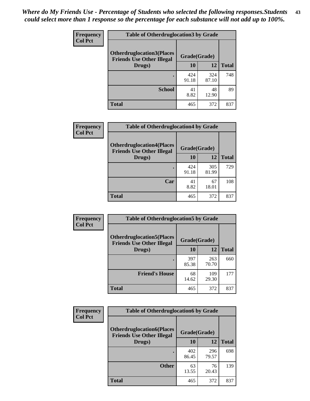| <b>Frequency</b> | <b>Table of Otherdruglocation3 by Grade</b>                          |              |              |              |
|------------------|----------------------------------------------------------------------|--------------|--------------|--------------|
| <b>Col Pct</b>   | <b>Otherdruglocation3(Places</b><br><b>Friends Use Other Illegal</b> | Grade(Grade) |              |              |
|                  | Drugs)                                                               | 10           | 12           | <b>Total</b> |
|                  |                                                                      | 424<br>91.18 | 324<br>87.10 | 748          |
|                  | <b>School</b>                                                        | 41<br>8.82   | 48<br>12.90  | 89           |
|                  | <b>Total</b>                                                         | 465          | 372          | 837          |

| <b>Frequency</b> | <b>Table of Otherdruglocation4 by Grade</b>                          |              |              |              |
|------------------|----------------------------------------------------------------------|--------------|--------------|--------------|
| <b>Col Pct</b>   | <b>Otherdruglocation4(Places</b><br><b>Friends Use Other Illegal</b> | Grade(Grade) |              |              |
|                  | Drugs)                                                               | 10           | 12           | <b>Total</b> |
|                  |                                                                      | 424<br>91.18 | 305<br>81.99 | 729          |
|                  | Car                                                                  | 41<br>8.82   | 67<br>18.01  | 108          |
|                  | <b>Total</b>                                                         | 465          | 372          | 837          |

| <b>Frequency</b> | <b>Table of Otherdruglocation5 by Grade</b>                          |              |              |              |
|------------------|----------------------------------------------------------------------|--------------|--------------|--------------|
| <b>Col Pct</b>   | <b>Otherdruglocation5(Places</b><br><b>Friends Use Other Illegal</b> | Grade(Grade) |              |              |
|                  | Drugs)                                                               | 10           | 12           | <b>Total</b> |
|                  |                                                                      | 397<br>85.38 | 263<br>70.70 | 660          |
|                  | <b>Friend's House</b>                                                | 68<br>14.62  | 109<br>29.30 | 177          |
|                  | <b>Total</b>                                                         | 465          | 372          | 837          |

| <b>Frequency</b> | <b>Table of Otherdruglocation6 by Grade</b>                          |              |              |              |
|------------------|----------------------------------------------------------------------|--------------|--------------|--------------|
| <b>Col Pct</b>   | <b>Otherdruglocation6(Places</b><br><b>Friends Use Other Illegal</b> | Grade(Grade) |              |              |
|                  | Drugs)                                                               | 10           | 12           | <b>Total</b> |
|                  |                                                                      | 402<br>86.45 | 296<br>79.57 | 698          |
|                  | <b>Other</b>                                                         | 63<br>13.55  | 76<br>20.43  | 139          |
|                  | <b>Total</b>                                                         | 465          | 372          | 837          |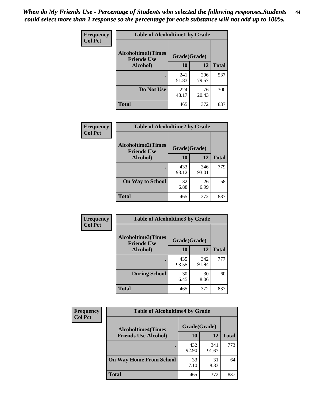| Frequency      | <b>Table of Alcoholtime1 by Grade</b>           |              |              |              |
|----------------|-------------------------------------------------|--------------|--------------|--------------|
| <b>Col Pct</b> | <b>Alcoholtime1(Times</b><br><b>Friends Use</b> | Grade(Grade) |              |              |
|                | Alcohol)                                        | 10           | <b>12</b>    | <b>Total</b> |
|                |                                                 | 241<br>51.83 | 296<br>79.57 | 537          |
|                | Do Not Use                                      | 224<br>48.17 | 76<br>20.43  | 300          |
|                | <b>Total</b>                                    | 465          | 372          | 837          |

| Frequency      | <b>Table of Alcoholtime2 by Grade</b>           |              |              |              |  |
|----------------|-------------------------------------------------|--------------|--------------|--------------|--|
| <b>Col Pct</b> | <b>Alcoholtime2(Times</b><br><b>Friends Use</b> | Grade(Grade) |              |              |  |
|                | Alcohol)                                        | 10           | 12           | <b>Total</b> |  |
|                |                                                 | 433<br>93.12 | 346<br>93.01 | 779          |  |
|                | <b>On Way to School</b>                         | 32<br>6.88   | 26<br>6.99   | 58           |  |
|                | <b>Total</b>                                    | 465          | 372          | 837          |  |

| Frequency<br><b>Col Pct</b> | <b>Table of Alcoholtime3 by Grade</b>                           |              |              |              |  |
|-----------------------------|-----------------------------------------------------------------|--------------|--------------|--------------|--|
|                             | <b>Alcoholtime3(Times</b><br>Grade(Grade)<br><b>Friends Use</b> |              |              |              |  |
|                             | Alcohol)                                                        | 10           | 12           | <b>Total</b> |  |
|                             |                                                                 | 435<br>93.55 | 342<br>91.94 | 777          |  |
|                             | <b>During School</b>                                            | 30<br>6.45   | 30<br>8.06   | 60           |  |
|                             | Total                                                           | 465          | 372          | 837          |  |

| <b>Frequency</b><br><b>Col Pct</b> | <b>Table of Alcoholtime4 by Grade</b> |              |              |              |  |
|------------------------------------|---------------------------------------|--------------|--------------|--------------|--|
|                                    | <b>Alcoholtime4(Times</b>             | Grade(Grade) |              |              |  |
|                                    | <b>Friends Use Alcohol)</b>           | 10           | 12           | <b>Total</b> |  |
|                                    |                                       | 432<br>92.90 | 341<br>91.67 | 773          |  |
|                                    | <b>On Way Home From School</b>        | 33<br>7.10   | 31<br>8.33   | 64           |  |
|                                    | <b>Total</b>                          | 465          | 372          | 837          |  |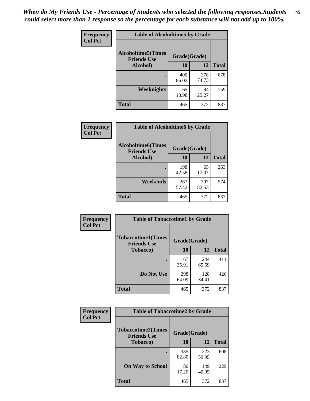*When do My Friends Use - Percentage of Students who selected the following responses.Students could select more than 1 response so the percentage for each substance will not add up to 100%.* **45**

| Frequency      | <b>Table of Alcoholtime5 by Grade</b>           |              |              |              |
|----------------|-------------------------------------------------|--------------|--------------|--------------|
| <b>Col Pct</b> | <b>Alcoholtime5(Times</b><br><b>Friends Use</b> | Grade(Grade) |              |              |
|                | Alcohol)                                        | 10           | <b>12</b>    | <b>Total</b> |
|                |                                                 | 400<br>86.02 | 278<br>74.73 | 678          |
|                | Weeknights                                      | 65<br>13.98  | 94<br>25.27  | 159          |
|                | <b>Total</b>                                    | 465          | 372          | 837          |

| <b>Frequency</b> | <b>Table of Alcoholtime6 by Grade</b>           |              |              |              |
|------------------|-------------------------------------------------|--------------|--------------|--------------|
| <b>Col Pct</b>   | <b>Alcoholtime6(Times</b><br><b>Friends Use</b> | Grade(Grade) |              |              |
|                  | Alcohol)                                        | 10           | 12           | <b>Total</b> |
|                  |                                                 | 198<br>42.58 | 65<br>17.47  | 263          |
|                  | Weekends                                        | 267<br>57.42 | 307<br>82.53 | 574          |
|                  | <b>Total</b>                                    | 465          | 372          | 837          |

| Frequency<br><b>Col Pct</b> | <b>Table of Tobaccotime1 by Grade</b>           |              |              |              |  |
|-----------------------------|-------------------------------------------------|--------------|--------------|--------------|--|
|                             | <b>Tobaccotime1(Times</b><br><b>Friends Use</b> | Grade(Grade) |              |              |  |
|                             | <b>Tobacco</b> )                                | 10           | <b>12</b>    | <b>Total</b> |  |
|                             |                                                 | 167<br>35.91 | 244<br>65.59 | 411          |  |
|                             | Do Not Use                                      | 298<br>64.09 | 128<br>34.41 | 426          |  |
|                             | <b>Total</b>                                    | 465          | 372          | 837          |  |

| <b>Frequency</b> | <b>Table of Tobaccotime2 by Grade</b>           |              |              |              |
|------------------|-------------------------------------------------|--------------|--------------|--------------|
| <b>Col Pct</b>   | <b>Tobaccotime2(Times</b><br><b>Friends Use</b> | Grade(Grade) |              |              |
|                  | <b>Tobacco</b> )                                | 10           | <b>12</b>    | <b>Total</b> |
|                  |                                                 | 385<br>82.80 | 223<br>59.95 | 608          |
|                  | <b>On Way to School</b>                         | 80<br>17.20  | 149<br>40.05 | 229          |
|                  | <b>Total</b>                                    | 465          | 372          | 837          |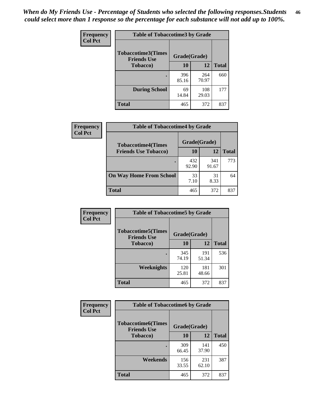| <b>Frequency</b> | <b>Table of Tobaccotime3 by Grade</b>           |              |              |              |  |
|------------------|-------------------------------------------------|--------------|--------------|--------------|--|
| <b>Col Pct</b>   | <b>Tobaccotime3(Times</b><br><b>Friends Use</b> | Grade(Grade) |              |              |  |
|                  | <b>Tobacco</b> )                                | 10           | 12           | <b>Total</b> |  |
|                  |                                                 | 396<br>85.16 | 264<br>70.97 | 660          |  |
|                  | <b>During School</b>                            | 69<br>14.84  | 108<br>29.03 | 177          |  |
|                  | <b>Total</b>                                    | 465          | 372          | 837          |  |

| <b>Frequency</b><br><b>Col Pct</b> | <b>Table of Tobaccotime4 by Grade</b> |              |              |              |
|------------------------------------|---------------------------------------|--------------|--------------|--------------|
|                                    | <b>Tobaccotime4(Times</b>             | Grade(Grade) |              |              |
|                                    | <b>Friends Use Tobacco)</b>           | 10           | 12           | <b>Total</b> |
|                                    |                                       | 432<br>92.90 | 341<br>91.67 | 773          |
|                                    | <b>On Way Home From School</b>        | 33<br>7.10   | 31<br>8.33   | 64           |
|                                    | <b>Total</b>                          | 465          | 372          | 837          |

| <b>Frequency</b> | <b>Table of Tobaccotime5 by Grade</b>           |              |              |              |
|------------------|-------------------------------------------------|--------------|--------------|--------------|
| <b>Col Pct</b>   | <b>Tobaccotime5(Times</b><br><b>Friends Use</b> | Grade(Grade) |              |              |
|                  | <b>Tobacco</b> )                                | 10           | 12           | <b>Total</b> |
|                  |                                                 | 345<br>74.19 | 191<br>51.34 | 536          |
|                  | Weeknights                                      | 120<br>25.81 | 181<br>48.66 | 301          |
|                  | <b>Total</b>                                    | 465          | 372          | 837          |

| Frequency<br><b>Col Pct</b> | <b>Table of Tobaccotime6 by Grade</b>           |              |              |              |
|-----------------------------|-------------------------------------------------|--------------|--------------|--------------|
|                             | <b>Tobaccotime6(Times</b><br><b>Friends Use</b> | Grade(Grade) |              |              |
|                             | <b>Tobacco</b> )                                | 10           | 12           | <b>Total</b> |
|                             |                                                 | 309<br>66.45 | 141<br>37.90 | 450          |
|                             | Weekends                                        | 156<br>33.55 | 231<br>62.10 | 387          |
|                             | <b>Total</b>                                    | 465          | 372          | 837          |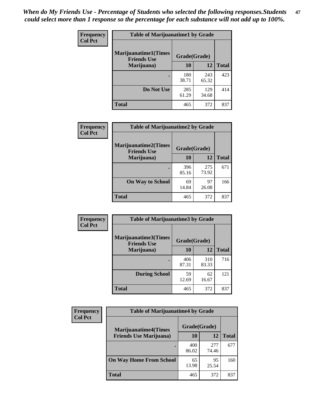| Frequency      | <b>Table of Marijuanatime1 by Grade</b>           |              |              |              |  |
|----------------|---------------------------------------------------|--------------|--------------|--------------|--|
| <b>Col Pct</b> | <b>Marijuanatime1(Times</b><br><b>Friends Use</b> | Grade(Grade) |              |              |  |
|                | Marijuana)                                        | 10           | 12           | <b>Total</b> |  |
|                |                                                   | 180<br>38.71 | 243<br>65.32 | 423          |  |
|                | Do Not Use                                        | 285<br>61.29 | 129<br>34.68 | 414          |  |
|                | <b>Total</b>                                      | 465          | 372          | 837          |  |

| <b>Frequency</b> | <b>Table of Marijuanatime2 by Grade</b>           |              |              |              |  |
|------------------|---------------------------------------------------|--------------|--------------|--------------|--|
| <b>Col Pct</b>   | <b>Marijuanatime2(Times</b><br><b>Friends Use</b> | Grade(Grade) |              |              |  |
|                  | Marijuana)                                        | 10           | 12           | <b>Total</b> |  |
|                  | $\bullet$                                         | 396<br>85.16 | 275<br>73.92 | 671          |  |
|                  | <b>On Way to School</b>                           | 69<br>14.84  | 97<br>26.08  | 166          |  |
|                  | <b>Total</b>                                      | 465          | 372          | 837          |  |

| Frequency      | <b>Table of Marijuanatime3 by Grade</b>    |              |              |              |
|----------------|--------------------------------------------|--------------|--------------|--------------|
| <b>Col Pct</b> | Marijuanatime3(Times<br><b>Friends Use</b> | Grade(Grade) |              |              |
|                | Marijuana)                                 | 10           | 12           | <b>Total</b> |
|                |                                            | 406<br>87.31 | 310<br>83.33 | 716          |
|                | <b>During School</b>                       | 59<br>12.69  | 62<br>16.67  | 121          |
|                | <b>Total</b>                               | 465          | 372          | 837          |

| <b>Frequency</b> | <b>Table of Marijuanatime4 by Grade</b>                        |              |              |              |
|------------------|----------------------------------------------------------------|--------------|--------------|--------------|
| <b>Col Pct</b>   | <b>Marijuanatime4</b> (Times<br><b>Friends Use Marijuana</b> ) | Grade(Grade) |              |              |
|                  |                                                                | 10           | 12           | <b>Total</b> |
|                  |                                                                | 400<br>86.02 | 277<br>74.46 | 677          |
|                  | <b>On Way Home From School</b>                                 | 65<br>13.98  | 95<br>25.54  | 160          |
|                  | <b>Total</b>                                                   | 465          | 372          | 837          |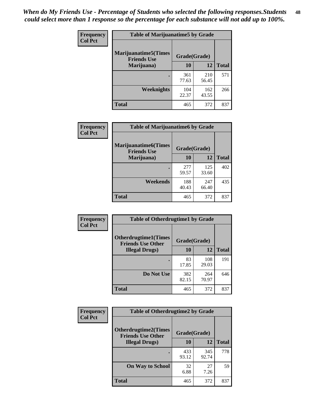| Frequency      | <b>Table of Marijuanatime5 by Grade</b>            |              |              |              |  |
|----------------|----------------------------------------------------|--------------|--------------|--------------|--|
| <b>Col Pct</b> | <b>Marijuanatime5</b> (Times<br><b>Friends Use</b> | Grade(Grade) |              |              |  |
|                | Marijuana)                                         | 10           | <b>12</b>    | <b>Total</b> |  |
|                |                                                    | 361<br>77.63 | 210<br>56.45 | 571          |  |
|                | Weeknights                                         | 104<br>22.37 | 162<br>43.55 | 266          |  |
|                | <b>Total</b>                                       | 465          | 372          | 837          |  |

| <b>Frequency</b> | <b>Table of Marijuanatime6 by Grade</b>            |              |              |              |
|------------------|----------------------------------------------------|--------------|--------------|--------------|
| <b>Col Pct</b>   | <b>Marijuanatime6</b> (Times<br><b>Friends Use</b> | Grade(Grade) |              |              |
|                  | Marijuana)                                         | 10           | 12           | <b>Total</b> |
|                  |                                                    | 277<br>59.57 | 125<br>33.60 | 402          |
|                  | Weekends                                           | 188<br>40.43 | 247<br>66.40 | 435          |
|                  | <b>Total</b>                                       | 465          | 372          | 837          |

| <b>Frequency</b> | <b>Table of Otherdrugtime1 by Grade</b>                  |              |              |              |  |
|------------------|----------------------------------------------------------|--------------|--------------|--------------|--|
| <b>Col Pct</b>   | <b>Otherdrugtime1</b> (Times<br><b>Friends Use Other</b> | Grade(Grade) |              |              |  |
|                  | <b>Illegal Drugs</b> )                                   | 10           | 12           | <b>Total</b> |  |
|                  |                                                          | 83<br>17.85  | 108<br>29.03 | 191          |  |
|                  | Do Not Use                                               | 382<br>82.15 | 264<br>70.97 | 646          |  |
|                  | <b>Total</b>                                             | 465          | 372          | 837          |  |

| Frequency      | <b>Table of Otherdrugtime2 by Grade</b>                 |              |              |              |
|----------------|---------------------------------------------------------|--------------|--------------|--------------|
| <b>Col Pct</b> | <b>Otherdrugtime2(Times</b><br><b>Friends Use Other</b> | Grade(Grade) |              |              |
|                | <b>Illegal Drugs</b> )                                  | 10           | 12           | <b>Total</b> |
|                |                                                         | 433<br>93.12 | 345<br>92.74 | 778          |
|                | <b>On Way to School</b>                                 | 32<br>6.88   | 27<br>7.26   | 59           |
|                | Total                                                   | 465          | 372          | 837          |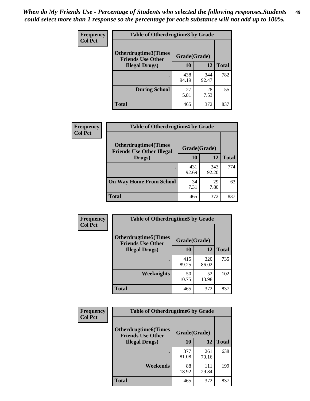| <b>Frequency</b> | <b>Table of Otherdrugtime3 by Grade</b>          |              |              |              |
|------------------|--------------------------------------------------|--------------|--------------|--------------|
| <b>Col Pct</b>   | Otherdrugtime3(Times<br><b>Friends Use Other</b> | Grade(Grade) |              |              |
|                  | <b>Illegal Drugs</b> )                           | 10           | 12           | <b>Total</b> |
|                  |                                                  | 438<br>94.19 | 344<br>92.47 | 782          |
|                  | <b>During School</b>                             | 27<br>5.81   | 28<br>7.53   | 55           |
|                  | Total                                            | 465          | 372          | 837          |

| Frequency      | <b>Table of Otherdrugtime4 by Grade</b>                         |              |              |              |
|----------------|-----------------------------------------------------------------|--------------|--------------|--------------|
| <b>Col Pct</b> | <b>Otherdrugtime4(Times</b><br><b>Friends Use Other Illegal</b> | Grade(Grade) |              |              |
|                | Drugs)                                                          | 10           | 12           | <b>Total</b> |
|                | $\bullet$                                                       | 431<br>92.69 | 343<br>92.20 | 774          |
|                | <b>On Way Home From School</b>                                  | 34<br>7.31   | 29<br>7.80   | 63           |
|                | <b>Total</b>                                                    | 465          | 372          | 837          |

| <b>Frequency</b> | <b>Table of Otherdrugtime5 by Grade</b>                  |              |              |              |  |  |
|------------------|----------------------------------------------------------|--------------|--------------|--------------|--|--|
| <b>Col Pct</b>   | <b>Otherdrugtime5</b> (Times<br><b>Friends Use Other</b> | Grade(Grade) |              |              |  |  |
|                  | <b>Illegal Drugs</b> )                                   | 10           | 12           | <b>Total</b> |  |  |
|                  |                                                          | 415<br>89.25 | 320<br>86.02 | 735          |  |  |
|                  | Weeknights                                               | 50<br>10.75  | 52<br>13.98  | 102          |  |  |
|                  | <b>Total</b>                                             | 465          | 372          | 837          |  |  |

| <b>Frequency</b> | <b>Table of Otherdrugtime6 by Grade</b>                 |              |              |              |  |  |
|------------------|---------------------------------------------------------|--------------|--------------|--------------|--|--|
| <b>Col Pct</b>   | <b>Otherdrugtime6(Times</b><br><b>Friends Use Other</b> | Grade(Grade) |              |              |  |  |
|                  | <b>Illegal Drugs</b> )                                  | 10           | 12           | <b>Total</b> |  |  |
|                  |                                                         | 377<br>81.08 | 261<br>70.16 | 638          |  |  |
|                  | Weekends                                                | 88<br>18.92  | 111<br>29.84 | 199          |  |  |
|                  | <b>Total</b>                                            | 465          | 372          | 837          |  |  |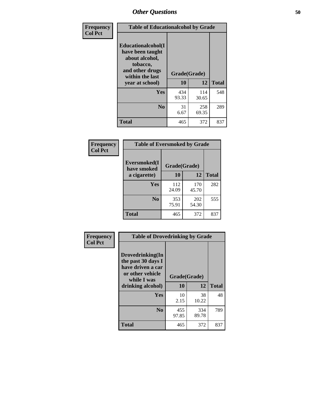| Frequency      | <b>Table of Educationalcohol by Grade</b>                                                                  |              |              |              |  |  |
|----------------|------------------------------------------------------------------------------------------------------------|--------------|--------------|--------------|--|--|
| <b>Col Pct</b> | Educationalcohol(I<br>have been taught<br>about alcohol,<br>tobacco,<br>and other drugs<br>within the last | Grade(Grade) |              |              |  |  |
|                | year at school)                                                                                            | 10           | 12           | <b>Total</b> |  |  |
|                | Yes                                                                                                        | 434<br>93.33 | 114<br>30.65 | 548          |  |  |
|                | N <sub>0</sub>                                                                                             | 31<br>6.67   | 258<br>69.35 | 289          |  |  |
|                | <b>Total</b>                                                                                               | 465          | 372          | 837          |  |  |

| Frequency      | <b>Table of Eversmoked by Grade</b> |              |              |              |  |  |  |
|----------------|-------------------------------------|--------------|--------------|--------------|--|--|--|
| <b>Col Pct</b> | Eversmoked(I<br>have smoked         | Grade(Grade) |              |              |  |  |  |
|                | a cigarette)                        | 10           | 12           | <b>Total</b> |  |  |  |
|                | Yes                                 | 112<br>24.09 | 170<br>45.70 | 282          |  |  |  |
|                | N <sub>0</sub>                      | 353<br>75.91 | 202<br>54.30 | 555          |  |  |  |
|                | Total                               | 465          | 372          | 837          |  |  |  |

| Frequency      | <b>Table of Drovedrinking by Grade</b>                                                                              |                    |              |              |
|----------------|---------------------------------------------------------------------------------------------------------------------|--------------------|--------------|--------------|
| <b>Col Pct</b> | Drovedrinking(In<br>the past 30 days I<br>have driven a car<br>or other vehicle<br>while I was<br>drinking alcohol) | Grade(Grade)<br>10 | 12           | <b>Total</b> |
|                | <b>Yes</b>                                                                                                          | 10<br>2.15         | 38<br>10.22  | 48           |
|                | N <sub>0</sub>                                                                                                      | 455<br>97.85       | 334<br>89.78 | 789          |
|                | <b>Total</b>                                                                                                        | 465                | 372          | 837          |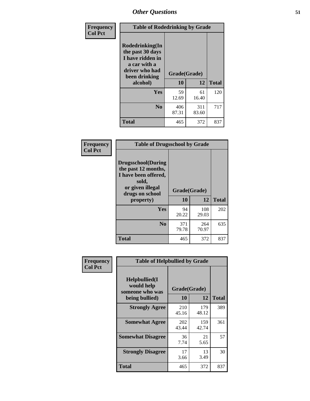| Frequency<br><b>Col Pct</b> | <b>Table of Rodedrinking by Grade</b>                                                                                  |                    |              |              |
|-----------------------------|------------------------------------------------------------------------------------------------------------------------|--------------------|--------------|--------------|
|                             | Rodedrinking(In<br>the past 30 days<br>I have ridden in<br>a car with a<br>driver who had<br>been drinking<br>alcohol) | Grade(Grade)<br>10 | 12           | <b>Total</b> |
|                             |                                                                                                                        |                    |              |              |
|                             | <b>Yes</b>                                                                                                             | 59<br>12.69        | 61<br>16.40  | 120          |
|                             | N <sub>0</sub>                                                                                                         | 406<br>87.31       | 311<br>83.60 | 717          |
|                             | <b>Total</b>                                                                                                           | 465                | 372          | 837          |

#### **Frequency Col Pct**

| <b>Table of Drugsschool by Grade</b>                                                                                      |              |              |              |  |  |  |
|---------------------------------------------------------------------------------------------------------------------------|--------------|--------------|--------------|--|--|--|
| <b>Drugsschool</b> (During<br>the past 12 months,<br>I have been offered,<br>sold,<br>or given illegal<br>drugs on school | Grade(Grade) |              |              |  |  |  |
| property)                                                                                                                 | 10           | 12           | <b>Total</b> |  |  |  |
| Yes                                                                                                                       | 94<br>20.22  | 108<br>29.03 | 202          |  |  |  |
| N <sub>0</sub>                                                                                                            | 371<br>79.78 | 264<br>70.97 | 635          |  |  |  |
| <b>Total</b>                                                                                                              | 465          | 372          | 837          |  |  |  |

| Frequency      | <b>Table of Helpbullied by Grade</b>                 |              |              |              |  |  |  |
|----------------|------------------------------------------------------|--------------|--------------|--------------|--|--|--|
| <b>Col Pct</b> | $Helpb$ ullied $(I$<br>would help<br>someone who was | Grade(Grade) |              |              |  |  |  |
|                | being bullied)                                       | 10           | 12           | <b>Total</b> |  |  |  |
|                | <b>Strongly Agree</b>                                | 210<br>45.16 | 179<br>48.12 | 389          |  |  |  |
|                | <b>Somewhat Agree</b>                                | 202<br>43.44 | 159<br>42.74 | 361          |  |  |  |
|                | <b>Somewhat Disagree</b>                             | 36<br>7.74   | 21<br>5.65   | 57           |  |  |  |
|                | <b>Strongly Disagree</b>                             | 17<br>3.66   | 13<br>3.49   | 30           |  |  |  |
|                | <b>Total</b>                                         | 465          | 372          | 837          |  |  |  |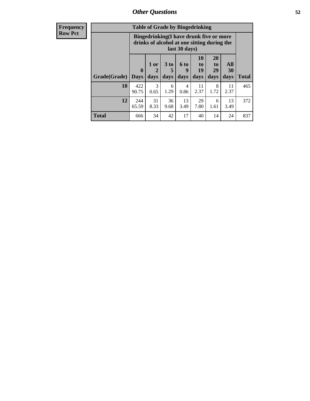| <b>Frequency</b> | <b>Table of Grade by Bingedrinking</b> |                         |                                                                                        |                              |                             |                        |                        |                   |              |
|------------------|----------------------------------------|-------------------------|----------------------------------------------------------------------------------------|------------------------------|-----------------------------|------------------------|------------------------|-------------------|--------------|
| <b>Row Pct</b>   |                                        |                         | Bingedrinking(I have drunk five or more<br>drinks of alcohol at one sitting during the |                              | last 30 days)               |                        |                        |                   |              |
|                  | Grade(Grade)                           | $\bf{0}$<br><b>Days</b> | 1 or<br>2<br>days                                                                      | 3 <sub>to</sub><br>5<br>days | $6 \text{ to}$<br>9<br>days | 10<br>to<br>19<br>days | 20<br>to<br>29<br>days | All<br>30<br>days | <b>Total</b> |
|                  | 10                                     | 422<br>90.75            | 3<br>0.65                                                                              | 6<br>1.29                    | 4<br>0.86                   | 11<br>2.37             | 8<br>1.72              | 11<br>2.37        | 465          |
|                  | 12                                     | 244<br>65.59            | 31<br>8.33                                                                             | 36<br>9.68                   | 13<br>3.49                  | 29<br>7.80             | 6<br>1.61              | 13<br>3.49        | 372          |
|                  | <b>Total</b>                           | 666                     | 34                                                                                     | 42                           | 17                          | 40                     | 14                     | 24                | 837          |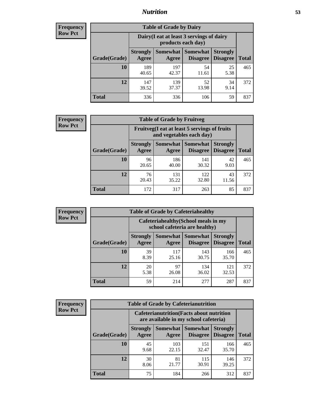## *Nutrition* **53**

| <b>Frequency</b><br>Row Pct |
|-----------------------------|
|                             |

| <b>Table of Grade by Dairy</b> |                          |                                                                 |                                    |                                    |              |  |  |
|--------------------------------|--------------------------|-----------------------------------------------------------------|------------------------------------|------------------------------------|--------------|--|--|
|                                |                          | Dairy (I eat at least 3 servings of dairy<br>products each day) |                                    |                                    |              |  |  |
| Grade(Grade)                   | <b>Strongly</b><br>Agree | <b>Somewhat</b><br>Agree                                        | <b>Somewhat</b><br><b>Disagree</b> | <b>Strongly</b><br><b>Disagree</b> | <b>Total</b> |  |  |
| <b>10</b>                      | 189<br>40.65             | 197<br>42.37                                                    | 54<br>11.61                        | 25<br>5.38                         | 465          |  |  |
| 12                             | 147<br>39.52             | 139<br>37.37                                                    | 52<br>13.98                        | 34<br>9.14                         | 372          |  |  |
| Total                          | 336                      | 336                                                             | 106                                | 59                                 | 837          |  |  |

| <b>Frequency</b> |  |
|------------------|--|
| <b>Row Pct</b>   |  |

| <b>Table of Grade by Fruitveg</b> |                                                                          |              |                                 |                                    |              |  |  |
|-----------------------------------|--------------------------------------------------------------------------|--------------|---------------------------------|------------------------------------|--------------|--|--|
|                                   | Fruitveg(I eat at least 5 servings of fruits<br>and vegetables each day) |              |                                 |                                    |              |  |  |
| Grade(Grade)                      | <b>Strongly</b><br>Agree                                                 | Agree        | Somewhat   Somewhat<br>Disagree | <b>Strongly</b><br><b>Disagree</b> | <b>Total</b> |  |  |
| 10                                | 96<br>20.65                                                              | 186<br>40.00 | 141<br>30.32                    | 42<br>9.03                         | 465          |  |  |
| 12                                | 76<br>20.43                                                              | 131<br>35.22 | 122<br>32.80                    | 43<br>11.56                        | 372          |  |  |
| <b>Total</b>                      | 172                                                                      | 317          | 263                             | 85                                 | 837          |  |  |

| <b>Frequency</b> | <b>Table of Grade by Cafeteriahealthy</b> |                          |                     |                                                                       |                                    |              |  |  |  |
|------------------|-------------------------------------------|--------------------------|---------------------|-----------------------------------------------------------------------|------------------------------------|--------------|--|--|--|
| <b>Row Pct</b>   |                                           |                          |                     | Cafeteriahealthy (School meals in my<br>school cafeteria are healthy) |                                    |              |  |  |  |
|                  | Grade(Grade)                              | <b>Strongly</b><br>Agree | Somewhat  <br>Agree | <b>Somewhat</b><br><b>Disagree</b>                                    | <b>Strongly</b><br><b>Disagree</b> | <b>Total</b> |  |  |  |
|                  | 10                                        | 39<br>8.39               | 117<br>25.16        | 143<br>30.75                                                          | 166<br>35.70                       | 465          |  |  |  |
|                  | 12                                        | 20<br>5.38               | 97<br>26.08         | 134<br>36.02                                                          | 121<br>32.53                       | 372          |  |  |  |
|                  | <b>Total</b>                              | 59                       | 214                 | 277                                                                   | 287                                | 837          |  |  |  |

| <b>Frequency</b> |
|------------------|
| <b>Row Pct</b>   |

| <b>Table of Grade by Cafeterianutrition</b>                                               |                          |              |                               |                                    |              |  |  |
|-------------------------------------------------------------------------------------------|--------------------------|--------------|-------------------------------|------------------------------------|--------------|--|--|
| <b>Cafeterianutrition</b> (Facts about nutrition<br>are available in my school cafeteria) |                          |              |                               |                                    |              |  |  |
| Grade(Grade)                                                                              | <b>Strongly</b><br>Agree | Agree        | Somewhat Somewhat<br>Disagree | <b>Strongly</b><br><b>Disagree</b> | <b>Total</b> |  |  |
| 10                                                                                        | 45<br>9.68               | 103<br>22.15 | 151<br>32.47                  | 166<br>35.70                       | 465          |  |  |
| 12                                                                                        | 30<br>8.06               | 81<br>21.77  | 115<br>30.91                  | 146<br>39.25                       | 372          |  |  |
| Total                                                                                     | 75                       | 184          | 266                           | 312                                | 837          |  |  |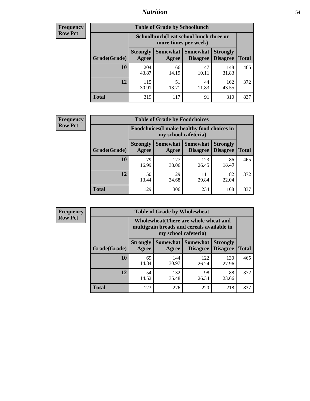## *Nutrition* **54**

| <b>Frequency</b><br>Row Pct |
|-----------------------------|
|                             |

| <b>Table of Grade by Schoollunch</b> |                          |                                                                 |                             |                                    |              |  |  |
|--------------------------------------|--------------------------|-----------------------------------------------------------------|-----------------------------|------------------------------------|--------------|--|--|
|                                      |                          | Schoollunch(I eat school lunch three or<br>more times per week) |                             |                                    |              |  |  |
| Grade(Grade)                         | <b>Strongly</b><br>Agree | Somewhat  <br>Agree                                             | <b>Somewhat</b><br>Disagree | <b>Strongly</b><br><b>Disagree</b> | <b>Total</b> |  |  |
| 10                                   | 204<br>43.87             | 66<br>14.19                                                     | 47<br>10.11                 | 148<br>31.83                       | 465          |  |  |
| 12                                   | 115<br>30.91             | 51<br>13.71                                                     | 44<br>11.83                 | 162<br>43.55                       | 372          |  |  |
| <b>Total</b>                         | 319                      | 117                                                             | 91                          | 310                                | 837          |  |  |

| <b>Frequency</b> |
|------------------|
| <b>Row Pct</b>   |

| <b>Table of Grade by Foodchoices</b> |                          |                                                                     |                 |                                        |              |  |  |
|--------------------------------------|--------------------------|---------------------------------------------------------------------|-----------------|----------------------------------------|--------------|--|--|
|                                      |                          | Foodchoices (I make healthy food choices in<br>my school cafeteria) |                 |                                        |              |  |  |
| Grade(Grade)                         | <b>Strongly</b><br>Agree | Somewhat  <br>Agree                                                 | <b>Somewhat</b> | <b>Strongly</b><br>Disagree   Disagree | <b>Total</b> |  |  |
| 10                                   | 79<br>16.99              | 177<br>38.06                                                        | 123<br>26.45    | 86<br>18.49                            | 465          |  |  |
| 12                                   | 50<br>13.44              | 129<br>34.68                                                        | 111<br>29.84    | 82<br>22.04                            | 372          |  |  |
| <b>Total</b>                         | 129                      | 306                                                                 | 234             | 168                                    | 837          |  |  |

| Frequency<br><b>Row Pct</b> |  |
|-----------------------------|--|
|-----------------------------|--|

| <b>Table of Grade by Wholewheat</b> |                                 |                                                                                                             |                             |                                    |              |  |  |  |
|-------------------------------------|---------------------------------|-------------------------------------------------------------------------------------------------------------|-----------------------------|------------------------------------|--------------|--|--|--|
|                                     |                                 | Wholewheat (There are whole wheat and<br>multigrain breads and cereals available in<br>my school cafeteria) |                             |                                    |              |  |  |  |
| Grade(Grade)                        | <b>Strongly</b><br><b>Agree</b> | Somewhat  <br>Agree                                                                                         | Somewhat<br><b>Disagree</b> | <b>Strongly</b><br><b>Disagree</b> | <b>Total</b> |  |  |  |
| 10                                  | 69<br>14.84                     | 144<br>30.97                                                                                                | 122<br>26.24                | 130<br>27.96                       | 465          |  |  |  |
| 12                                  | 54<br>14.52                     | 132<br>35.48                                                                                                | 98<br>26.34                 | 88<br>23.66                        | 372          |  |  |  |
| <b>Total</b>                        | 123                             | 276                                                                                                         | 220                         | 218                                | 837          |  |  |  |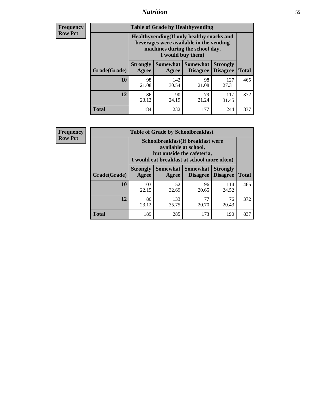## *Nutrition* **55**

**Frequency Row Pct**

| <b>Table of Grade by Healthyvending</b> |                                                                                                                                               |                          |                                    |                                    |              |  |  |
|-----------------------------------------|-----------------------------------------------------------------------------------------------------------------------------------------------|--------------------------|------------------------------------|------------------------------------|--------------|--|--|
|                                         | Healthyvending (If only healthy snacks and<br>beverages were available in the vending<br>machines during the school day,<br>I would buy them) |                          |                                    |                                    |              |  |  |
| Grade(Grade)                            | <b>Strongly</b><br>Agree                                                                                                                      | <b>Somewhat</b><br>Agree | <b>Somewhat</b><br><b>Disagree</b> | <b>Strongly</b><br><b>Disagree</b> | <b>Total</b> |  |  |
| 10                                      | 98<br>21.08                                                                                                                                   | 142<br>30.54             | 98<br>21.08                        | 127<br>27.31                       | 465          |  |  |
| 12                                      | 86<br>23.12                                                                                                                                   | 90<br>24.19              | 79<br>21.24                        | 117<br>31.45                       | 372          |  |  |
| Total                                   | 184                                                                                                                                           | 232                      | 177                                | 244                                | 837          |  |  |

**Frequency Row Pct**

| <b>Table of Grade by Schoolbreakfast</b> |                                                                                                                                         |                     |                                    |                                    |              |  |  |
|------------------------------------------|-----------------------------------------------------------------------------------------------------------------------------------------|---------------------|------------------------------------|------------------------------------|--------------|--|--|
|                                          | Schoolbreakfast (If breakfast were<br>available at school,<br>but outside the cafeteria,<br>I would eat breakfast at school more often) |                     |                                    |                                    |              |  |  |
| Grade(Grade)                             | <b>Strongly</b><br>Agree                                                                                                                | Somewhat  <br>Agree | <b>Somewhat</b><br><b>Disagree</b> | <b>Strongly</b><br><b>Disagree</b> | <b>Total</b> |  |  |
| 10                                       | 103<br>22.15                                                                                                                            | 152<br>32.69        | 96<br>20.65                        | 114<br>24.52                       | 465          |  |  |
| 12                                       | 86<br>23.12                                                                                                                             | 133<br>35.75        | 77<br>20.70                        | 76<br>20.43                        | 372          |  |  |
| <b>Total</b>                             | 189                                                                                                                                     | 285                 | 173                                | 190                                | 837          |  |  |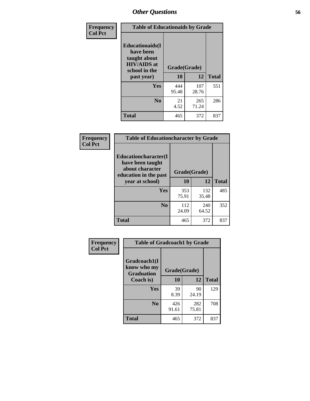| Frequency<br><b>Col Pct</b> | <b>Table of Educationaids by Grade</b>                                                                    |                    |              |              |
|-----------------------------|-----------------------------------------------------------------------------------------------------------|--------------------|--------------|--------------|
|                             | <b>Educationaids</b> (I<br>have been<br>taught about<br><b>HIV/AIDS</b> at<br>school in the<br>past year) | Grade(Grade)<br>10 | 12           | <b>Total</b> |
|                             | Yes                                                                                                       | 444<br>95.48       | 107<br>28.76 | 551          |
|                             | N <sub>0</sub>                                                                                            | 21<br>4.52         | 265<br>71.24 | 286          |
|                             | <b>Total</b>                                                                                              | 465                | 372          | 837          |

| <b>Frequency</b> | <b>Table of Educationcharacter by Grade</b>                                          |              |              |              |  |
|------------------|--------------------------------------------------------------------------------------|--------------|--------------|--------------|--|
| <b>Col Pct</b>   | Educationcharacter(I<br>have been taught<br>about character<br>education in the past | Grade(Grade) |              |              |  |
|                  | year at school)                                                                      | 10           | 12           | <b>Total</b> |  |
|                  | <b>Yes</b>                                                                           | 353<br>75.91 | 132<br>35.48 | 485          |  |
|                  | N <sub>0</sub>                                                                       | 112<br>24.09 | 240<br>64.52 | 352          |  |
|                  | <b>Total</b>                                                                         | 465          | 372          | 837          |  |

| <b>Frequency</b> | <b>Table of Gradcoach1 by Grade</b>              |              |              |              |
|------------------|--------------------------------------------------|--------------|--------------|--------------|
| <b>Col Pct</b>   | Gradcoach1(I<br>know who my<br><b>Graduation</b> | Grade(Grade) |              |              |
|                  | Coach is)                                        | 10           | 12           | <b>Total</b> |
|                  | Yes                                              | 39<br>8.39   | 90<br>24.19  | 129          |
|                  | N <sub>0</sub>                                   | 426<br>91.61 | 282<br>75.81 | 708          |
|                  | <b>Total</b>                                     | 465          | 372          | 837          |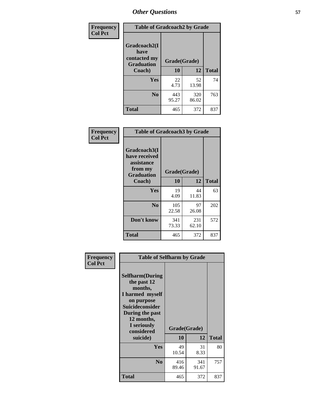| Frequency      | <b>Table of Gradcoach2 by Grade</b> |              |              |              |
|----------------|-------------------------------------|--------------|--------------|--------------|
| <b>Col Pct</b> | Gradcoach2(I<br>have                |              |              |              |
|                | contacted my<br><b>Graduation</b>   | Grade(Grade) |              |              |
|                | Coach)                              | 10           | 12           | <b>Total</b> |
|                | Yes                                 | 22<br>4.73   | 52<br>13.98  | 74           |
|                | N <sub>0</sub>                      | 443<br>95.27 | 320<br>86.02 | 763          |
|                | <b>Total</b>                        | 465          | 372          | 837          |

| <b>Frequency</b><br><b>Col Pct</b> | <b>Table of Gradcoach3 by Grade</b>                                         |              |              |              |  |
|------------------------------------|-----------------------------------------------------------------------------|--------------|--------------|--------------|--|
|                                    | Gradcoach3(I<br>have received<br>assistance<br>from my<br><b>Graduation</b> | Grade(Grade) |              |              |  |
|                                    | Coach)                                                                      | 10           | 12           | <b>Total</b> |  |
|                                    | Yes                                                                         | 19<br>4.09   | 44<br>11.83  | 63           |  |
|                                    | N <sub>0</sub>                                                              | 105<br>22.58 | 97<br>26.08  | 202          |  |
|                                    | Don't know                                                                  | 341<br>73.33 | 231<br>62.10 | 572          |  |
|                                    | <b>Total</b>                                                                | 465          | 372          | 837          |  |

| Frequency      | <b>Table of Selfharm by Grade</b>                                                                                                                                                      |                    |              |              |
|----------------|----------------------------------------------------------------------------------------------------------------------------------------------------------------------------------------|--------------------|--------------|--------------|
| <b>Col Pct</b> | <b>Selfharm</b> (During<br>the past 12<br>months,<br>I harmed myself<br>on purpose<br><b>Suicideconsider</b><br>During the past<br>12 months,<br>I seriously<br>considered<br>suicide) | Grade(Grade)<br>10 | 12           | <b>Total</b> |
|                | Yes                                                                                                                                                                                    | 49<br>10.54        | 31<br>8.33   | 80           |
|                | N <sub>0</sub>                                                                                                                                                                         | 416<br>89.46       | 341<br>91.67 | 757          |
|                | <b>Total</b>                                                                                                                                                                           | 465                | 372          | 837          |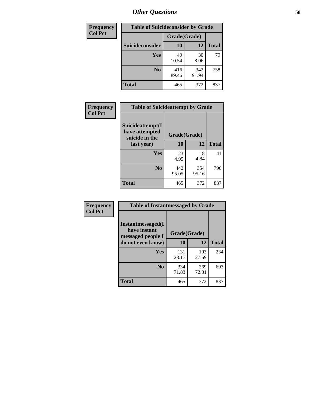| <b>Frequency</b> | <b>Table of Suicideconsider by Grade</b> |              |              |              |
|------------------|------------------------------------------|--------------|--------------|--------------|
| <b>Col Pct</b>   |                                          | Grade(Grade) |              |              |
|                  | Suicideconsider                          | <b>10</b>    | 12           | <b>Total</b> |
|                  | Yes                                      | 49<br>10.54  | 30<br>8.06   | 79           |
|                  | N <sub>0</sub>                           | 416<br>89.46 | 342<br>91.94 | 758          |
|                  | Total                                    | 465          | 372          | 837          |

| Frequency      | <b>Table of Suicideattempt by Grade</b>              |              |              |              |
|----------------|------------------------------------------------------|--------------|--------------|--------------|
| <b>Col Pct</b> | Suicideattempt(I<br>have attempted<br>suicide in the | Grade(Grade) |              |              |
|                | last year)                                           | 10           | 12           | <b>Total</b> |
|                | Yes                                                  | 23<br>4.95   | 18<br>4.84   | 41           |
|                | N <sub>0</sub>                                       | 442<br>95.05 | 354<br>95.16 | 796          |
|                | <b>Total</b>                                         | 465          | 372          | 837          |

| Frequency      | <b>Table of Instantmessaged by Grade</b>               |              |              |              |
|----------------|--------------------------------------------------------|--------------|--------------|--------------|
| <b>Col Pct</b> | Instantmessaged(I<br>have instant<br>messaged people I | Grade(Grade) |              |              |
|                | do not even know)                                      | 10           | 12           | <b>Total</b> |
|                | Yes                                                    | 131<br>28.17 | 103<br>27.69 | 234          |
|                | N <sub>0</sub>                                         | 334<br>71.83 | 269<br>72.31 | 603          |
|                | <b>Total</b>                                           | 465          | 372          | 837          |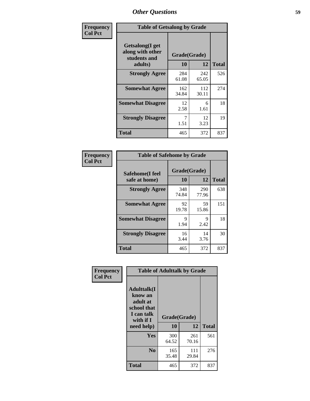| Frequency      | <b>Table of Getsalong by Grade</b>                          |              |              |              |
|----------------|-------------------------------------------------------------|--------------|--------------|--------------|
| <b>Col Pct</b> | <b>Getsalong</b> (I get<br>along with other<br>students and | Grade(Grade) |              |              |
|                | adults)                                                     | 10           | 12           | <b>Total</b> |
|                | <b>Strongly Agree</b>                                       | 284<br>61.08 | 242<br>65.05 | 526          |
|                | <b>Somewhat Agree</b>                                       | 162<br>34.84 | 112<br>30.11 | 274          |
|                | <b>Somewhat Disagree</b>                                    | 12<br>2.58   | 6<br>1.61    | 18           |
|                | <b>Strongly Disagree</b>                                    | 7<br>1.51    | 12<br>3.23   | 19           |
|                | Total                                                       | 465          | 372          | 837          |

| Frequency      | <b>Table of Safehome by Grade</b> |                    |              |              |
|----------------|-----------------------------------|--------------------|--------------|--------------|
| <b>Col Pct</b> | Safehome(I feel<br>safe at home)  | Grade(Grade)<br>10 | 12           | <b>Total</b> |
|                | <b>Strongly Agree</b>             | 348<br>74.84       | 290<br>77.96 | 638          |
|                | <b>Somewhat Agree</b>             | 92<br>19.78        | 59<br>15.86  | 151          |
|                | <b>Somewhat Disagree</b>          | 9<br>1.94          | 9<br>2.42    | 18           |
|                | <b>Strongly Disagree</b>          | 16<br>3.44         | 14<br>3.76   | 30           |
|                | <b>Total</b>                      | 465                | 372          | 837          |

| Frequency      |                                                                                     | <b>Table of Adulttalk by Grade</b> |              |              |
|----------------|-------------------------------------------------------------------------------------|------------------------------------|--------------|--------------|
| <b>Col Pct</b> | <b>Adulttalk(I</b><br>know an<br>adult at<br>school that<br>I can talk<br>with if I | Grade(Grade)                       |              |              |
|                | need help)                                                                          | 10                                 | 12           | <b>Total</b> |
|                | <b>Yes</b>                                                                          | 300<br>64.52                       | 261<br>70.16 | 561          |
|                | N <sub>0</sub>                                                                      | 165<br>35.48                       | 111<br>29.84 | 276          |
|                | <b>Total</b>                                                                        | 465                                | 372          | 837          |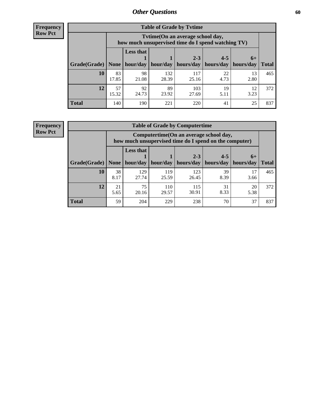**Frequency Row Pct**

| <b>Table of Grade by Tytime</b> |             |                                                                                                                                                                                                                            |              |              |            |            |     |  |  |
|---------------------------------|-------------|----------------------------------------------------------------------------------------------------------------------------------------------------------------------------------------------------------------------------|--------------|--------------|------------|------------|-----|--|--|
|                                 |             | Tvtime (On an average school day,<br>how much unsupervised time do I spend watching TV)<br><b>Less that</b><br>$4 - 5$<br>$2 - 3$<br>$6+$<br>hour/day<br>hour/day<br>hours/day<br>hours/day<br>  hours/day<br><b>Total</b> |              |              |            |            |     |  |  |
| Grade(Grade)   None             |             |                                                                                                                                                                                                                            |              |              |            |            |     |  |  |
| 10                              | 83<br>17.85 | 98<br>21.08                                                                                                                                                                                                                | 132<br>28.39 | 117<br>25.16 | 22<br>4.73 | 13<br>2.80 | 465 |  |  |
| 12                              | 57<br>15.32 | 89<br>92<br>103<br>19<br>12<br>23.92<br>24.73<br>5.11<br>27.69<br>3.23                                                                                                                                                     |              |              |            |            |     |  |  |
| <b>Total</b>                    | 140         | 190                                                                                                                                                                                                                        | 221          | 220          | 41         | 25         | 837 |  |  |

**Frequency Row Pct**

| <b>Table of Grade by Computertime</b> |            |                                                                                                                              |              |              |            |            |     |  |  |
|---------------------------------------|------------|------------------------------------------------------------------------------------------------------------------------------|--------------|--------------|------------|------------|-----|--|--|
|                                       |            | Computertime (On an average school day,<br>how much unsupervised time do I spend on the computer)                            |              |              |            |            |     |  |  |
| Grade(Grade)                          | None $ $   | <b>Less that</b><br>$4 - 5$<br>$2 - 3$<br>$6+$<br>hours/day<br>hour/day   hour/day<br>hours/day<br>hours/day<br><b>Total</b> |              |              |            |            |     |  |  |
| 10                                    | 38<br>8.17 | 129<br>27.74                                                                                                                 | 119<br>25.59 | 123<br>26.45 | 39<br>8.39 | 17<br>3.66 | 465 |  |  |
| 12                                    | 21<br>5.65 | 75<br>115<br>110<br>31<br>20<br>8.33<br>30.91<br>29.57<br>5.38<br>20.16                                                      |              |              |            |            |     |  |  |
| <b>Total</b>                          | 59         | 204                                                                                                                          | 229          | 238          | 70         | 37         | 837 |  |  |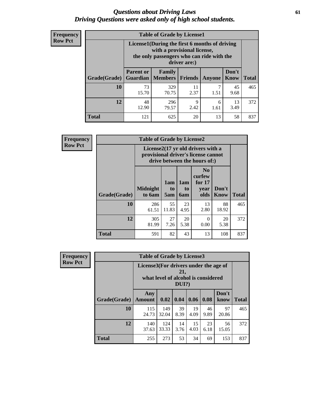#### *Questions about Driving Laws* **61** *Driving Questions were asked only of high school students.*

| <b>Frequency</b> |
|------------------|
| <b>Row Pct</b>   |

| <b>Table of Grade by License1</b> |                                                                     |                                                                                                                                           |                |        |                      |              |  |  |  |
|-----------------------------------|---------------------------------------------------------------------|-------------------------------------------------------------------------------------------------------------------------------------------|----------------|--------|----------------------|--------------|--|--|--|
|                                   |                                                                     | License1(During the first 6 months of driving<br>with a provisional license,<br>the only passengers who can ride with the<br>driver are:) |                |        |                      |              |  |  |  |
| Grade(Grade)                      | <b>Parent or</b><br><b>Guardian</b>                                 | Family<br><b>Members</b>                                                                                                                  | <b>Friends</b> | Anyone | Don't<br><b>Know</b> | <b>Total</b> |  |  |  |
| 10                                | 73<br>15.70                                                         | 329<br>70.75                                                                                                                              | 11<br>2.37     | 1.51   | 45<br>9.68           | 465          |  |  |  |
| 12                                | 48<br>9<br>13<br>296<br>6<br>12.90<br>2.42<br>3.49<br>79.57<br>1.61 |                                                                                                                                           |                |        |                      |              |  |  |  |
| <b>Total</b>                      | 121                                                                 | 625                                                                                                                                       | 20             | 13     | 58                   | 837          |  |  |  |

| <b>Frequency</b> | <b>Table of Grade by License2</b> |                                                                                                          |                  |                  |                                                      |               |              |  |  |
|------------------|-----------------------------------|----------------------------------------------------------------------------------------------------------|------------------|------------------|------------------------------------------------------|---------------|--------------|--|--|
| <b>Row Pct</b>   |                                   | License2(17 yr old drivers with a<br>provisional driver's license cannot<br>drive between the hours of:) |                  |                  |                                                      |               |              |  |  |
|                  | Grade(Grade)                      | <b>Midnight</b><br>to 6am                                                                                | 1am<br>to<br>5am | 1am<br>to<br>6am | N <sub>0</sub><br>curfew<br>for $17$<br>year<br>olds | Don't<br>Know | <b>Total</b> |  |  |
|                  | 10                                | 286<br>61.51                                                                                             | 55<br>11.83      | 23<br>4.95       | 13<br>2.80                                           | 88<br>18.92   | 465          |  |  |
|                  | 12                                | 305<br>81.99                                                                                             | 27<br>7.26       | 20<br>5.38       | $\Omega$<br>0.00                                     | 20<br>5.38    | 372          |  |  |
|                  | <b>Total</b>                      | 591                                                                                                      | 82               | 43               | 13                                                   | 108           | 837          |  |  |

| <b>Frequency</b> | <b>Table of Grade by License3</b> |                                       |                                     |                 |            |            |               |              |
|------------------|-----------------------------------|---------------------------------------|-------------------------------------|-----------------|------------|------------|---------------|--------------|
| <b>Row Pct</b>   |                                   | License3(For drivers under the age of | what level of alcohol is considered | 21,<br>$DUI$ ?) |            |            |               |              |
|                  | Grade(Grade)                      | Any<br><b>Amount</b>                  | 0.02                                | 0.04            | 0.06       | 0.08       | Don't<br>know | <b>Total</b> |
|                  | 10                                | 115<br>24.73                          | 149<br>32.04                        | 39<br>8.39      | 19<br>4.09 | 46<br>9.89 | 97<br>20.86   | 465          |
|                  | 12                                | 140<br>37.63                          | 124<br>33.33                        | 14<br>3.76      | 15<br>4.03 | 23<br>6.18 | 56<br>15.05   | 372          |
|                  | <b>Total</b>                      | 255                                   | 273                                 | 53              | 34         | 69         | 153           | 837          |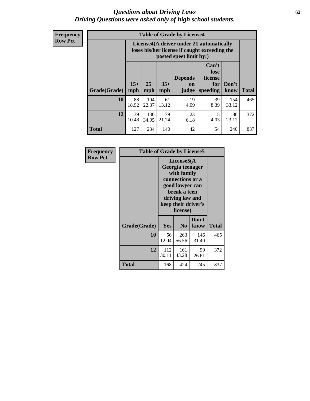#### *Questions about Driving Laws* **62** *Driving Questions were asked only of high school students.*

**Frequency Row Pct**

|                      |             |                                                                                                                                                                                                                                                                                |             | <b>Table of Grade by License4</b> |            |              |     |  |
|----------------------|-------------|--------------------------------------------------------------------------------------------------------------------------------------------------------------------------------------------------------------------------------------------------------------------------------|-------------|-----------------------------------|------------|--------------|-----|--|
|                      |             | License4(A driver under 21 automatically<br>loses his/her license if caught exceeding the<br>posted speet limit by:)<br>Can't<br>lose<br><b>Depends</b><br>license<br>$15+$<br>$25+$<br>$35+$<br>Don't<br>for<br>on<br><b>Total</b><br>mph<br>mph<br>speeding<br>know<br>judge |             |                                   |            |              |     |  |
| <b>Grade</b> (Grade) | mph         |                                                                                                                                                                                                                                                                                |             |                                   |            |              |     |  |
| 10                   | 88<br>18.92 | 104<br>22.37                                                                                                                                                                                                                                                                   | 61<br>13.12 | 19<br>4.09                        | 39<br>8.39 | 154<br>33.12 | 465 |  |
| 12                   | 39<br>10.48 | 130<br>34.95                                                                                                                                                                                                                                                                   | 79<br>21.24 | 23<br>6.18                        | 15<br>4.03 | 86<br>23.12  | 372 |  |
| <b>Total</b>         | 127         | 234                                                                                                                                                                                                                                                                            | 140         | 42                                | 54         | 240          | 837 |  |

| Frequency      | <b>Table of Grade by License5</b> |              |                                                                                                                                                             |               |       |
|----------------|-----------------------------------|--------------|-------------------------------------------------------------------------------------------------------------------------------------------------------------|---------------|-------|
| <b>Row Pct</b> |                                   |              | License5(A)<br>Georgia teenager<br>with family<br>connections or a<br>good lawyer can<br>break a teen<br>driving law and<br>keep their driver's<br>license) |               |       |
|                | Grade(Grade)                      | Yes          | N <sub>0</sub>                                                                                                                                              | Don't<br>know | Total |
|                | 10                                | 56<br>12.04  | 263<br>56.56                                                                                                                                                | 146<br>31.40  | 465   |
|                | 12                                | 112<br>30.11 | 161<br>43.28                                                                                                                                                | 99<br>26.61   | 372   |
|                | Total                             | 168          | 424                                                                                                                                                         | 245           | 837   |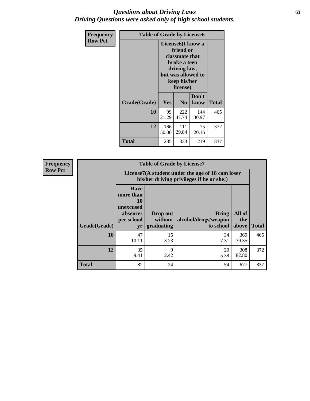### *Questions about Driving Laws* **63** *Driving Questions were asked only of high school students.*

| <b>Frequency</b> | <b>Table of Grade by License6</b> |              |                                                                                                                           |                    |              |
|------------------|-----------------------------------|--------------|---------------------------------------------------------------------------------------------------------------------------|--------------------|--------------|
| <b>Row Pct</b>   |                                   |              | License <sub>6</sub> (I know a<br>friend or<br>classmate that<br>broke a teen<br>driving law,<br>keep his/her<br>license) | but was allowed to |              |
|                  | Grade(Grade)                      | Yes          | N <sub>0</sub>                                                                                                            | Don't<br>know      | <b>Total</b> |
|                  | 10                                | 99<br>21.29  | 222<br>47.74                                                                                                              | 144<br>30.97       | 465          |
|                  | 12                                | 186<br>50.00 | 111<br>29.84                                                                                                              | 75<br>20.16        | 372          |
|                  | Total                             | 285          | 333                                                                                                                       | 219                | 837          |

| Frequency      | <b>Table of Grade by License7</b> |                                                                                               |                                     |                                                   |                        |              |  |  |  |
|----------------|-----------------------------------|-----------------------------------------------------------------------------------------------|-------------------------------------|---------------------------------------------------|------------------------|--------------|--|--|--|
| <b>Row Pct</b> |                                   | License7(A student under the age of 18 cam loser<br>his/her driving privileges if he or she:) |                                     |                                                   |                        |              |  |  |  |
|                | Grade(Grade)                      | <b>Have</b><br>more than<br>10<br>unexcused<br>absences<br>per school<br>yr                   | Drop out<br>without  <br>graduating | <b>Bring</b><br>alcohol/drugs/weapon<br>to school | All of<br>the<br>above | <b>Total</b> |  |  |  |
|                | 10                                | 47<br>10.11                                                                                   | 15<br>3.23                          | 34<br>7.31                                        | 369<br>79.35           | 465          |  |  |  |
|                | 12                                | 35<br>9.41                                                                                    | 9<br>2.42                           | 20<br>5.38                                        | 308<br>82.80           | 372          |  |  |  |
|                | <b>Total</b>                      | 82                                                                                            | 24                                  | 54                                                | 677                    | 837          |  |  |  |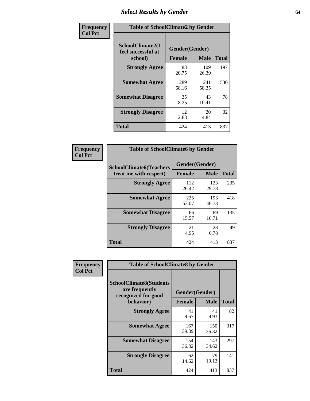# *Select Results by Gender* **64**

| Frequency      | <b>Table of SchoolClimate2 by Gender</b>          |                                 |              |              |  |  |  |
|----------------|---------------------------------------------------|---------------------------------|--------------|--------------|--|--|--|
| <b>Col Pct</b> | SchoolClimate2(I<br>feel successful at<br>school) | Gender(Gender)<br><b>Female</b> | <b>Male</b>  | <b>Total</b> |  |  |  |
|                | <b>Strongly Agree</b>                             | 88<br>20.75                     | 109<br>26.39 | 197          |  |  |  |
|                | <b>Somewhat Agree</b>                             | 289<br>68.16                    | 241<br>58.35 | 530          |  |  |  |
|                | <b>Somewhat Disagree</b>                          | 35<br>8.25                      | 43<br>10.41  | 78           |  |  |  |
|                | <b>Strongly Disagree</b>                          | 12<br>2.83                      | 20<br>4.84   | 32           |  |  |  |
|                | <b>Total</b>                                      | 424                             | 413          | 837          |  |  |  |

| Frequency      | <b>Table of SchoolClimate6 by Gender</b>                 |                                 |              |              |  |  |  |
|----------------|----------------------------------------------------------|---------------------------------|--------------|--------------|--|--|--|
| <b>Col Pct</b> | <b>SchoolClimate6(Teachers</b><br>treat me with respect) | Gender(Gender)<br><b>Female</b> | <b>Male</b>  | <b>Total</b> |  |  |  |
|                | <b>Strongly Agree</b>                                    | 112<br>26.42                    | 123<br>29.78 | 235          |  |  |  |
|                | <b>Somewhat Agree</b>                                    | 225<br>53.07                    | 193<br>46.73 | 418          |  |  |  |
|                | <b>Somewhat Disagree</b>                                 | 66<br>15.57                     | 69<br>16.71  | 135          |  |  |  |
|                | <b>Strongly Disagree</b>                                 | 21<br>4.95                      | 28<br>6.78   | 49           |  |  |  |
|                | <b>Total</b>                                             | 424                             | 413          | 837          |  |  |  |

| Frequency      | <b>Table of SchoolClimate8 by Gender</b>                                             |                                 |              |              |  |
|----------------|--------------------------------------------------------------------------------------|---------------------------------|--------------|--------------|--|
| <b>Col Pct</b> | <b>SchoolClimate8(Students</b><br>are frequently<br>recognized for good<br>behavior) | Gender(Gender)<br><b>Female</b> | <b>Male</b>  | <b>Total</b> |  |
|                | <b>Strongly Agree</b>                                                                | 41                              | 41           | 82           |  |
|                |                                                                                      | 9.67                            | 9.93         |              |  |
|                | <b>Somewhat Agree</b>                                                                | 167<br>39.39                    | 150<br>36.32 | 317          |  |
|                | <b>Somewhat Disagree</b>                                                             | 154<br>36.32                    | 143<br>34.62 | 297          |  |
|                | <b>Strongly Disagree</b>                                                             | 62<br>14.62                     | 79<br>19.13  | 141          |  |
|                | Total                                                                                | 424                             | 413          | 837          |  |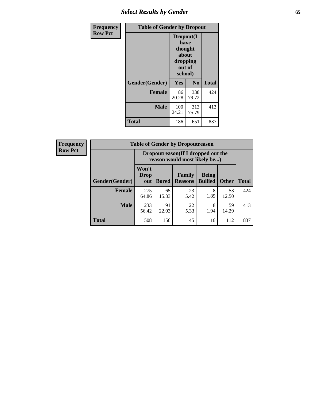# *Select Results by Gender* **65**

| Frequency      | <b>Table of Gender by Dropout</b> |                                                                        |                |              |
|----------------|-----------------------------------|------------------------------------------------------------------------|----------------|--------------|
| <b>Row Pct</b> |                                   | Dropout(I<br>have<br>thought<br>about<br>dropping<br>out of<br>school) |                |              |
|                | Gender(Gender)                    | Yes                                                                    | N <sub>0</sub> | <b>Total</b> |
|                | <b>Female</b>                     | 86<br>20.28                                                            | 338<br>79.72   | 424          |
|                | <b>Male</b>                       | 100<br>24.21                                                           | 313<br>75.79   | 413          |
|                | <b>Total</b>                      | 186                                                                    | 651            | 837          |

| <b>Frequency</b> |                | <b>Table of Gender by Dropoutreason</b>                            |              |                          |                                |              |              |
|------------------|----------------|--------------------------------------------------------------------|--------------|--------------------------|--------------------------------|--------------|--------------|
| <b>Row Pct</b>   |                | Dropoutreason(If I dropped out the<br>reason would most likely be) |              |                          |                                |              |              |
|                  | Gender(Gender) | Won't<br>Drop<br>out                                               | <b>Bored</b> | Family<br><b>Reasons</b> | <b>Being</b><br><b>Bullied</b> | <b>Other</b> | <b>Total</b> |
|                  | Female         | 275<br>64.86                                                       | 65<br>15.33  | 23<br>5.42               | 8<br>1.89                      | 53<br>12.50  | 424          |
|                  | <b>Male</b>    | 233<br>56.42                                                       | 91<br>22.03  | 22<br>5.33               | 8<br>1.94                      | 59<br>14.29  | 413          |
|                  | <b>Total</b>   | 508                                                                | 156          | 45                       | 16                             | 112          | 837          |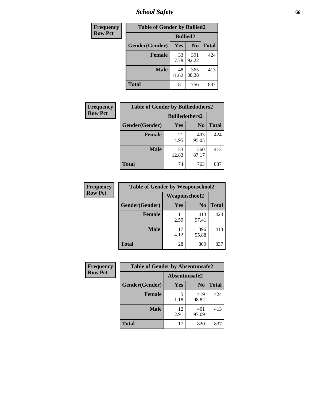*School Safety* **66**

| Frequency      | <b>Table of Gender by Bullied2</b> |                 |                |              |
|----------------|------------------------------------|-----------------|----------------|--------------|
| <b>Row Pct</b> |                                    | <b>Bullied2</b> |                |              |
|                | Gender(Gender)                     | Yes             | N <sub>0</sub> | <b>Total</b> |
|                | <b>Female</b>                      | 33<br>7.78      | 391<br>92.22   | 424          |
|                | <b>Male</b>                        | 48<br>11.62     | 365<br>88.38   | 413          |
|                | Total                              | 81              | 756            | 837          |

| Frequency      | <b>Table of Gender by Bulliedothers2</b> |                       |              |              |
|----------------|------------------------------------------|-----------------------|--------------|--------------|
| <b>Row Pct</b> |                                          | <b>Bulliedothers2</b> |              |              |
|                | Gender(Gender)                           | <b>Yes</b>            | $\bf N_0$    | <b>Total</b> |
|                | <b>Female</b>                            | 21<br>4.95            | 403<br>95.05 | 424          |
|                | <b>Male</b>                              | 53<br>12.83           | 360<br>87.17 | 413          |
|                | <b>Total</b>                             | 74                    | 763          | 837          |

| Frequency      | <b>Table of Gender by Weaponschool2</b> |                      |                |              |
|----------------|-----------------------------------------|----------------------|----------------|--------------|
| <b>Row Pct</b> |                                         | <b>Weaponschool2</b> |                |              |
|                | Gender(Gender)                          | Yes                  | N <sub>0</sub> | <b>Total</b> |
|                | <b>Female</b>                           | 11<br>2.59           | 413<br>97.41   | 424          |
|                | <b>Male</b>                             | 17<br>4.12           | 396<br>95.88   | 413          |
|                | <b>Total</b>                            | 28                   | 809            | 837          |

| Frequency      | <b>Table of Gender by Absentunsafe2</b> |               |                |              |
|----------------|-----------------------------------------|---------------|----------------|--------------|
| <b>Row Pct</b> |                                         | Absentunsafe2 |                |              |
|                | Gender(Gender)                          | Yes           | N <sub>0</sub> | <b>Total</b> |
|                | <b>Female</b>                           | 1.18          | 419<br>98.82   | 424          |
|                | <b>Male</b>                             | 12<br>2.91    | 401<br>97.09   | 413          |
|                | <b>Total</b>                            | 17            | 820            | 837          |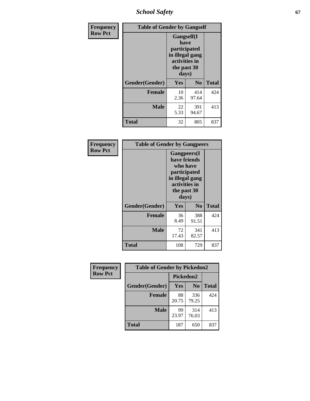*School Safety* **67**

| Frequency      |                | <b>Table of Gender by Gangself</b>                                                             |                |              |
|----------------|----------------|------------------------------------------------------------------------------------------------|----------------|--------------|
| <b>Row Pct</b> |                | Gangself(I<br>have<br>participated<br>in illegal gang<br>activities in<br>the past 30<br>days) |                |              |
|                | Gender(Gender) | Yes                                                                                            | N <sub>0</sub> | <b>Total</b> |
|                | <b>Female</b>  | 10<br>2.36                                                                                     | 414<br>97.64   | 424          |
|                | <b>Male</b>    | 22<br>5.33                                                                                     | 391<br>94.67   | 413          |
|                | <b>Total</b>   | 32                                                                                             | 805            | 837          |

| Frequency      | <b>Table of Gender by Gangpeers</b> |                                                                                                                             |                |              |
|----------------|-------------------------------------|-----------------------------------------------------------------------------------------------------------------------------|----------------|--------------|
| <b>Row Pct</b> |                                     | <b>Gangpeers</b> (I<br>have friends<br>who have<br>participated<br>in illegal gang<br>activities in<br>the past 30<br>days) |                |              |
|                | Gender(Gender)                      | Yes                                                                                                                         | N <sub>0</sub> | <b>Total</b> |
|                | <b>Female</b>                       | 36<br>8.49                                                                                                                  | 388<br>91.51   | 424          |
|                | <b>Male</b>                         | 72<br>17.43                                                                                                                 | 341<br>82.57   | 413          |
|                | Total                               | 108                                                                                                                         | 729            | 837          |

| Frequency      | <b>Table of Gender by Pickedon2</b> |             |                |              |
|----------------|-------------------------------------|-------------|----------------|--------------|
| <b>Row Pct</b> |                                     | Pickedon2   |                |              |
|                | Gender(Gender)                      | Yes         | N <sub>0</sub> | <b>Total</b> |
|                | <b>Female</b>                       | 88<br>20.75 | 336<br>79.25   | 424          |
|                | <b>Male</b>                         | 99<br>23.97 | 314<br>76.03   | 413          |
|                | <b>Total</b>                        | 187         | 650            | 837          |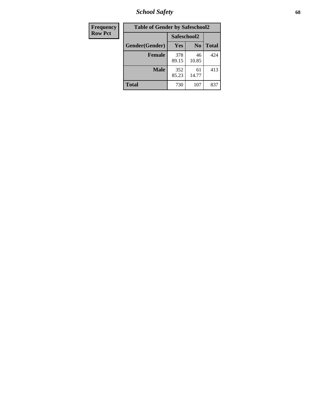*School Safety* **68**

| Frequency      | <b>Table of Gender by Safeschool2</b> |              |                |              |
|----------------|---------------------------------------|--------------|----------------|--------------|
| <b>Row Pct</b> |                                       | Safeschool2  |                |              |
|                | Gender(Gender)                        | Yes          | N <sub>0</sub> | <b>Total</b> |
|                | <b>Female</b>                         | 378<br>89.15 | 46<br>10.85    | 424          |
|                | <b>Male</b>                           | 352<br>85.23 | 61<br>14.77    | 413          |
|                | <b>Total</b>                          | 730          | 107            | 837          |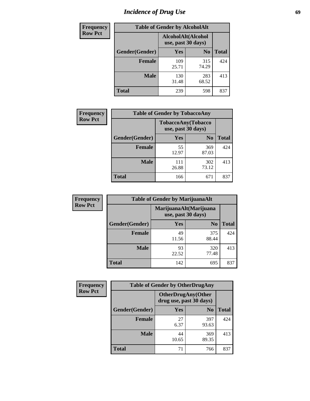# *Incidence of Drug Use* 69

| <b>Frequency</b> | <b>Table of Gender by AlcoholAlt</b> |                                          |                |              |  |
|------------------|--------------------------------------|------------------------------------------|----------------|--------------|--|
| <b>Row Pct</b>   |                                      | AlcoholAlt(Alcohol<br>use, past 30 days) |                |              |  |
|                  | Gender(Gender)                       | <b>Yes</b>                               | N <sub>0</sub> | <b>Total</b> |  |
|                  | <b>Female</b>                        | 109<br>25.71                             | 315<br>74.29   | 424          |  |
|                  | <b>Male</b>                          | 130<br>31.48                             | 283<br>68.52   | 413          |  |
|                  | <b>Total</b>                         | 239                                      | 598            | 837          |  |

| Frequency      | <b>Table of Gender by TobaccoAny</b> |                    |                    |              |
|----------------|--------------------------------------|--------------------|--------------------|--------------|
| <b>Row Pct</b> |                                      | use, past 30 days) | TobaccoAny(Tobacco |              |
|                | Gender(Gender)                       | Yes                | N <sub>0</sub>     | <b>Total</b> |
|                | <b>Female</b>                        | 55<br>12.97        | 369<br>87.03       | 424          |
|                | <b>Male</b>                          | 111<br>26.88       | 302<br>73.12       | 413          |
|                | <b>Total</b>                         | 166                | 671                | 837          |

| <b>Frequency</b> | <b>Table of Gender by MarijuanaAlt</b> |                                              |                |              |
|------------------|----------------------------------------|----------------------------------------------|----------------|--------------|
| <b>Row Pct</b>   |                                        | MarijuanaAlt(Marijuana<br>use, past 30 days) |                |              |
|                  | Gender(Gender)                         | <b>Yes</b>                                   | N <sub>0</sub> | <b>Total</b> |
|                  | <b>Female</b>                          | 49<br>11.56                                  | 375<br>88.44   | 424          |
|                  | <b>Male</b>                            | 93<br>22.52                                  | 320<br>77.48   | 413          |
|                  | <b>Total</b>                           | 142                                          | 695            | 837          |

| <b>Frequency</b> | <b>Table of Gender by OtherDrugAny</b> |                                                       |                |              |  |
|------------------|----------------------------------------|-------------------------------------------------------|----------------|--------------|--|
| <b>Row Pct</b>   |                                        | <b>OtherDrugAny</b> (Other<br>drug use, past 30 days) |                |              |  |
|                  | Gender(Gender)                         | <b>Yes</b>                                            | N <sub>0</sub> | <b>Total</b> |  |
|                  | <b>Female</b>                          | 27<br>6.37                                            | 397<br>93.63   | 424          |  |
|                  | <b>Male</b>                            | 44<br>10.65                                           | 369<br>89.35   | 413          |  |
|                  | <b>Total</b>                           | 71                                                    | 766            | 837          |  |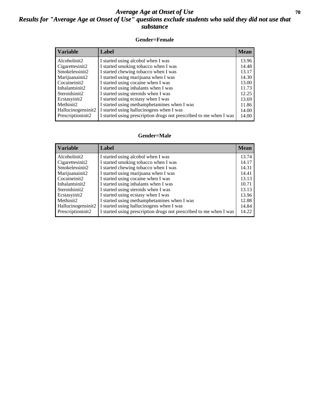### *Average Age at Onset of Use* 70 *Results for "Average Age at Onset of Use" questions exclude students who said they did not use that substance*

#### **Gender=Female**

| <b>Variable</b>    | Label                                                              | <b>Mean</b> |
|--------------------|--------------------------------------------------------------------|-------------|
| Alcoholinit2       | I started using alcohol when I was                                 | 13.96       |
| Cigarettesinit2    | I started smoking tobacco when I was                               | 14.48       |
| Smokelessinit2     | I started chewing tobacco when I was                               | 13.17       |
| Marijuanainit2     | I started using marijuana when I was                               | 14.30       |
| Cocaineinit2       | I started using cocaine when I was                                 | 13.00       |
| Inhalantsinit2     | I started using inhalants when I was                               | 11.73       |
| Steroidsinit2      | I started using steroids when I was                                | 12.25       |
| Ecstasyinit2       | I started using ecstasy when I was                                 | 13.69       |
| Methinit2          | I started using methamphetamines when I was                        | 11.86       |
| Hallucinogensinit2 | I started using hallucinogens when I was                           | 14.00       |
| Prescription in t2 | I started using prescription drugs not prescribed to me when I was | 14.00       |

#### **Gender=Male**

| <b>Variable</b>    | Label                                                              | <b>Mean</b> |
|--------------------|--------------------------------------------------------------------|-------------|
| Alcoholinit2       | I started using alcohol when I was                                 | 13.74       |
| Cigarettesinit2    | I started smoking tobacco when I was                               | 14.17       |
| Smokelessinit2     | I started chewing tobacco when I was                               | 14.31       |
| Marijuanainit2     | I started using marijuana when I was                               | 14.41       |
| Cocaineinit2       | I started using cocaine when I was                                 | 13.13       |
| Inhalantsinit2     | I started using inhalants when I was                               | 10.71       |
| Steroidsinit2      | I started using steroids when I was                                | 13.13       |
| Ecstasyinit2       | I started using ecstasy when I was                                 | 13.96       |
| Methinit2          | I started using methamphetamines when I was                        | 12.88       |
| Hallucinogensinit2 | I started using hallucinogens when I was                           | 14.84       |
| Prescriptioninit2  | I started using prescription drugs not prescribed to me when I was | 14.22       |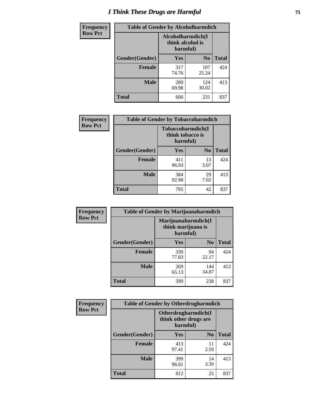# *I Think These Drugs are Harmful* **71**

| <b>Frequency</b> | <b>Table of Gender by Alcoholharmdich</b> |                                                   |                |              |
|------------------|-------------------------------------------|---------------------------------------------------|----------------|--------------|
| <b>Row Pct</b>   |                                           | Alcoholharmdich(I<br>think alcohol is<br>harmful) |                |              |
|                  | Gender(Gender)                            | Yes                                               | N <sub>0</sub> | <b>Total</b> |
|                  | <b>Female</b>                             | 317<br>74.76                                      | 107<br>25.24   | 424          |
|                  | <b>Male</b>                               | 289<br>69.98                                      | 124<br>30.02   | 413          |
|                  | <b>Total</b>                              | 606                                               | 231            | 837          |

| Frequency      | <b>Table of Gender by Tobaccoharmdich</b> |                  |                               |              |
|----------------|-------------------------------------------|------------------|-------------------------------|--------------|
| <b>Row Pct</b> |                                           | think tobacco is | Tobaccoharmdich(I<br>harmful) |              |
|                | Gender(Gender)                            | Yes              | N <sub>0</sub>                | <b>Total</b> |
|                | <b>Female</b>                             | 411<br>96.93     | 13<br>3.07                    | 424          |
|                | <b>Male</b>                               | 384<br>92.98     | 29<br>7.02                    | 413          |
|                | <b>Total</b>                              | 795              | 42                            | 837          |

| Frequency      | <b>Table of Gender by Marijuanaharmdich</b> |                                |                     |              |  |
|----------------|---------------------------------------------|--------------------------------|---------------------|--------------|--|
| <b>Row Pct</b> |                                             | think marijuana is<br>harmful) | Marijuanaharmdich(I |              |  |
|                | Gender(Gender)                              | <b>Yes</b>                     | N <sub>0</sub>      | <b>Total</b> |  |
|                | <b>Female</b>                               | 330<br>77.83                   | 94<br>22.17         | 424          |  |
|                | <b>Male</b>                                 | 269<br>65.13                   | 144<br>34.87        | 413          |  |
|                | <b>Total</b>                                | 599                            | 238                 | 837          |  |

| <b>Frequency</b> | <b>Table of Gender by Otherdrugharmdich</b> |                                                          |                |              |
|------------------|---------------------------------------------|----------------------------------------------------------|----------------|--------------|
| <b>Row Pct</b>   |                                             | Otherdrugharmdich(I<br>think other drugs are<br>harmful) |                |              |
|                  | Gender(Gender)                              | <b>Yes</b>                                               | N <sub>0</sub> | <b>Total</b> |
|                  | <b>Female</b>                               | 413<br>97.41                                             | 11<br>2.59     | 424          |
|                  | <b>Male</b>                                 | 399<br>96.61                                             | 14<br>3.39     | 413          |
|                  | <b>Total</b>                                | 812                                                      | 25             | 837          |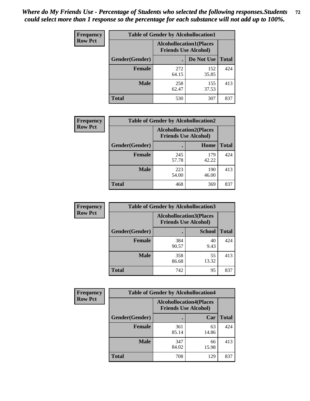| <b>Frequency</b> | <b>Table of Gender by Alcohollocation1</b> |                                                               |              |              |
|------------------|--------------------------------------------|---------------------------------------------------------------|--------------|--------------|
| <b>Row Pct</b>   |                                            | <b>Alcohollocation1(Places</b><br><b>Friends Use Alcohol)</b> |              |              |
|                  | Gender(Gender)                             |                                                               | Do Not Use   | <b>Total</b> |
|                  | <b>Female</b>                              | 272<br>64.15                                                  | 152<br>35.85 | 424          |
|                  | <b>Male</b>                                | 258<br>62.47                                                  | 155<br>37.53 | 413          |
|                  | <b>Total</b>                               | 530                                                           | 307          | 837          |

| <b>Frequency</b> | <b>Table of Gender by Alcohollocation2</b> |                                                               |              |              |
|------------------|--------------------------------------------|---------------------------------------------------------------|--------------|--------------|
| <b>Row Pct</b>   |                                            | <b>Alcohollocation2(Places</b><br><b>Friends Use Alcohol)</b> |              |              |
|                  | Gender(Gender)                             |                                                               | Home         | <b>Total</b> |
|                  | <b>Female</b>                              | 245<br>57.78                                                  | 179<br>42.22 | 424          |
|                  | <b>Male</b>                                | 223<br>54.00                                                  | 190<br>46.00 | 413          |
|                  | <b>Total</b>                               | 468                                                           | 369          | 837          |

| Frequency      | <b>Table of Gender by Alcohollocation3</b> |                                                               |               |              |
|----------------|--------------------------------------------|---------------------------------------------------------------|---------------|--------------|
| <b>Row Pct</b> |                                            | <b>Alcohollocation3(Places</b><br><b>Friends Use Alcohol)</b> |               |              |
|                | Gender(Gender)                             |                                                               | <b>School</b> | <b>Total</b> |
|                | <b>Female</b>                              | 384<br>90.57                                                  | 40<br>9.43    | 424          |
|                | <b>Male</b>                                | 358<br>86.68                                                  | 55<br>13.32   | 413          |
|                | <b>Total</b>                               | 742                                                           | 95            | 837          |

| <b>Frequency</b> | <b>Table of Gender by Alcohollocation4</b> |                                                               |             |              |
|------------------|--------------------------------------------|---------------------------------------------------------------|-------------|--------------|
| <b>Row Pct</b>   |                                            | <b>Alcohollocation4(Places</b><br><b>Friends Use Alcohol)</b> |             |              |
|                  | Gender(Gender)                             |                                                               | Car         | <b>Total</b> |
|                  | <b>Female</b>                              | 361<br>85.14                                                  | 63<br>14.86 | 424          |
|                  | <b>Male</b>                                | 347<br>84.02                                                  | 66<br>15.98 | 413          |
|                  | <b>Total</b>                               | 708                                                           | 129         | 837          |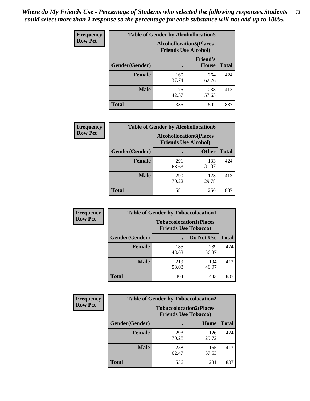| <b>Frequency</b> | <b>Table of Gender by Alcohollocation5</b> |                                                                |                                 |              |
|------------------|--------------------------------------------|----------------------------------------------------------------|---------------------------------|--------------|
| <b>Row Pct</b>   |                                            | <b>Alcohollocation5</b> (Places<br><b>Friends Use Alcohol)</b> |                                 |              |
|                  | Gender(Gender)                             |                                                                | <b>Friend's</b><br><b>House</b> | <b>Total</b> |
|                  | <b>Female</b>                              | 160<br>37.74                                                   | 264<br>62.26                    | 424          |
|                  | <b>Male</b>                                | 175<br>42.37                                                   | 238<br>57.63                    | 413          |
|                  | <b>Total</b>                               | 335                                                            | 502                             | 837          |

| Frequency      | <b>Table of Gender by Alcohollocation6</b> |                                                               |              |              |
|----------------|--------------------------------------------|---------------------------------------------------------------|--------------|--------------|
| <b>Row Pct</b> |                                            | <b>Alcohollocation6(Places</b><br><b>Friends Use Alcohol)</b> |              |              |
|                | <b>Gender</b> (Gender)                     |                                                               | <b>Other</b> | <b>Total</b> |
|                | Female                                     | 291<br>68.63                                                  | 133<br>31.37 | 424          |
|                | <b>Male</b>                                | 290<br>70.22                                                  | 123<br>29.78 | 413          |
|                | <b>Total</b>                               | 581                                                           | 256          | 837          |

| Frequency      | <b>Table of Gender by Tobaccolocation1</b> |                                                               |              |              |  |
|----------------|--------------------------------------------|---------------------------------------------------------------|--------------|--------------|--|
| <b>Row Pct</b> |                                            | <b>Tobaccolocation1(Places</b><br><b>Friends Use Tobacco)</b> |              |              |  |
|                | Gender(Gender)                             |                                                               | Do Not Use   | <b>Total</b> |  |
|                | Female                                     | 185<br>43.63                                                  | 239<br>56.37 | 424          |  |
|                | <b>Male</b>                                | 219<br>53.03                                                  | 194<br>46.97 | 413          |  |
|                | <b>Total</b>                               | 404                                                           | 433          | 837          |  |

| <b>Frequency</b> | <b>Table of Gender by Tobaccolocation2</b> |                                                               |              |              |
|------------------|--------------------------------------------|---------------------------------------------------------------|--------------|--------------|
| <b>Row Pct</b>   |                                            | <b>Tobaccolocation2(Places</b><br><b>Friends Use Tobacco)</b> |              |              |
|                  | Gender(Gender)                             |                                                               | Home         | <b>Total</b> |
|                  | Female                                     | 298<br>70.28                                                  | 126<br>29.72 | 424          |
|                  | <b>Male</b>                                | 258<br>62.47                                                  | 155<br>37.53 | 413          |
|                  | <b>Total</b>                               | 556                                                           | 281          | 837          |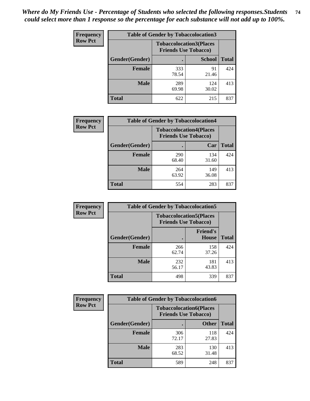| <b>Frequency</b> | <b>Table of Gender by Tobaccolocation3</b> |              |                                                               |              |
|------------------|--------------------------------------------|--------------|---------------------------------------------------------------|--------------|
| <b>Row Pct</b>   |                                            |              | <b>Tobaccolocation3(Places</b><br><b>Friends Use Tobacco)</b> |              |
|                  | Gender(Gender)                             |              | <b>School</b>                                                 | <b>Total</b> |
|                  | Female                                     | 333<br>78.54 | 91<br>21.46                                                   | 424          |
|                  | <b>Male</b>                                | 289<br>69.98 | 124<br>30.02                                                  | 413          |
|                  | <b>Total</b>                               | 622          | 215                                                           | 837          |

| <b>Frequency</b> | <b>Table of Gender by Tobaccolocation4</b> |              |                                                               |              |
|------------------|--------------------------------------------|--------------|---------------------------------------------------------------|--------------|
| <b>Row Pct</b>   |                                            |              | <b>Tobaccolocation4(Places</b><br><b>Friends Use Tobacco)</b> |              |
|                  | Gender(Gender)                             |              | Car                                                           | <b>Total</b> |
|                  | <b>Female</b>                              | 290<br>68.40 | 134<br>31.60                                                  | 424          |
|                  | <b>Male</b>                                | 264<br>63.92 | 149<br>36.08                                                  | 413          |
|                  | <b>Total</b>                               | 554          | 283                                                           | 837          |

| <b>Frequency</b> | <b>Table of Gender by Tobaccolocation5</b> |                                                               |                                 |              |  |
|------------------|--------------------------------------------|---------------------------------------------------------------|---------------------------------|--------------|--|
| <b>Row Pct</b>   |                                            | <b>Tobaccolocation5(Places</b><br><b>Friends Use Tobacco)</b> |                                 |              |  |
|                  | Gender(Gender)                             |                                                               | <b>Friend's</b><br><b>House</b> | <b>Total</b> |  |
|                  | <b>Female</b>                              | 266<br>62.74                                                  | 158<br>37.26                    | 424          |  |
|                  | <b>Male</b>                                | 232<br>56.17                                                  | 181<br>43.83                    | 413          |  |
|                  | <b>Total</b>                               | 498                                                           | 339                             | 837          |  |

| <b>Frequency</b> | <b>Table of Gender by Tobaccolocation6</b> |              |                                                               |              |
|------------------|--------------------------------------------|--------------|---------------------------------------------------------------|--------------|
| <b>Row Pct</b>   |                                            |              | <b>Tobaccolocation6(Places</b><br><b>Friends Use Tobacco)</b> |              |
|                  | Gender(Gender)                             |              | <b>Other</b>                                                  | <b>Total</b> |
|                  | Female                                     | 306<br>72.17 | 118<br>27.83                                                  | 424          |
|                  | <b>Male</b>                                | 283<br>68.52 | 130<br>31.48                                                  | 413          |
|                  | <b>Total</b>                               | 589          | 248                                                           | 837          |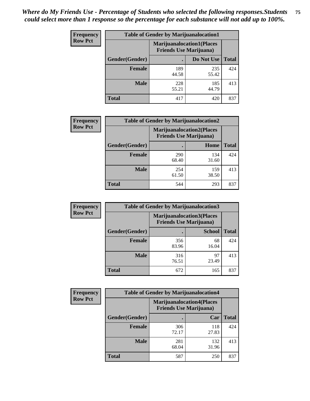| <b>Frequency</b> | <b>Table of Gender by Marijuanalocation1</b> |                                                                    |              |              |  |
|------------------|----------------------------------------------|--------------------------------------------------------------------|--------------|--------------|--|
| <b>Row Pct</b>   |                                              | <b>Marijuanalocation1(Places</b><br><b>Friends Use Marijuana</b> ) |              |              |  |
|                  | <b>Gender</b> (Gender)                       |                                                                    | Do Not Use   | <b>Total</b> |  |
|                  | <b>Female</b>                                | 189<br>44.58                                                       | 235<br>55.42 | 424          |  |
|                  | <b>Male</b>                                  | 228<br>55.21                                                       | 185<br>44.79 | 413          |  |
|                  | <b>Total</b>                                 | 417                                                                | 420          | 837          |  |

| <b>Frequency</b> | <b>Table of Gender by Marijuanalocation2</b> |                                                                    |              |              |
|------------------|----------------------------------------------|--------------------------------------------------------------------|--------------|--------------|
| <b>Row Pct</b>   |                                              | <b>Marijuanalocation2(Places</b><br><b>Friends Use Marijuana</b> ) |              |              |
|                  | Gender(Gender)                               |                                                                    | Home         | <b>Total</b> |
|                  | Female                                       | 290<br>68.40                                                       | 134<br>31.60 | 424          |
|                  | <b>Male</b>                                  | 254<br>61.50                                                       | 159<br>38.50 | 413          |
|                  | <b>Total</b>                                 | 544                                                                | 293          | 837          |

| Frequency      | <b>Table of Gender by Marijuanalocation3</b> |                                                                     |               |              |
|----------------|----------------------------------------------|---------------------------------------------------------------------|---------------|--------------|
| <b>Row Pct</b> |                                              | <b>Marijuanalocation3(Places)</b><br><b>Friends Use Marijuana</b> ) |               |              |
|                | Gender(Gender)                               |                                                                     | <b>School</b> | <b>Total</b> |
|                | Female                                       | 356<br>83.96                                                        | 68<br>16.04   | 424          |
|                | <b>Male</b>                                  | 316<br>76.51                                                        | 97<br>23.49   | 413          |
|                | <b>Total</b>                                 | 672                                                                 | 165           | 837          |

| <b>Frequency</b> | <b>Table of Gender by Marijuanalocation4</b> |                                                                    |              |              |
|------------------|----------------------------------------------|--------------------------------------------------------------------|--------------|--------------|
| <b>Row Pct</b>   |                                              | <b>Marijuanalocation4(Places</b><br><b>Friends Use Marijuana</b> ) |              |              |
|                  | Gender(Gender)                               |                                                                    | Car          | <b>Total</b> |
|                  | <b>Female</b>                                | 306<br>72.17                                                       | 118<br>27.83 | 424          |
|                  | <b>Male</b>                                  | 281<br>68.04                                                       | 132<br>31.96 | 413          |
|                  | <b>Total</b>                                 | 587                                                                | 250          | 837          |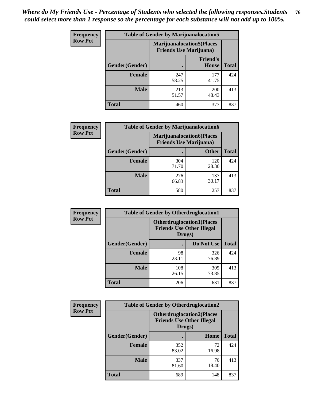| <b>Frequency</b> | <b>Table of Gender by Marijuanalocation5</b> |                                                                    |                          |              |
|------------------|----------------------------------------------|--------------------------------------------------------------------|--------------------------|--------------|
| <b>Row Pct</b>   |                                              | <b>Marijuanalocation5(Places</b><br><b>Friends Use Marijuana</b> ) |                          |              |
|                  | <b>Gender</b> (Gender)                       |                                                                    | <b>Friend's</b><br>House | <b>Total</b> |
|                  | <b>Female</b>                                | 247<br>58.25                                                       | 177<br>41.75             | 424          |
|                  | <b>Male</b>                                  | 213<br>51.57                                                       | 200<br>48.43             | 413          |
|                  | <b>Total</b>                                 | 460                                                                | 377                      | 837          |

| <b>Frequency</b> | <b>Table of Gender by Marijuanalocation6</b> |                                |                                   |              |
|------------------|----------------------------------------------|--------------------------------|-----------------------------------|--------------|
| <b>Row Pct</b>   |                                              | <b>Friends Use Marijuana</b> ) | <b>Marijuanalocation6(Places)</b> |              |
|                  | <b>Gender</b> (Gender)                       |                                | <b>Other</b>                      | <b>Total</b> |
|                  | <b>Female</b>                                | 304<br>71.70                   | 120<br>28.30                      | 424          |
|                  | <b>Male</b>                                  | 276<br>66.83                   | 137<br>33.17                      | 413          |
|                  | <b>Total</b>                                 | 580                            | 257                               | 837          |

| <b>Frequency</b> | <b>Table of Gender by Otherdruglocation1</b> |                                                                                |              |              |
|------------------|----------------------------------------------|--------------------------------------------------------------------------------|--------------|--------------|
| <b>Row Pct</b>   |                                              | <b>Otherdruglocation1(Places</b><br><b>Friends Use Other Illegal</b><br>Drugs) |              |              |
|                  | Gender(Gender)                               |                                                                                | Do Not Use   | <b>Total</b> |
|                  | <b>Female</b>                                | 98<br>23.11                                                                    | 326<br>76.89 | 424          |
|                  | <b>Male</b>                                  | 108<br>26.15                                                                   | 305<br>73.85 | 413          |
|                  | <b>Total</b>                                 | 206                                                                            | 631          | 837          |

| <b>Frequency</b> | <b>Table of Gender by Otherdruglocation2</b> |                                                                                |             |              |
|------------------|----------------------------------------------|--------------------------------------------------------------------------------|-------------|--------------|
| <b>Row Pct</b>   |                                              | <b>Otherdruglocation2(Places</b><br><b>Friends Use Other Illegal</b><br>Drugs) |             |              |
|                  | Gender(Gender)                               |                                                                                | Home        | <b>Total</b> |
|                  | <b>Female</b>                                | 352<br>83.02                                                                   | 72<br>16.98 | 424          |
|                  | <b>Male</b>                                  | 337<br>81.60                                                                   | 76<br>18.40 | 413          |
|                  | <b>Total</b>                                 | 689                                                                            | 148         | 837          |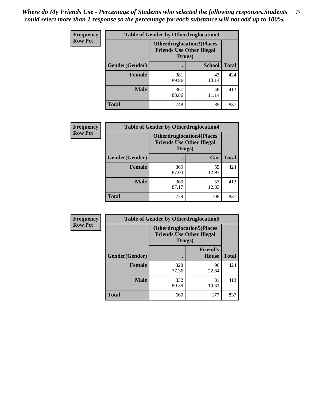| Frequency      | <b>Table of Gender by Otherdruglocation3</b> |                                                                                |               |              |
|----------------|----------------------------------------------|--------------------------------------------------------------------------------|---------------|--------------|
| <b>Row Pct</b> |                                              | <b>Otherdruglocation3(Places</b><br><b>Friends Use Other Illegal</b><br>Drugs) |               |              |
|                | Gender(Gender)                               |                                                                                | <b>School</b> | <b>Total</b> |
|                | <b>Female</b>                                | 381<br>89.86                                                                   | 43<br>10.14   | 424          |
|                | <b>Male</b>                                  | 367<br>88.86                                                                   | 46<br>11.14   | 413          |
|                | <b>Total</b>                                 | 748                                                                            | 89            | 837          |

| Frequency      | <b>Table of Gender by Otherdruglocation4</b> |                                            |                                  |              |
|----------------|----------------------------------------------|--------------------------------------------|----------------------------------|--------------|
| <b>Row Pct</b> |                                              | <b>Friends Use Other Illegal</b><br>Drugs) | <b>Otherdruglocation4(Places</b> |              |
|                | Gender(Gender)                               |                                            | Car                              | <b>Total</b> |
|                | <b>Female</b>                                | 369<br>87.03                               | 55<br>12.97                      | 424          |
|                | <b>Male</b>                                  | 360<br>87.17                               | 53<br>12.83                      | 413          |
|                | <b>Total</b>                                 | 729                                        | 108                              | 837          |

| Frequency      | <b>Table of Gender by Otherdruglocation5</b> |                                                                                |                                 |              |
|----------------|----------------------------------------------|--------------------------------------------------------------------------------|---------------------------------|--------------|
| <b>Row Pct</b> |                                              | <b>Otherdruglocation5(Places</b><br><b>Friends Use Other Illegal</b><br>Drugs) |                                 |              |
|                | Gender(Gender)                               |                                                                                | <b>Friend's</b><br><b>House</b> | <b>Total</b> |
|                | <b>Female</b>                                | 328<br>77.36                                                                   | 96<br>22.64                     | 424          |
|                | <b>Male</b>                                  | 332<br>80.39                                                                   | 81<br>19.61                     | 413          |
|                | <b>Total</b>                                 | 660                                                                            | 177                             | 837          |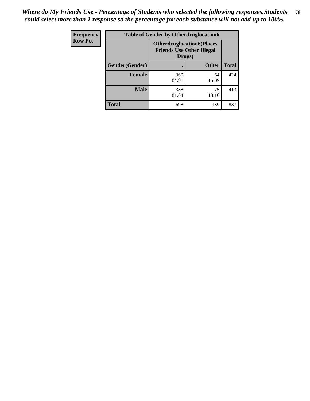| <b>Frequency</b> | <b>Table of Gender by Otherdruglocation6</b> |                                                                                |              |              |
|------------------|----------------------------------------------|--------------------------------------------------------------------------------|--------------|--------------|
| <b>Row Pct</b>   |                                              | <b>Otherdruglocation6(Places</b><br><b>Friends Use Other Illegal</b><br>Drugs) |              |              |
|                  | Gender(Gender)                               |                                                                                | <b>Other</b> | <b>Total</b> |
|                  | Female                                       | 360<br>84.91                                                                   | 64<br>15.09  | 424          |
|                  | <b>Male</b>                                  | 338<br>81.84                                                                   | 75<br>18.16  | 413          |
|                  | <b>Total</b>                                 | 698                                                                            | 139          | 837          |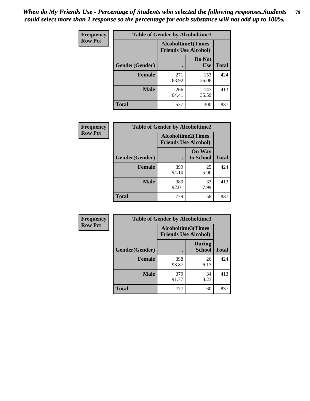| <b>Frequency</b> | <b>Table of Gender by Alcoholtime1</b> |                                                   |                      |              |
|------------------|----------------------------------------|---------------------------------------------------|----------------------|--------------|
| <b>Row Pct</b>   |                                        | Alcoholtime1(Times<br><b>Friends Use Alcohol)</b> |                      |              |
|                  | Gender(Gender)                         | $\bullet$                                         | Do Not<br><b>Use</b> | <b>Total</b> |
|                  | <b>Female</b>                          | 271<br>63.92                                      | 153<br>36.08         | 424          |
|                  | <b>Male</b>                            | 266<br>64.41                                      | 147<br>35.59         | 413          |
|                  | <b>Total</b>                           | 537                                               | 300                  | 837          |

| Frequency      | <b>Table of Gender by Alcoholtime2</b> |                                                          |                            |              |
|----------------|----------------------------------------|----------------------------------------------------------|----------------------------|--------------|
| <b>Row Pct</b> |                                        | <b>Alcoholtime2(Times</b><br><b>Friends Use Alcohol)</b> |                            |              |
|                | Gender(Gender)                         |                                                          | <b>On Way</b><br>to School | <b>Total</b> |
|                | <b>Female</b>                          | 399<br>94.10                                             | 25<br>5.90                 | 424          |
|                | <b>Male</b>                            | 380<br>92.01                                             | 33<br>7.99                 | 413          |
|                | Total                                  | 779                                                      | 58                         | 837          |

| Frequency      | <b>Table of Gender by Alcoholtime3</b> |                                                          |                                |              |
|----------------|----------------------------------------|----------------------------------------------------------|--------------------------------|--------------|
| <b>Row Pct</b> |                                        | <b>Alcoholtime3(Times</b><br><b>Friends Use Alcohol)</b> |                                |              |
|                | Gender(Gender)                         |                                                          | <b>During</b><br><b>School</b> | <b>Total</b> |
|                | <b>Female</b>                          | 398<br>93.87                                             | 26<br>6.13                     | 424          |
|                | <b>Male</b>                            | 379<br>91.77                                             | 34<br>8.23                     | 413          |
|                | <b>Total</b>                           | 777                                                      | 60                             | 837          |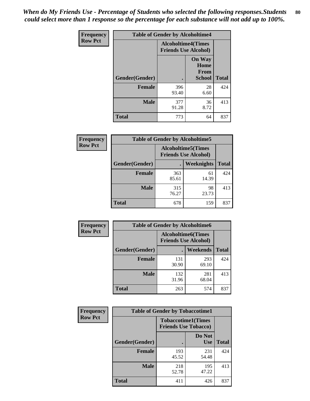*When do My Friends Use - Percentage of Students who selected the following responses.Students could select more than 1 response so the percentage for each substance will not add up to 100%.* **80**

| Frequency      | <b>Table of Gender by Alcoholtime4</b> |                                                          |                                         |              |
|----------------|----------------------------------------|----------------------------------------------------------|-----------------------------------------|--------------|
| <b>Row Pct</b> |                                        | <b>Alcoholtime4(Times</b><br><b>Friends Use Alcohol)</b> |                                         |              |
|                | Gender(Gender)                         |                                                          | <b>On Way</b><br>Home<br>From<br>School | <b>Total</b> |
|                | <b>Female</b>                          | 396<br>93.40                                             | 28<br>6.60                              | 424          |
|                | <b>Male</b>                            | 377<br>91.28                                             | 36<br>8.72                              | 413          |
|                | <b>Total</b>                           | 773                                                      | 64                                      | 837          |

| <b>Frequency</b> | <b>Table of Gender by Alcoholtime5</b> |                                                           |                   |              |
|------------------|----------------------------------------|-----------------------------------------------------------|-------------------|--------------|
| <b>Row Pct</b>   |                                        | <b>Alcoholtime5</b> (Times<br><b>Friends Use Alcohol)</b> |                   |              |
|                  | Gender(Gender)                         |                                                           | <b>Weeknights</b> | <b>Total</b> |
|                  | <b>Female</b>                          | 363<br>85.61                                              | 61<br>14.39       | 424          |
|                  | <b>Male</b>                            | 315<br>76.27                                              | 98<br>23.73       | 413          |
|                  | <b>Total</b>                           | 678                                                       | 159               | 837          |

| <b>Frequency</b> | <b>Table of Gender by Alcoholtime6</b> |              |                                                          |              |  |
|------------------|----------------------------------------|--------------|----------------------------------------------------------|--------------|--|
| <b>Row Pct</b>   |                                        |              | <b>Alcoholtime6(Times</b><br><b>Friends Use Alcohol)</b> |              |  |
|                  | Gender(Gender)                         |              | Weekends                                                 | <b>Total</b> |  |
|                  | Female                                 | 131<br>30.90 | 293<br>69.10                                             | 424          |  |
|                  | <b>Male</b>                            | 132<br>31.96 | 281<br>68.04                                             | 413          |  |
|                  | <b>Total</b>                           | 263          | 574                                                      | 837          |  |

| Frequency      | <b>Table of Gender by Tobaccotime1</b> |                                                          |                      |              |
|----------------|----------------------------------------|----------------------------------------------------------|----------------------|--------------|
| <b>Row Pct</b> |                                        | <b>Tobaccotime1(Times</b><br><b>Friends Use Tobacco)</b> |                      |              |
|                | Gender(Gender)                         |                                                          | Do Not<br><b>Use</b> | <b>Total</b> |
|                | Female                                 | 193<br>45.52                                             | 231<br>54.48         | 424          |
|                | <b>Male</b>                            | 218<br>52.78                                             | 195<br>47.22         | 413          |
|                | <b>Total</b>                           | 411                                                      | 426                  | 837          |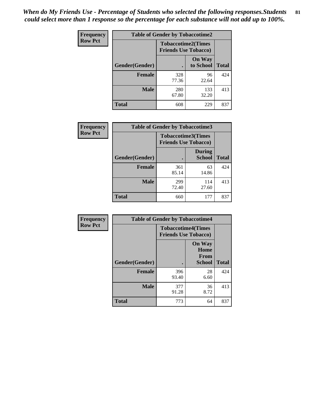*When do My Friends Use - Percentage of Students who selected the following responses.Students could select more than 1 response so the percentage for each substance will not add up to 100%.* **81**

| Frequency      | <b>Table of Gender by Tobaccotime2</b> |                                                          |                            |              |
|----------------|----------------------------------------|----------------------------------------------------------|----------------------------|--------------|
| <b>Row Pct</b> |                                        | <b>Tobaccotime2(Times</b><br><b>Friends Use Tobacco)</b> |                            |              |
|                | Gender(Gender)                         | $\bullet$                                                | <b>On Way</b><br>to School | <b>Total</b> |
|                | <b>Female</b>                          | 328<br>77.36                                             | 96<br>22.64                | 424          |
|                | <b>Male</b>                            | 280<br>67.80                                             | 133<br>32.20               | 413          |
|                | <b>Total</b>                           | 608                                                      | 229                        | 837          |

| Frequency      | <b>Table of Gender by Tobaccotime3</b> |                                                          |                                |              |
|----------------|----------------------------------------|----------------------------------------------------------|--------------------------------|--------------|
| <b>Row Pct</b> |                                        | <b>Tobaccotime3(Times</b><br><b>Friends Use Tobacco)</b> |                                |              |
|                | Gender(Gender)                         |                                                          | <b>During</b><br><b>School</b> | <b>Total</b> |
|                | <b>Female</b>                          | 361<br>85.14                                             | 63<br>14.86                    | 424          |
|                | <b>Male</b>                            | 299<br>72.40                                             | 114<br>27.60                   | 413          |
|                | <b>Total</b>                           | 660                                                      | 177                            | 837          |

| <b>Frequency</b> | <b>Table of Gender by Tobaccotime4</b> |                                                          |                                                       |              |
|------------------|----------------------------------------|----------------------------------------------------------|-------------------------------------------------------|--------------|
| <b>Row Pct</b>   |                                        | <b>Tobaccotime4(Times</b><br><b>Friends Use Tobacco)</b> |                                                       |              |
|                  | Gender(Gender)                         |                                                          | <b>On Way</b><br>Home<br><b>From</b><br><b>School</b> | <b>Total</b> |
|                  | <b>Female</b>                          | 396<br>93.40                                             | 28<br>6.60                                            | 424          |
|                  | <b>Male</b>                            | 377<br>91.28                                             | 36<br>8.72                                            | 413          |
|                  | <b>Total</b>                           | 773                                                      | 64                                                    | 837          |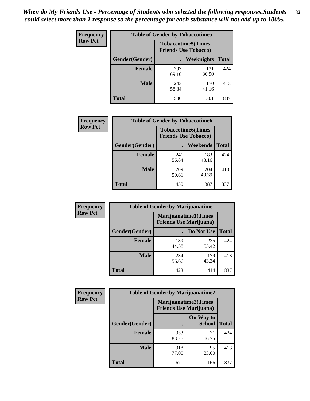| <b>Frequency</b> | <b>Table of Gender by Tobaccotime5</b> |                                                          |              |              |  |
|------------------|----------------------------------------|----------------------------------------------------------|--------------|--------------|--|
| <b>Row Pct</b>   |                                        | <b>Tobaccotime5(Times</b><br><b>Friends Use Tobacco)</b> |              |              |  |
|                  | Gender(Gender)                         |                                                          | Weeknights   | <b>Total</b> |  |
|                  | Female                                 | 293<br>69.10                                             | 131<br>30.90 | 424          |  |
|                  | <b>Male</b>                            | 243<br>58.84                                             | 170<br>41.16 | 413          |  |
|                  | <b>Total</b>                           | 536                                                      | 301          | 837          |  |

| <b>Frequency</b> | <b>Table of Gender by Tobaccotime6</b> |                                                          |              |              |
|------------------|----------------------------------------|----------------------------------------------------------|--------------|--------------|
| <b>Row Pct</b>   |                                        | <b>Tobaccotime6(Times</b><br><b>Friends Use Tobacco)</b> |              |              |
|                  | Gender(Gender)                         |                                                          | Weekends     | <b>Total</b> |
|                  | Female                                 | 241<br>56.84                                             | 183<br>43.16 | 424          |
|                  | <b>Male</b>                            | 209<br>50.61                                             | 204<br>49.39 | 413          |
|                  | <b>Total</b>                           | 450                                                      | 387          | 837          |

| <b>Frequency</b> | <b>Table of Gender by Marijuanatime1</b>               |              |              |              |
|------------------|--------------------------------------------------------|--------------|--------------|--------------|
| <b>Row Pct</b>   | Marijuanatime1(Times<br><b>Friends Use Marijuana</b> ) |              |              |              |
|                  | Gender(Gender)                                         |              | Do Not Use   | <b>Total</b> |
|                  | <b>Female</b>                                          | 189<br>44.58 | 235<br>55.42 | 424          |
|                  | <b>Male</b>                                            | 234<br>56.66 | 179<br>43.34 | 413          |
|                  | <b>Total</b>                                           | 423          | 414          | 837          |

| <b>Frequency</b> | <b>Table of Gender by Marijuanatime2</b> |                                |                             |              |
|------------------|------------------------------------------|--------------------------------|-----------------------------|--------------|
| <b>Row Pct</b>   |                                          | <b>Friends Use Marijuana</b> ) | <b>Marijuanatime2(Times</b> |              |
|                  | Gender(Gender)                           |                                | On Way to<br><b>School</b>  | <b>Total</b> |
|                  | Female                                   | 353<br>83.25                   | 71<br>16.75                 | 424          |
|                  | <b>Male</b>                              | 318<br>77.00                   | 95<br>23.00                 | 413          |
|                  | <b>Total</b>                             | 671                            | 166                         | 837          |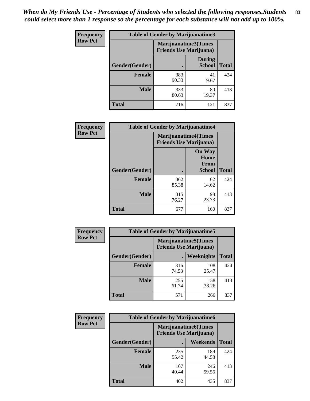| Frequency      | <b>Table of Gender by Marijuanatime3</b> |                                                        |                                |              |
|----------------|------------------------------------------|--------------------------------------------------------|--------------------------------|--------------|
| <b>Row Pct</b> |                                          | Marijuanatime3(Times<br><b>Friends Use Marijuana</b> ) |                                |              |
|                | Gender(Gender)                           |                                                        | <b>During</b><br><b>School</b> | <b>Total</b> |
|                | <b>Female</b>                            | 383<br>90.33                                           | 41<br>9.67                     | 424          |
|                | <b>Male</b>                              | 333<br>80.63                                           | 80<br>19.37                    | 413          |
|                | <b>Total</b>                             | 716                                                    | 121                            | 837          |

| Frequency      | <b>Table of Gender by Marijuanatime4</b> |                                |                                                |              |
|----------------|------------------------------------------|--------------------------------|------------------------------------------------|--------------|
| <b>Row Pct</b> |                                          | <b>Friends Use Marijuana</b> ) | <b>Marijuanatime4</b> (Times                   |              |
|                | Gender(Gender)                           |                                | <b>On Way</b><br>Home<br>From<br><b>School</b> | <b>Total</b> |
|                | <b>Female</b>                            | 362<br>85.38                   | 62<br>14.62                                    | 424          |
|                | <b>Male</b>                              | 315<br>76.27                   | 98<br>23.73                                    | 413          |
|                | <b>Total</b>                             | 677                            | 160                                            | 837          |

| <b>Frequency</b> | <b>Table of Gender by Marijuanatime5</b> |              |                                                                |              |  |
|------------------|------------------------------------------|--------------|----------------------------------------------------------------|--------------|--|
| <b>Row Pct</b>   |                                          |              | <b>Marijuanatime5</b> (Times<br><b>Friends Use Marijuana</b> ) |              |  |
|                  | Gender(Gender)                           |              | Weeknights                                                     | <b>Total</b> |  |
|                  | <b>Female</b>                            | 316<br>74.53 | 108<br>25.47                                                   | 424          |  |
|                  | <b>Male</b>                              | 255<br>61.74 | 158<br>38.26                                                   | 413          |  |
|                  | <b>Total</b>                             | 571          | 266                                                            | 837          |  |

| Frequency      | <b>Table of Gender by Marijuanatime6</b> |                                                               |                 |              |  |
|----------------|------------------------------------------|---------------------------------------------------------------|-----------------|--------------|--|
| <b>Row Pct</b> |                                          | <b>Marijuanatime6(Times</b><br><b>Friends Use Marijuana</b> ) |                 |              |  |
|                | Gender(Gender)                           |                                                               | <b>Weekends</b> | <b>Total</b> |  |
|                | <b>Female</b>                            | 235<br>55.42                                                  | 189<br>44.58    | 424          |  |
|                | <b>Male</b>                              | 167<br>40.44                                                  | 246<br>59.56    | 413          |  |
|                | <b>Total</b>                             | 402                                                           | 435             | 837          |  |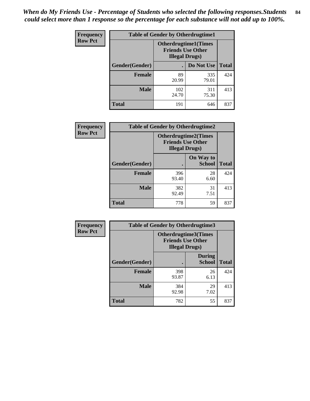*When do My Friends Use - Percentage of Students who selected the following responses.Students could select more than 1 response so the percentage for each substance will not add up to 100%.* **84**

| <b>Frequency</b> | <b>Table of Gender by Otherdrugtime1</b> |                                                                                    |                    |     |  |
|------------------|------------------------------------------|------------------------------------------------------------------------------------|--------------------|-----|--|
| <b>Row Pct</b>   |                                          | <b>Otherdrugtime1</b> (Times<br><b>Friends Use Other</b><br><b>Illegal Drugs</b> ) |                    |     |  |
|                  | Gender(Gender)                           |                                                                                    | Do Not Use   Total |     |  |
|                  | <b>Female</b>                            | 89<br>20.99                                                                        | 335<br>79.01       | 424 |  |
|                  | Male                                     | 102<br>24.70                                                                       | 311<br>75.30       | 413 |  |
|                  | <b>Total</b>                             | 191                                                                                | 646                | 837 |  |

| Frequency      | <b>Table of Gender by Otherdrugtime2</b> |                                                                                   |                            |              |  |
|----------------|------------------------------------------|-----------------------------------------------------------------------------------|----------------------------|--------------|--|
| <b>Row Pct</b> |                                          | <b>Otherdrugtime2(Times</b><br><b>Friends Use Other</b><br><b>Illegal Drugs</b> ) |                            |              |  |
|                | <b>Gender</b> (Gender)                   |                                                                                   | On Way to<br><b>School</b> | <b>Total</b> |  |
|                | <b>Female</b>                            | 396<br>93.40                                                                      | 28<br>6.60                 | 424          |  |
|                | <b>Male</b>                              | 382<br>92.49                                                                      | 31<br>7.51                 | 413          |  |
|                | <b>Total</b>                             | 778                                                                               | 59                         | 837          |  |

| Frequency      | <b>Table of Gender by Otherdrugtime3</b> |                                                                            |                                |              |  |
|----------------|------------------------------------------|----------------------------------------------------------------------------|--------------------------------|--------------|--|
| <b>Row Pct</b> |                                          | Otherdrugtime3(Times<br><b>Friends Use Other</b><br><b>Illegal Drugs</b> ) |                                |              |  |
|                | Gender(Gender)                           |                                                                            | <b>During</b><br><b>School</b> | <b>Total</b> |  |
|                | <b>Female</b>                            | 398<br>93.87                                                               | 26<br>6.13                     | 424          |  |
|                | <b>Male</b>                              | 384<br>92.98                                                               | 29<br>7.02                     | 413          |  |
|                | <b>Total</b>                             | 782                                                                        | 55                             | 837          |  |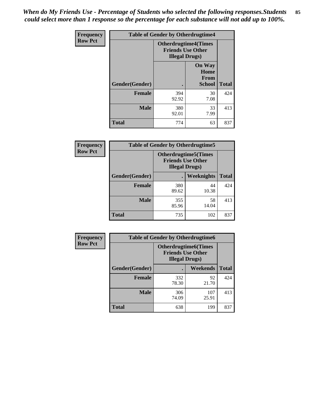*When do My Friends Use - Percentage of Students who selected the following responses.Students could select more than 1 response so the percentage for each substance will not add up to 100%.* **85**

| <b>Frequency</b> | <b>Table of Gender by Otherdrugtime4</b> |                                                                                   |                                                |              |  |  |
|------------------|------------------------------------------|-----------------------------------------------------------------------------------|------------------------------------------------|--------------|--|--|
| <b>Row Pct</b>   |                                          | <b>Otherdrugtime4(Times</b><br><b>Friends Use Other</b><br><b>Illegal Drugs</b> ) |                                                |              |  |  |
|                  | <b>Gender</b> (Gender)                   |                                                                                   | <b>On Way</b><br>Home<br>From<br><b>School</b> | <b>Total</b> |  |  |
|                  | <b>Female</b>                            | 394<br>92.92                                                                      | 30<br>7.08                                     | 424          |  |  |
|                  | <b>Male</b>                              | 380<br>92.01                                                                      | 33<br>7.99                                     | 413          |  |  |
|                  | <b>Total</b>                             | 774                                                                               | 63                                             | 837          |  |  |

| Frequency      | <b>Table of Gender by Otherdrugtime5</b> |                                                                                    |             |              |  |
|----------------|------------------------------------------|------------------------------------------------------------------------------------|-------------|--------------|--|
| <b>Row Pct</b> |                                          | <b>Otherdrugtime5</b> (Times<br><b>Friends Use Other</b><br><b>Illegal Drugs</b> ) |             |              |  |
|                | Gender(Gender)                           |                                                                                    | Weeknights  | <b>Total</b> |  |
|                | <b>Female</b>                            | 380<br>89.62                                                                       | 44<br>10.38 | 424          |  |
|                | <b>Male</b>                              | 355<br>85.96                                                                       | 58<br>14.04 | 413          |  |
|                | <b>Total</b>                             | 735                                                                                | 102         | 837          |  |

| <b>Frequency</b> | <b>Table of Gender by Otherdrugtime6</b> |                                                                                  |              |              |  |
|------------------|------------------------------------------|----------------------------------------------------------------------------------|--------------|--------------|--|
| <b>Row Pct</b>   |                                          | <b>Otherdrugtime6(Times</b><br><b>Friends Use Other</b><br><b>Illegal Drugs)</b> |              |              |  |
|                  | Gender(Gender)                           |                                                                                  | Weekends     | <b>Total</b> |  |
|                  | Female                                   | 332<br>78.30                                                                     | 92<br>21.70  | 424          |  |
|                  | <b>Male</b>                              | 306<br>74.09                                                                     | 107<br>25.91 | 413          |  |
|                  | <b>Total</b>                             | 638                                                                              | 199          | 837          |  |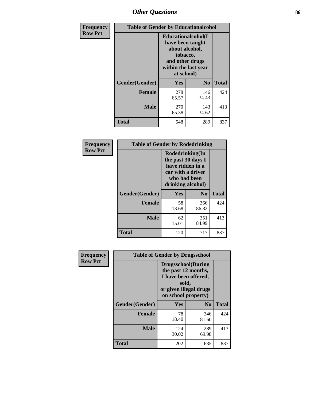# *Other Questions* **86**

| <b>Frequency</b> | <b>Table of Gender by Educationalcohol</b> |                                                                                                                                       |                |              |  |
|------------------|--------------------------------------------|---------------------------------------------------------------------------------------------------------------------------------------|----------------|--------------|--|
| <b>Row Pct</b>   |                                            | <b>Educationalcohol</b> (I<br>have been taught<br>about alcohol,<br>tobacco,<br>and other drugs<br>within the last year<br>at school) |                |              |  |
|                  | Gender(Gender)                             | <b>Yes</b>                                                                                                                            | N <sub>0</sub> | <b>Total</b> |  |
|                  | <b>Female</b>                              | 278<br>65.57                                                                                                                          | 146<br>34.43   | 424          |  |
|                  | <b>Male</b>                                | 270<br>65.38                                                                                                                          | 143<br>34.62   | 413          |  |
|                  | <b>Total</b>                               | 548                                                                                                                                   | 289            | 837          |  |

| Frequency      | <b>Table of Gender by Rodedrinking</b> |                                                                                                                     |                |              |  |  |
|----------------|----------------------------------------|---------------------------------------------------------------------------------------------------------------------|----------------|--------------|--|--|
| <b>Row Pct</b> |                                        | Rodedrinking(In<br>the past 30 days I<br>have ridden in a<br>car with a driver<br>who had been<br>drinking alcohol) |                |              |  |  |
|                | Gender(Gender)                         | Yes                                                                                                                 | N <sub>0</sub> | <b>Total</b> |  |  |
|                | <b>Female</b>                          | 58<br>13.68                                                                                                         | 366<br>86.32   | 424          |  |  |
|                | <b>Male</b>                            | 62<br>15.01                                                                                                         | 351<br>84.99   | 413          |  |  |
|                | <b>Total</b>                           | 120                                                                                                                 | 717            | 837          |  |  |

| Frequency      | <b>Table of Gender by Drugsschool</b> |                                                                                                                                     |                |              |  |
|----------------|---------------------------------------|-------------------------------------------------------------------------------------------------------------------------------------|----------------|--------------|--|
| <b>Row Pct</b> |                                       | <b>Drugsschool</b> (During<br>the past 12 months,<br>I have been offered,<br>sold,<br>or given illegal drugs<br>on school property) |                |              |  |
|                | Gender(Gender)                        | Yes                                                                                                                                 | N <sub>0</sub> | <b>Total</b> |  |
|                | <b>Female</b>                         | 78<br>18.40                                                                                                                         | 346<br>81.60   | 424          |  |
|                | <b>Male</b>                           | 124<br>30.02                                                                                                                        | 289<br>69.98   | 413          |  |
|                | <b>Total</b>                          | 202                                                                                                                                 | 635            | 837          |  |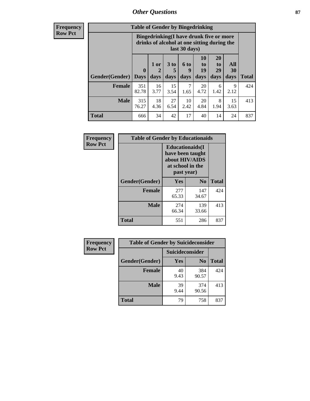## *Other Questions* **87**

**Frequency Row Pct**

| <b>Table of Gender by Bingedrinking</b> |                            |                                                                                                         |                   |                   |                        |                               |                   |              |
|-----------------------------------------|----------------------------|---------------------------------------------------------------------------------------------------------|-------------------|-------------------|------------------------|-------------------------------|-------------------|--------------|
|                                         |                            | Bingedrinking(I have drunk five or more<br>drinks of alcohol at one sitting during the<br>last 30 days) |                   |                   |                        |                               |                   |              |
| <b>Gender</b> (Gender)                  | $\mathbf 0$<br><b>Days</b> | 1 or<br>2<br>days                                                                                       | 3 to<br>5<br>days | 6 to<br>9<br>days | 10<br>to<br>19<br>days | <b>20</b><br>to<br>29<br>days | All<br>30<br>days | <b>Total</b> |
| <b>Female</b>                           | 351<br>82.78               | 16<br>3.77                                                                                              | 15<br>3.54        | 7<br>1.65         | 20<br>4.72             | 6<br>1.42                     | 9<br>2.12         | 424          |
| <b>Male</b>                             | 315<br>76.27               | 18<br>4.36                                                                                              | 27<br>6.54        | 10<br>2.42        | 20<br>4.84             | 8<br>1.94                     | 15<br>3.63        | 413          |
| <b>Total</b>                            | 666                        | 34                                                                                                      | 42                | 17                | 40                     | 14                            | 24                | 837          |

| Frequency      | <b>Table of Gender by Educationaids</b> |                                                                                                 |              |              |
|----------------|-----------------------------------------|-------------------------------------------------------------------------------------------------|--------------|--------------|
| <b>Row Pct</b> |                                         | <b>Educationaids</b> (I<br>have been taught<br>about HIV/AIDS<br>at school in the<br>past year) |              |              |
|                | Gender(Gender)                          | Yes                                                                                             | $\bf N_0$    | <b>Total</b> |
|                | <b>Female</b>                           | 277<br>65.33                                                                                    | 147<br>34.67 | 424          |
|                | <b>Male</b>                             | 274<br>66.34                                                                                    | 139<br>33.66 | 413          |
|                | <b>Total</b>                            | 551                                                                                             | 286          | 837          |

| <b>Frequency</b> | <b>Table of Gender by Suicideconsider</b> |                 |                |              |
|------------------|-------------------------------------------|-----------------|----------------|--------------|
| <b>Row Pct</b>   |                                           | Suicideconsider |                |              |
|                  | Gender(Gender)                            | Yes             | N <sub>0</sub> | <b>Total</b> |
|                  | <b>Female</b>                             | 40<br>9.43      | 384<br>90.57   | 424          |
|                  | <b>Male</b>                               | 39<br>9.44      | 374<br>90.56   | 413          |
|                  | Total                                     | 79              | 758            | 837          |